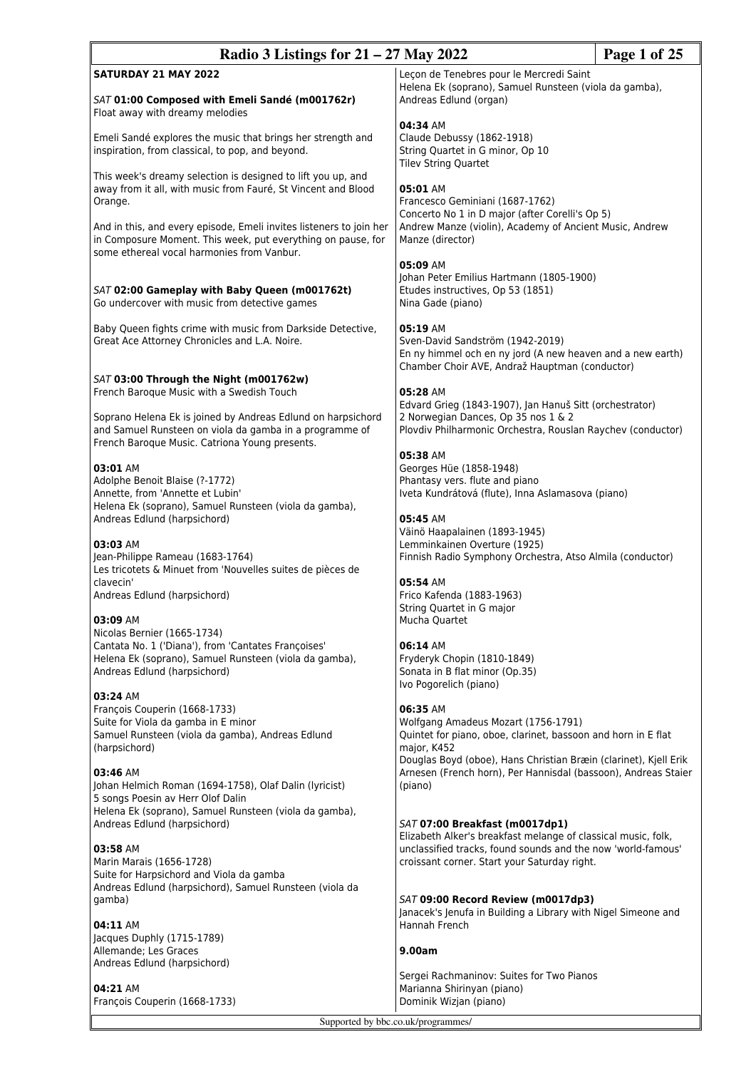| Radio 3 Listings for $21 - 27$ May 2022                                                                       |                                                                                                                                    | Page 1 of 25 |
|---------------------------------------------------------------------------------------------------------------|------------------------------------------------------------------------------------------------------------------------------------|--------------|
| <b>SATURDAY 21 MAY 2022</b>                                                                                   | Leçon de Tenebres pour le Mercredi Saint                                                                                           |              |
|                                                                                                               | Helena Ek (soprano), Samuel Runsteen (viola da gamba),                                                                             |              |
| SAT 01:00 Composed with Emeli Sandé (m001762r)                                                                | Andreas Edlund (organ)                                                                                                             |              |
| Float away with dreamy melodies                                                                               |                                                                                                                                    |              |
| Emeli Sandé explores the music that brings her strength and                                                   | 04:34 AM<br>Claude Debussy (1862-1918)                                                                                             |              |
| inspiration, from classical, to pop, and beyond.                                                              | String Quartet in G minor, Op 10                                                                                                   |              |
|                                                                                                               | <b>Tilev String Quartet</b>                                                                                                        |              |
| This week's dreamy selection is designed to lift you up, and                                                  |                                                                                                                                    |              |
| away from it all, with music from Fauré, St Vincent and Blood<br>Orange.                                      | 05:01 AM<br>Francesco Geminiani (1687-1762)                                                                                        |              |
|                                                                                                               | Concerto No 1 in D major (after Corelli's Op 5)                                                                                    |              |
| And in this, and every episode, Emeli invites listeners to join her                                           | Andrew Manze (violin), Academy of Ancient Music, Andrew                                                                            |              |
| in Composure Moment. This week, put everything on pause, for                                                  | Manze (director)                                                                                                                   |              |
| some ethereal vocal harmonies from Vanbur.                                                                    | 05:09 AM                                                                                                                           |              |
|                                                                                                               | Johan Peter Emilius Hartmann (1805-1900)                                                                                           |              |
| SAT 02:00 Gameplay with Baby Queen (m001762t)                                                                 | Etudes instructives, Op 53 (1851)                                                                                                  |              |
| Go undercover with music from detective games                                                                 | Nina Gade (piano)                                                                                                                  |              |
|                                                                                                               |                                                                                                                                    |              |
| Baby Queen fights crime with music from Darkside Detective,<br>Great Ace Attorney Chronicles and L.A. Noire.  | 05:19 AM<br>Sven-David Sandström (1942-2019)                                                                                       |              |
|                                                                                                               | En ny himmel och en ny jord (A new heaven and a new earth)                                                                         |              |
|                                                                                                               | Chamber Choir AVE, Andraž Hauptman (conductor)                                                                                     |              |
| SAT 03:00 Through the Night (m001762w)                                                                        |                                                                                                                                    |              |
| French Baroque Music with a Swedish Touch                                                                     | 05:28 AM<br>Edvard Grieg (1843-1907), Jan Hanuš Sitt (orchestrator)                                                                |              |
| Soprano Helena Ek is joined by Andreas Edlund on harpsichord                                                  | 2 Norwegian Dances, Op 35 nos 1 & 2                                                                                                |              |
| and Samuel Runsteen on viola da gamba in a programme of                                                       | Plovdiv Philharmonic Orchestra, Rouslan Raychev (conductor)                                                                        |              |
| French Baroque Music. Catriona Young presents.                                                                |                                                                                                                                    |              |
| 03:01 AM                                                                                                      | 05:38 AM<br>Georges Hüe (1858-1948)                                                                                                |              |
| Adolphe Benoit Blaise (?-1772)                                                                                | Phantasy vers. flute and piano                                                                                                     |              |
| Annette, from 'Annette et Lubin'                                                                              | Iveta Kundrátová (flute), Inna Aslamasova (piano)                                                                                  |              |
| Helena Ek (soprano), Samuel Runsteen (viola da gamba),                                                        |                                                                                                                                    |              |
| Andreas Edlund (harpsichord)                                                                                  | 05:45 AM<br>Väinö Haapalainen (1893-1945)                                                                                          |              |
| 03:03 AM                                                                                                      | Lemminkainen Overture (1925)                                                                                                       |              |
| Jean-Philippe Rameau (1683-1764)                                                                              | Finnish Radio Symphony Orchestra, Atso Almila (conductor)                                                                          |              |
| Les tricotets & Minuet from 'Nouvelles suites de pièces de                                                    |                                                                                                                                    |              |
| clavecin'<br>Andreas Edlund (harpsichord)                                                                     | 05:54 AM<br>Frico Kafenda (1883-1963)                                                                                              |              |
|                                                                                                               | String Quartet in G major                                                                                                          |              |
| 03:09 AM                                                                                                      | Mucha Quartet                                                                                                                      |              |
| Nicolas Bernier (1665-1734)                                                                                   |                                                                                                                                    |              |
| Cantata No. 1 ('Diana'), from 'Cantates Françoises'<br>Helena Ek (soprano), Samuel Runsteen (viola da gamba), | 06:14 AM<br>Fryderyk Chopin (1810-1849)                                                                                            |              |
| Andreas Edlund (harpsichord)                                                                                  | Sonata in B flat minor (Op.35)                                                                                                     |              |
|                                                                                                               | Ivo Pogorelich (piano)                                                                                                             |              |
| 03:24 AM                                                                                                      | 06:35 AM                                                                                                                           |              |
| François Couperin (1668-1733)<br>Suite for Viola da gamba in E minor                                          | Wolfgang Amadeus Mozart (1756-1791)                                                                                                |              |
| Samuel Runsteen (viola da gamba), Andreas Edlund                                                              | Quintet for piano, oboe, clarinet, bassoon and horn in E flat                                                                      |              |
| (harpsichord)                                                                                                 | major, K452                                                                                                                        |              |
| 03:46 AM                                                                                                      | Douglas Boyd (oboe), Hans Christian Bræin (clarinet), Kjell Erik<br>Arnesen (French horn), Per Hannisdal (bassoon), Andreas Staier |              |
| Johan Helmich Roman (1694-1758), Olaf Dalin (lyricist)                                                        | (piano)                                                                                                                            |              |
| 5 songs Poesin av Herr Olof Dalin                                                                             |                                                                                                                                    |              |
| Helena Ek (soprano), Samuel Runsteen (viola da gamba),                                                        |                                                                                                                                    |              |
| Andreas Edlund (harpsichord)                                                                                  | SAT 07:00 Breakfast (m0017dp1)<br>Elizabeth Alker's breakfast melange of classical music, folk,                                    |              |
| 03:58 AM                                                                                                      | unclassified tracks, found sounds and the now 'world-famous'                                                                       |              |
| Marin Marais (1656-1728)                                                                                      | croissant corner. Start your Saturday right.                                                                                       |              |
| Suite for Harpsichord and Viola da gamba                                                                      |                                                                                                                                    |              |
| Andreas Edlund (harpsichord), Samuel Runsteen (viola da<br>gamba)                                             | SAT 09:00 Record Review (m0017dp3)                                                                                                 |              |
|                                                                                                               | Janacek's Jenufa in Building a Library with Nigel Simeone and                                                                      |              |
| 04:11 AM                                                                                                      | Hannah French                                                                                                                      |              |
| Jacques Duphly (1715-1789)                                                                                    |                                                                                                                                    |              |
| Allemande; Les Graces                                                                                         | 9.00am                                                                                                                             |              |
| Andreas Edlund (harpsichord)                                                                                  | Sergei Rachmaninov: Suites for Two Pianos                                                                                          |              |
| 04:21 AM                                                                                                      | Marianna Shirinyan (piano)                                                                                                         |              |
| François Couperin (1668-1733)                                                                                 | Dominik Wizjan (piano)                                                                                                             |              |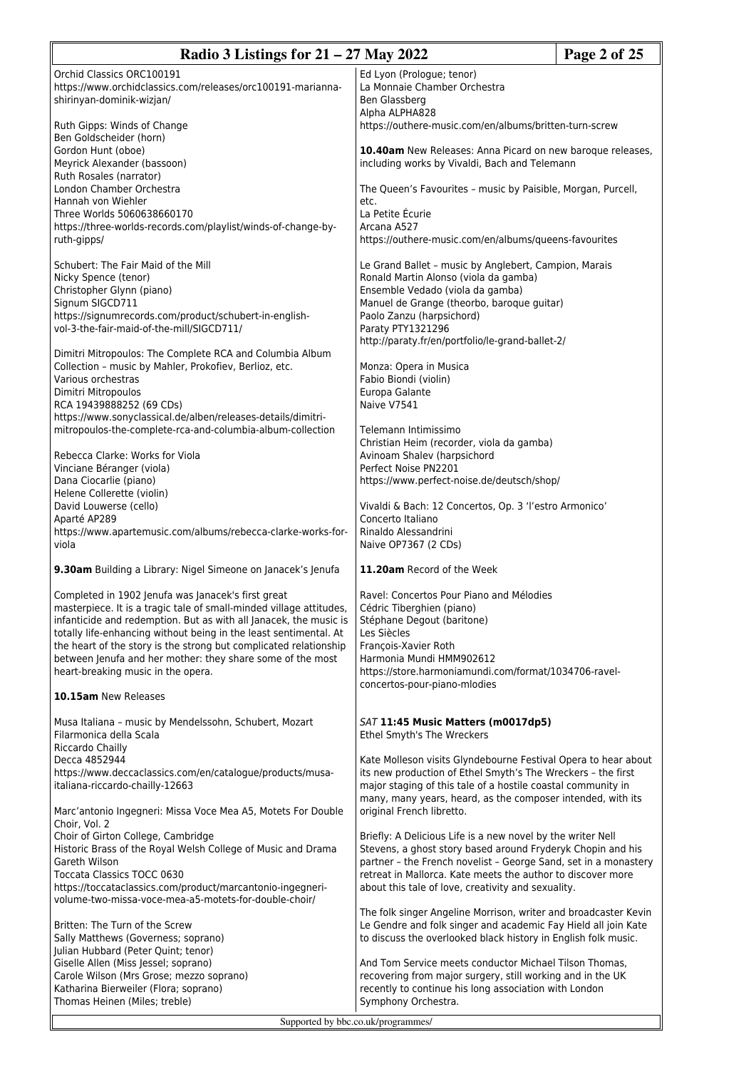| Page 2 of 25<br>Radio 3 Listings for $21 - 27$ May 2022                                                                                                                                                                                                                                                                                                                                                                                      |                                                                                                                                                                                                                                                                                                                    |  |
|----------------------------------------------------------------------------------------------------------------------------------------------------------------------------------------------------------------------------------------------------------------------------------------------------------------------------------------------------------------------------------------------------------------------------------------------|--------------------------------------------------------------------------------------------------------------------------------------------------------------------------------------------------------------------------------------------------------------------------------------------------------------------|--|
| Orchid Classics ORC100191<br>https://www.orchidclassics.com/releases/orc100191-marianna-<br>shirinyan-dominik-wizjan/                                                                                                                                                                                                                                                                                                                        | Ed Lyon (Prologue; tenor)<br>La Monnaie Chamber Orchestra<br>Ben Glassberg<br>Alpha ALPHA828                                                                                                                                                                                                                       |  |
| Ruth Gipps: Winds of Change<br>Ben Goldscheider (horn)<br>Gordon Hunt (oboe)                                                                                                                                                                                                                                                                                                                                                                 | https://outhere-music.com/en/albums/britten-turn-screw<br>10.40am New Releases: Anna Picard on new baroque releases,                                                                                                                                                                                               |  |
| Meyrick Alexander (bassoon)<br>Ruth Rosales (narrator)                                                                                                                                                                                                                                                                                                                                                                                       | including works by Vivaldi, Bach and Telemann                                                                                                                                                                                                                                                                      |  |
| London Chamber Orchestra<br>Hannah von Wiehler                                                                                                                                                                                                                                                                                                                                                                                               | The Queen's Favourites - music by Paisible, Morgan, Purcell,<br>etc.                                                                                                                                                                                                                                               |  |
| Three Worlds 5060638660170<br>https://three-worlds-records.com/playlist/winds-of-change-by-<br>ruth-gipps/                                                                                                                                                                                                                                                                                                                                   | La Petite Écurie<br>Arcana A527<br>https://outhere-music.com/en/albums/queens-favourites                                                                                                                                                                                                                           |  |
| Schubert: The Fair Maid of the Mill<br>Nicky Spence (tenor)                                                                                                                                                                                                                                                                                                                                                                                  | Le Grand Ballet - music by Anglebert, Campion, Marais<br>Ronald Martin Alonso (viola da gamba)                                                                                                                                                                                                                     |  |
| Christopher Glynn (piano)<br>Signum SIGCD711<br>https://signumrecords.com/product/schubert-in-english-                                                                                                                                                                                                                                                                                                                                       | Ensemble Vedado (viola da gamba)<br>Manuel de Grange (theorbo, baroque guitar)<br>Paolo Zanzu (harpsichord)                                                                                                                                                                                                        |  |
| vol-3-the-fair-maid-of-the-mill/SIGCD711/                                                                                                                                                                                                                                                                                                                                                                                                    | Paraty PTY1321296<br>http://paraty.fr/en/portfolio/le-grand-ballet-2/                                                                                                                                                                                                                                              |  |
| Dimitri Mitropoulos: The Complete RCA and Columbia Album<br>Collection - music by Mahler, Prokofiev, Berlioz, etc.<br>Various orchestras                                                                                                                                                                                                                                                                                                     | Monza: Opera in Musica<br>Fabio Biondi (violin)                                                                                                                                                                                                                                                                    |  |
| Dimitri Mitropoulos<br>RCA 19439888252 (69 CDs)                                                                                                                                                                                                                                                                                                                                                                                              | Europa Galante<br>Naive V7541                                                                                                                                                                                                                                                                                      |  |
| https://www.sonyclassical.de/alben/releases-details/dimitri-<br>mitropoulos-the-complete-rca-and-columbia-album-collection                                                                                                                                                                                                                                                                                                                   | Telemann Intimissimo<br>Christian Heim (recorder, viola da gamba)                                                                                                                                                                                                                                                  |  |
| Rebecca Clarke: Works for Viola<br>Vinciane Béranger (viola)                                                                                                                                                                                                                                                                                                                                                                                 | Avinoam Shalev (harpsichord<br>Perfect Noise PN2201                                                                                                                                                                                                                                                                |  |
| Dana Ciocarlie (piano)<br>Helene Collerette (violin)<br>David Louwerse (cello)                                                                                                                                                                                                                                                                                                                                                               | https://www.perfect-noise.de/deutsch/shop/<br>Vivaldi & Bach: 12 Concertos, Op. 3 'l'estro Armonico'                                                                                                                                                                                                               |  |
| Aparté AP289<br>https://www.apartemusic.com/albums/rebecca-clarke-works-for-<br>viola                                                                                                                                                                                                                                                                                                                                                        | Concerto Italiano<br>Rinaldo Alessandrini<br>Naive OP7367 (2 CDs)                                                                                                                                                                                                                                                  |  |
| 9.30am Building a Library: Nigel Simeone on Janacek's Jenufa                                                                                                                                                                                                                                                                                                                                                                                 | 11.20am Record of the Week                                                                                                                                                                                                                                                                                         |  |
| Completed in 1902 Jenufa was Janacek's first great<br>masterpiece. It is a tragic tale of small-minded village attitudes,<br>infanticide and redemption. But as with all Janacek, the music is<br>totally life-enhancing without being in the least sentimental. At<br>the heart of the story is the strong but complicated relationship<br>between Jenufa and her mother: they share some of the most<br>heart-breaking music in the opera. | Ravel: Concertos Pour Piano and Mélodies<br>Cédric Tiberghien (piano)<br>Stéphane Degout (baritone)<br>Les Siècles<br>François-Xavier Roth<br>Harmonia Mundi HMM902612<br>https://store.harmoniamundi.com/format/1034706-ravel-<br>concertos-pour-piano-mlodies                                                    |  |
| 10.15am New Releases                                                                                                                                                                                                                                                                                                                                                                                                                         |                                                                                                                                                                                                                                                                                                                    |  |
| Musa Italiana - music by Mendelssohn, Schubert, Mozart<br>Filarmonica della Scala<br>Riccardo Chailly                                                                                                                                                                                                                                                                                                                                        | SAT 11:45 Music Matters (m0017dp5)<br>Ethel Smyth's The Wreckers                                                                                                                                                                                                                                                   |  |
| Decca 4852944<br>https://www.deccaclassics.com/en/catalogue/products/musa-<br>italiana-riccardo-chailly-12663                                                                                                                                                                                                                                                                                                                                | Kate Molleson visits Glyndebourne Festival Opera to hear about<br>its new production of Ethel Smyth's The Wreckers - the first<br>major staging of this tale of a hostile coastal community in<br>many, many years, heard, as the composer intended, with its                                                      |  |
| Marc'antonio Ingegneri: Missa Voce Mea A5, Motets For Double<br>Choir, Vol. 2                                                                                                                                                                                                                                                                                                                                                                | original French libretto.                                                                                                                                                                                                                                                                                          |  |
| Choir of Girton College, Cambridge<br>Historic Brass of the Royal Welsh College of Music and Drama<br>Gareth Wilson<br>Toccata Classics TOCC 0630<br>https://toccataclassics.com/product/marcantonio-ingegneri-<br>volume-two-missa-voce-mea-a5-motets-for-double-choir/                                                                                                                                                                     | Briefly: A Delicious Life is a new novel by the writer Nell<br>Stevens, a ghost story based around Fryderyk Chopin and his<br>partner - the French novelist - George Sand, set in a monastery<br>retreat in Mallorca. Kate meets the author to discover more<br>about this tale of love, creativity and sexuality. |  |
| Britten: The Turn of the Screw<br>Sally Matthews (Governess; soprano)                                                                                                                                                                                                                                                                                                                                                                        | The folk singer Angeline Morrison, writer and broadcaster Kevin<br>Le Gendre and folk singer and academic Fay Hield all join Kate<br>to discuss the overlooked black history in English folk music.                                                                                                                |  |
| Julian Hubbard (Peter Quint; tenor)<br>Giselle Allen (Miss Jessel; soprano)<br>Carole Wilson (Mrs Grose; mezzo soprano)<br>Katharina Bierweiler (Flora; soprano)                                                                                                                                                                                                                                                                             | And Tom Service meets conductor Michael Tilson Thomas,<br>recovering from major surgery, still working and in the UK<br>recently to continue his long association with London                                                                                                                                      |  |
| Thomas Heinen (Miles; treble)<br>Supported by bbc.co.uk/programmes/                                                                                                                                                                                                                                                                                                                                                                          | Symphony Orchestra.                                                                                                                                                                                                                                                                                                |  |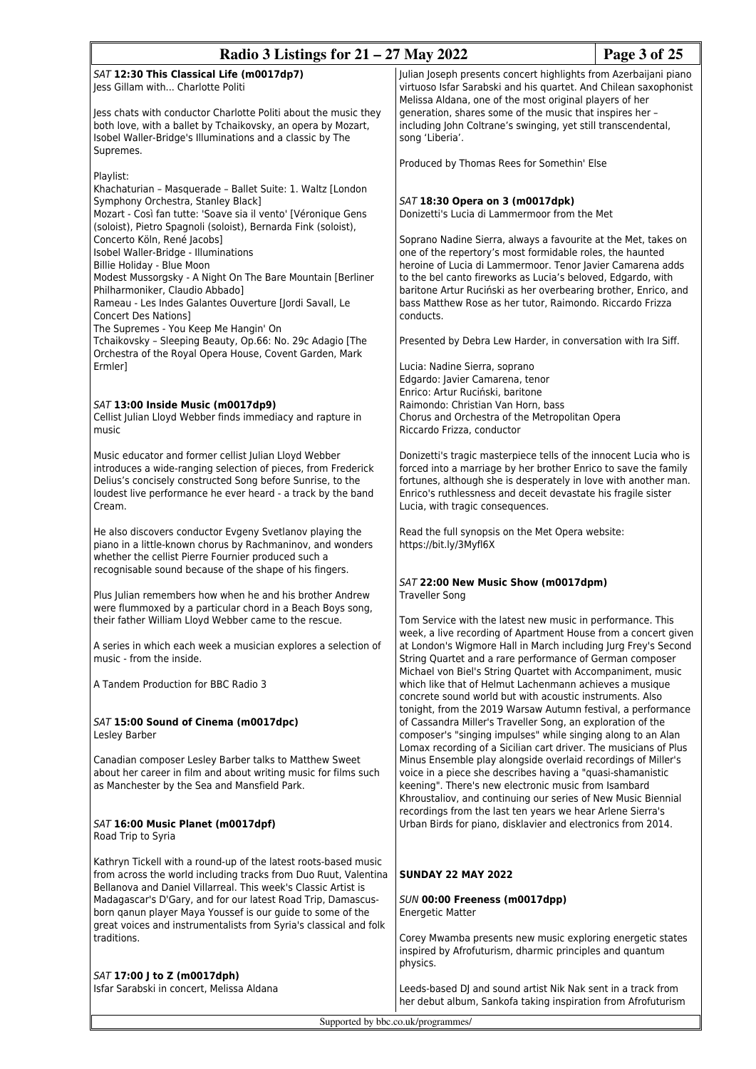| Radio 3 Listings for $21 - 27$ May 2022                                                                                                                                                                                                                                                                                                                                                                                                                                                                                                          |                                                                                                                                                                                                                                                                                                                                                                                                                                                                                                                                         | Page 3 of 25 |  |  |
|--------------------------------------------------------------------------------------------------------------------------------------------------------------------------------------------------------------------------------------------------------------------------------------------------------------------------------------------------------------------------------------------------------------------------------------------------------------------------------------------------------------------------------------------------|-----------------------------------------------------------------------------------------------------------------------------------------------------------------------------------------------------------------------------------------------------------------------------------------------------------------------------------------------------------------------------------------------------------------------------------------------------------------------------------------------------------------------------------------|--------------|--|--|
| SAT 12:30 This Classical Life (m0017dp7)<br>Jess Gillam with Charlotte Politi<br>Jess chats with conductor Charlotte Politi about the music they<br>both love, with a ballet by Tchaikovsky, an opera by Mozart,                                                                                                                                                                                                                                                                                                                                 | Julian Joseph presents concert highlights from Azerbaijani piano<br>virtuoso Isfar Sarabski and his quartet. And Chilean saxophonist<br>Melissa Aldana, one of the most original players of her<br>generation, shares some of the music that inspires her -<br>including John Coltrane's swinging, yet still transcendental,                                                                                                                                                                                                            |              |  |  |
| Isobel Waller-Bridge's Illuminations and a classic by The<br>Supremes.                                                                                                                                                                                                                                                                                                                                                                                                                                                                           | song 'Liberia'.                                                                                                                                                                                                                                                                                                                                                                                                                                                                                                                         |              |  |  |
| Playlist:<br>Khachaturian - Masquerade - Ballet Suite: 1. Waltz [London<br>Symphony Orchestra, Stanley Black]<br>Mozart - Così fan tutte: 'Soave sia il vento' [Véronique Gens<br>(soloist), Pietro Spagnoli (soloist), Bernarda Fink (soloist),<br>Concerto Köln, René Jacobs]<br>Isobel Waller-Bridge - Illuminations<br>Billie Holiday - Blue Moon<br>Modest Mussorgsky - A Night On The Bare Mountain [Berliner<br>Philharmoniker, Claudio Abbado]<br>Rameau - Les Indes Galantes Ouverture [Jordi Savall, Le<br><b>Concert Des Nations1</b> | Produced by Thomas Rees for Somethin' Else<br>SAT 18:30 Opera on 3 (m0017dpk)<br>Donizetti's Lucia di Lammermoor from the Met<br>Soprano Nadine Sierra, always a favourite at the Met, takes on<br>one of the repertory's most formidable roles, the haunted<br>heroine of Lucia di Lammermoor. Tenor Javier Camarena adds<br>to the bel canto fireworks as Lucia's beloved, Edgardo, with<br>baritone Artur Ruciński as her overbearing brother, Enrico, and<br>bass Matthew Rose as her tutor, Raimondo. Riccardo Frizza<br>conducts. |              |  |  |
| The Supremes - You Keep Me Hangin' On<br>Tchaikovsky - Sleeping Beauty, Op.66: No. 29c Adagio [The<br>Orchestra of the Royal Opera House, Covent Garden, Mark                                                                                                                                                                                                                                                                                                                                                                                    | Presented by Debra Lew Harder, in conversation with Ira Siff.                                                                                                                                                                                                                                                                                                                                                                                                                                                                           |              |  |  |
| Ermler]<br>SAT 13:00 Inside Music (m0017dp9)<br>Cellist Julian Lloyd Webber finds immediacy and rapture in<br>music                                                                                                                                                                                                                                                                                                                                                                                                                              | Lucia: Nadine Sierra, soprano<br>Edgardo: Javier Camarena, tenor<br>Enrico: Artur Ruciński, baritone<br>Raimondo: Christian Van Horn, bass<br>Chorus and Orchestra of the Metropolitan Opera<br>Riccardo Frizza, conductor                                                                                                                                                                                                                                                                                                              |              |  |  |
| Music educator and former cellist Julian Lloyd Webber<br>introduces a wide-ranging selection of pieces, from Frederick<br>Delius's concisely constructed Song before Sunrise, to the<br>loudest live performance he ever heard - a track by the band<br>Cream.                                                                                                                                                                                                                                                                                   | Donizetti's tragic masterpiece tells of the innocent Lucia who is<br>forced into a marriage by her brother Enrico to save the family<br>fortunes, although she is desperately in love with another man.<br>Enrico's ruthlessness and deceit devastate his fragile sister<br>Lucia, with tragic consequences.                                                                                                                                                                                                                            |              |  |  |
| He also discovers conductor Evgeny Svetlanov playing the<br>piano in a little-known chorus by Rachmaninov, and wonders<br>whether the cellist Pierre Fournier produced such a<br>recognisable sound because of the shape of his fingers.                                                                                                                                                                                                                                                                                                         | Read the full synopsis on the Met Opera website:<br>https://bit.ly/3Myfl6X                                                                                                                                                                                                                                                                                                                                                                                                                                                              |              |  |  |
| Plus Julian remembers how when he and his brother Andrew<br>were flummoxed by a particular chord in a Beach Boys song,<br>their father William Lloyd Webber came to the rescue.                                                                                                                                                                                                                                                                                                                                                                  | SAT 22:00 New Music Show (m0017dpm)<br><b>Traveller Song</b><br>Tom Service with the latest new music in performance. This<br>week, a live recording of Apartment House from a concert given                                                                                                                                                                                                                                                                                                                                            |              |  |  |
| A series in which each week a musician explores a selection of<br>music - from the inside.                                                                                                                                                                                                                                                                                                                                                                                                                                                       | at London's Wigmore Hall in March including Jurg Frey's Second<br>String Quartet and a rare performance of German composer                                                                                                                                                                                                                                                                                                                                                                                                              |              |  |  |
| A Tandem Production for BBC Radio 3                                                                                                                                                                                                                                                                                                                                                                                                                                                                                                              | Michael von Biel's String Quartet with Accompaniment, music<br>which like that of Helmut Lachenmann achieves a musique<br>concrete sound world but with acoustic instruments. Also                                                                                                                                                                                                                                                                                                                                                      |              |  |  |
| SAT 15:00 Sound of Cinema (m0017dpc)<br>Lesley Barber                                                                                                                                                                                                                                                                                                                                                                                                                                                                                            | tonight, from the 2019 Warsaw Autumn festival, a performance<br>of Cassandra Miller's Traveller Song, an exploration of the<br>composer's "singing impulses" while singing along to an Alan<br>Lomax recording of a Sicilian cart driver. The musicians of Plus                                                                                                                                                                                                                                                                         |              |  |  |
| Canadian composer Lesley Barber talks to Matthew Sweet<br>about her career in film and about writing music for films such<br>as Manchester by the Sea and Mansfield Park.                                                                                                                                                                                                                                                                                                                                                                        | Minus Ensemble play alongside overlaid recordings of Miller's<br>voice in a piece she describes having a "quasi-shamanistic<br>keening". There's new electronic music from Isambard<br>Khroustaliov, and continuing our series of New Music Biennial                                                                                                                                                                                                                                                                                    |              |  |  |
| SAT 16:00 Music Planet (m0017dpf)<br>Road Trip to Syria                                                                                                                                                                                                                                                                                                                                                                                                                                                                                          | recordings from the last ten years we hear Arlene Sierra's<br>Urban Birds for piano, disklavier and electronics from 2014.                                                                                                                                                                                                                                                                                                                                                                                                              |              |  |  |
| Kathryn Tickell with a round-up of the latest roots-based music<br>from across the world including tracks from Duo Ruut, Valentina<br>Bellanova and Daniel Villarreal. This week's Classic Artist is<br>Madagascar's D'Gary, and for our latest Road Trip, Damascus-                                                                                                                                                                                                                                                                             | <b>SUNDAY 22 MAY 2022</b><br>SUN 00:00 Freeness (m0017dpp)                                                                                                                                                                                                                                                                                                                                                                                                                                                                              |              |  |  |
| born qanun player Maya Youssef is our guide to some of the<br>great voices and instrumentalists from Syria's classical and folk<br>traditions.                                                                                                                                                                                                                                                                                                                                                                                                   | <b>Energetic Matter</b><br>Corey Mwamba presents new music exploring energetic states<br>inspired by Afrofuturism, dharmic principles and quantum<br>physics.                                                                                                                                                                                                                                                                                                                                                                           |              |  |  |
| SAT 17:00 J to Z (m0017dph)<br>Isfar Sarabski in concert, Melissa Aldana                                                                                                                                                                                                                                                                                                                                                                                                                                                                         | Leeds-based DJ and sound artist Nik Nak sent in a track from<br>her debut album, Sankofa taking inspiration from Afrofuturism                                                                                                                                                                                                                                                                                                                                                                                                           |              |  |  |
|                                                                                                                                                                                                                                                                                                                                                                                                                                                                                                                                                  | Supported by bbc.co.uk/programmes/                                                                                                                                                                                                                                                                                                                                                                                                                                                                                                      |              |  |  |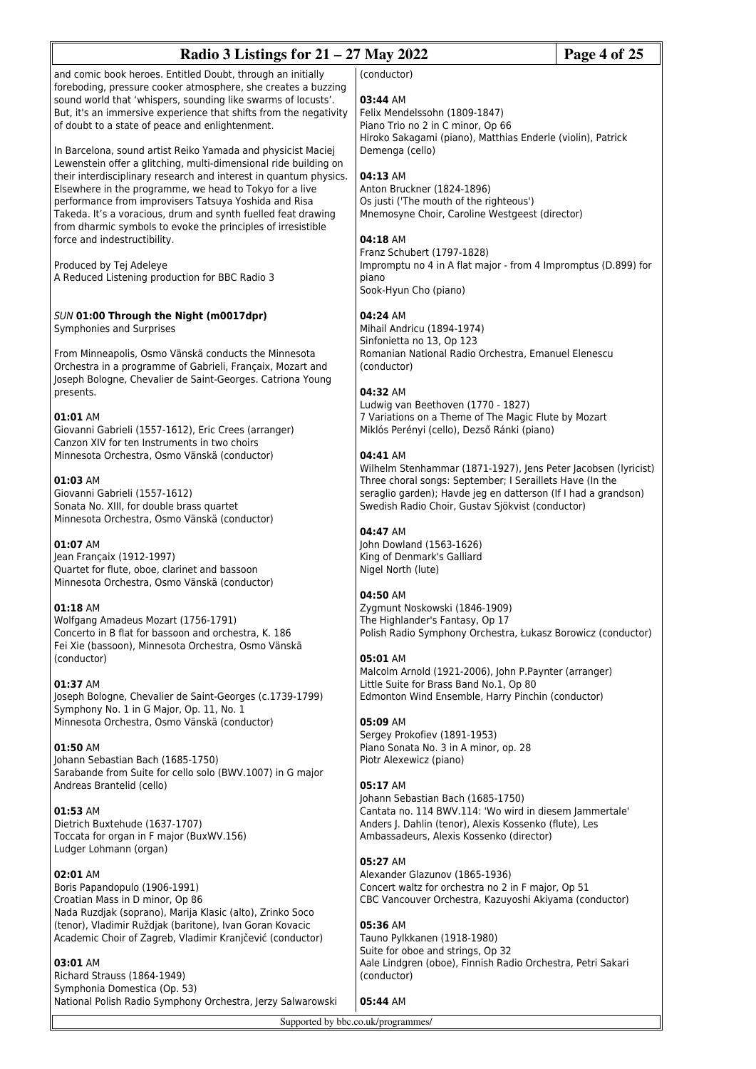| Radio 3 Listings for 21 - 27 May 2022                                                                                                                                                                                                                                                                                                                                                                                                                                                                                                                                   |                                                                                                                                                                                                                                                                                                                                                                                                                       | Page 4 of 25 |
|-------------------------------------------------------------------------------------------------------------------------------------------------------------------------------------------------------------------------------------------------------------------------------------------------------------------------------------------------------------------------------------------------------------------------------------------------------------------------------------------------------------------------------------------------------------------------|-----------------------------------------------------------------------------------------------------------------------------------------------------------------------------------------------------------------------------------------------------------------------------------------------------------------------------------------------------------------------------------------------------------------------|--------------|
| and comic book heroes. Entitled Doubt, through an initially<br>foreboding, pressure cooker atmosphere, she creates a buzzing<br>sound world that 'whispers, sounding like swarms of locusts'.<br>But, it's an immersive experience that shifts from the negativity<br>of doubt to a state of peace and enlightenment.                                                                                                                                                                                                                                                   | (conductor)<br>03:44 AM<br>Felix Mendelssohn (1809-1847)<br>Piano Trio no 2 in C minor, Op 66                                                                                                                                                                                                                                                                                                                         |              |
| In Barcelona, sound artist Reiko Yamada and physicist Maciej<br>Lewenstein offer a glitching, multi-dimensional ride building on<br>their interdisciplinary research and interest in quantum physics.<br>Elsewhere in the programme, we head to Tokyo for a live<br>performance from improvisers Tatsuya Yoshida and Risa<br>Takeda. It's a voracious, drum and synth fuelled feat drawing<br>from dharmic symbols to evoke the principles of irresistible<br>force and indestructibility.<br>Produced by Tej Adeleye<br>A Reduced Listening production for BBC Radio 3 | Hiroko Sakagami (piano), Matthias Enderle (violin), Patrick<br>Demenga (cello)<br>04:13 AM<br>Anton Bruckner (1824-1896)<br>Os justi ('The mouth of the righteous')<br>Mnemosyne Choir, Caroline Westgeest (director)<br>04:18 AM<br>Franz Schubert (1797-1828)<br>Impromptu no 4 in A flat major - from 4 Impromptus (D.899) for<br>piano<br>Sook-Hyun Cho (piano)                                                   |              |
| SUN 01:00 Through the Night (m0017dpr)<br>Symphonies and Surprises<br>From Minneapolis, Osmo Vänskä conducts the Minnesota<br>Orchestra in a programme of Gabrieli, Françaix, Mozart and                                                                                                                                                                                                                                                                                                                                                                                | 04:24 AM<br>Mihail Andricu (1894-1974)<br>Sinfonietta no 13, Op 123<br>Romanian National Radio Orchestra, Emanuel Elenescu<br>(conductor)                                                                                                                                                                                                                                                                             |              |
| Joseph Bologne, Chevalier de Saint-Georges. Catriona Young<br>presents.<br>01:01 AM<br>Giovanni Gabrieli (1557-1612), Eric Crees (arranger)<br>Canzon XIV for ten Instruments in two choirs<br>Minnesota Orchestra, Osmo Vänskä (conductor)<br>01:03 AM<br>Giovanni Gabrieli (1557-1612)<br>Sonata No. XIII, for double brass quartet                                                                                                                                                                                                                                   | 04:32 AM<br>Ludwig van Beethoven (1770 - 1827)<br>7 Variations on a Theme of The Magic Flute by Mozart<br>Miklós Perényi (cello), Dezső Ránki (piano)<br>04:41 AM<br>Wilhelm Stenhammar (1871-1927), Jens Peter Jacobsen (lyricist)<br>Three choral songs: September; I Seraillets Have (In the<br>seraglio garden); Havde jeg en datterson (If I had a grandson)<br>Swedish Radio Choir, Gustav Sjökvist (conductor) |              |
| Minnesota Orchestra, Osmo Vänskä (conductor)<br>01:07 AM<br>Jean Françaix (1912-1997)<br>Quartet for flute, oboe, clarinet and bassoon<br>Minnesota Orchestra, Osmo Vänskä (conductor)                                                                                                                                                                                                                                                                                                                                                                                  | 04:47 AM<br>John Dowland (1563-1626)<br>King of Denmark's Galliard<br>Nigel North (lute)                                                                                                                                                                                                                                                                                                                              |              |
| 01:18 AM<br>Wolfgang Amadeus Mozart (1756-1791)<br>Concerto in B flat for bassoon and orchestra, K. 186<br>Fei Xie (bassoon), Minnesota Orchestra, Osmo Vänskä<br>(conductor)                                                                                                                                                                                                                                                                                                                                                                                           | 04:50 AM<br>Zygmunt Noskowski (1846-1909)<br>The Highlander's Fantasy, Op 17<br>Polish Radio Symphony Orchestra, Łukasz Borowicz (conductor)<br>05:01 AM                                                                                                                                                                                                                                                              |              |
| 01:37 AM<br>Joseph Bologne, Chevalier de Saint-Georges (c.1739-1799)<br>Symphony No. 1 in G Major, Op. 11, No. 1<br>Minnesota Orchestra, Osmo Vänskä (conductor)                                                                                                                                                                                                                                                                                                                                                                                                        | Malcolm Arnold (1921-2006), John P.Paynter (arranger)<br>Little Suite for Brass Band No.1, Op 80<br>Edmonton Wind Ensemble, Harry Pinchin (conductor)<br>05:09 AM<br>Sergey Prokofiev (1891-1953)                                                                                                                                                                                                                     |              |
| 01:50 AM<br>Johann Sebastian Bach (1685-1750)<br>Sarabande from Suite for cello solo (BWV.1007) in G major<br>Andreas Brantelid (cello)                                                                                                                                                                                                                                                                                                                                                                                                                                 | Piano Sonata No. 3 in A minor, op. 28<br>Piotr Alexewicz (piano)<br>05:17 AM<br>Johann Sebastian Bach (1685-1750)                                                                                                                                                                                                                                                                                                     |              |
| 01:53 AM<br>Dietrich Buxtehude (1637-1707)<br>Toccata for organ in F major (BuxWV.156)<br>Ludger Lohmann (organ)                                                                                                                                                                                                                                                                                                                                                                                                                                                        | Cantata no. 114 BWV.114: 'Wo wird in diesem Jammertale'<br>Anders J. Dahlin (tenor), Alexis Kossenko (flute), Les<br>Ambassadeurs, Alexis Kossenko (director)<br>05:27 AM                                                                                                                                                                                                                                             |              |
| 02:01 AM<br>Boris Papandopulo (1906-1991)<br>Croatian Mass in D minor, Op 86<br>Nada Ruzdjak (soprano), Marija Klasic (alto), Zrinko Soco<br>(tenor), Vladimir Ruždjak (baritone), Ivan Goran Kovacic<br>Academic Choir of Zagreb, Vladimir Kranjčević (conductor)                                                                                                                                                                                                                                                                                                      | Alexander Glazunov (1865-1936)<br>Concert waltz for orchestra no 2 in F major, Op 51<br>CBC Vancouver Orchestra, Kazuyoshi Akiyama (conductor)<br>05:36 AM<br>Tauno Pylkkanen (1918-1980)<br>Suite for oboe and strings, Op 32                                                                                                                                                                                        |              |
| 03:01 AM<br>Richard Strauss (1864-1949)                                                                                                                                                                                                                                                                                                                                                                                                                                                                                                                                 | Aale Lindgren (oboe), Finnish Radio Orchestra, Petri Sakari<br>(conductor)                                                                                                                                                                                                                                                                                                                                            |              |

National Polish Radio Symphony Orchestra, Jerzy Salwarowski **05:44** AM

Symphonia Domestica (Op. 53)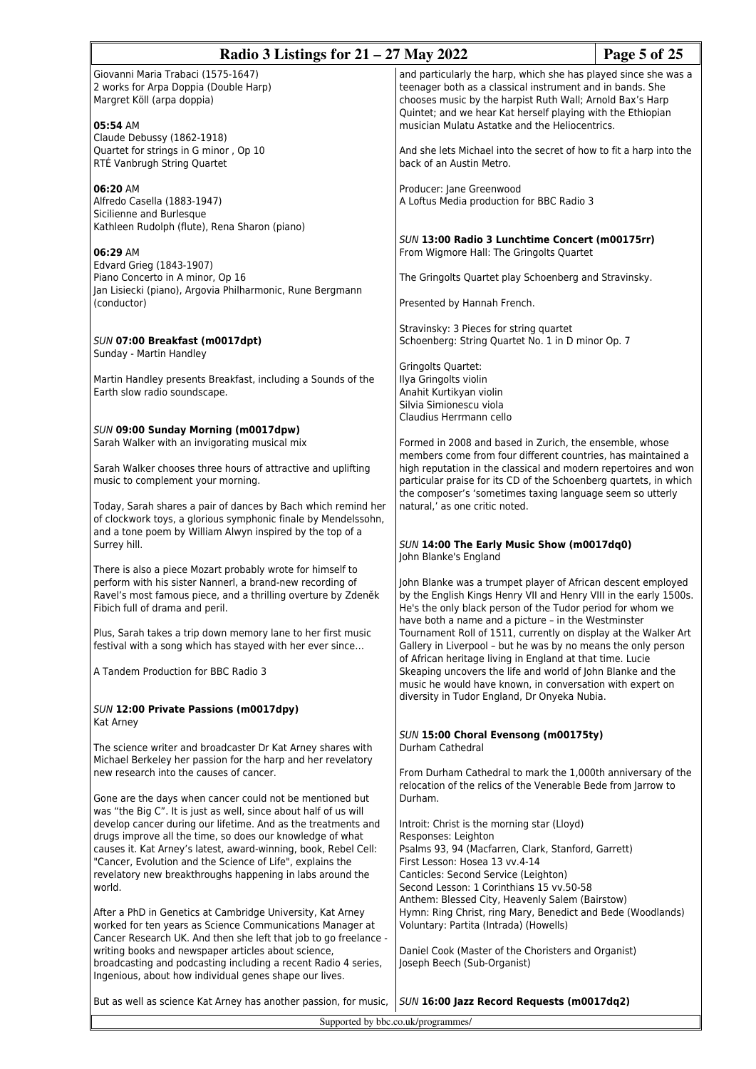| Radio 3 Listings for $21 - 27$ May 2022                                                                                      |                                                                                                                            |              |
|------------------------------------------------------------------------------------------------------------------------------|----------------------------------------------------------------------------------------------------------------------------|--------------|
|                                                                                                                              |                                                                                                                            | Page 5 of 25 |
| Giovanni Maria Trabaci (1575-1647)                                                                                           | and particularly the harp, which she has played since she was a                                                            |              |
| 2 works for Arpa Doppia (Double Harp)<br>Margret Köll (arpa doppia)                                                          | teenager both as a classical instrument and in bands. She<br>chooses music by the harpist Ruth Wall; Arnold Bax's Harp     |              |
|                                                                                                                              | Quintet; and we hear Kat herself playing with the Ethiopian                                                                |              |
| 05:54 AM                                                                                                                     | musician Mulatu Astatke and the Heliocentrics.                                                                             |              |
| Claude Debussy (1862-1918)                                                                                                   |                                                                                                                            |              |
| Quartet for strings in G minor, Op 10                                                                                        | And she lets Michael into the secret of how to fit a harp into the                                                         |              |
| RTÉ Vanbrugh String Quartet                                                                                                  | back of an Austin Metro.                                                                                                   |              |
| 06:20 AM                                                                                                                     | Producer: Jane Greenwood                                                                                                   |              |
| Alfredo Casella (1883-1947)                                                                                                  | A Loftus Media production for BBC Radio 3                                                                                  |              |
| Sicilienne and Burlesque                                                                                                     |                                                                                                                            |              |
| Kathleen Rudolph (flute), Rena Sharon (piano)                                                                                |                                                                                                                            |              |
|                                                                                                                              | SUN 13:00 Radio 3 Lunchtime Concert (m00175rr)                                                                             |              |
| 06:29 AM<br>Edvard Grieg (1843-1907)                                                                                         | From Wigmore Hall: The Gringolts Quartet                                                                                   |              |
| Piano Concerto in A minor, Op 16                                                                                             | The Gringolts Quartet play Schoenberg and Stravinsky.                                                                      |              |
| Jan Lisiecki (piano), Argovia Philharmonic, Rune Bergmann                                                                    |                                                                                                                            |              |
| (conductor)                                                                                                                  | Presented by Hannah French.                                                                                                |              |
|                                                                                                                              |                                                                                                                            |              |
| SUN 07:00 Breakfast (m0017dpt)                                                                                               | Stravinsky: 3 Pieces for string quartet<br>Schoenberg: String Quartet No. 1 in D minor Op. 7                               |              |
| Sunday - Martin Handley                                                                                                      |                                                                                                                            |              |
|                                                                                                                              | Gringolts Quartet:                                                                                                         |              |
| Martin Handley presents Breakfast, including a Sounds of the                                                                 | Ilya Gringolts violin                                                                                                      |              |
| Earth slow radio soundscape.                                                                                                 | Anahit Kurtikyan violin                                                                                                    |              |
|                                                                                                                              | Silvia Simionescu viola                                                                                                    |              |
| SUN 09:00 Sunday Morning (m0017dpw)                                                                                          | Claudius Herrmann cello                                                                                                    |              |
| Sarah Walker with an invigorating musical mix                                                                                | Formed in 2008 and based in Zurich, the ensemble, whose                                                                    |              |
|                                                                                                                              | members come from four different countries, has maintained a                                                               |              |
| Sarah Walker chooses three hours of attractive and uplifting                                                                 | high reputation in the classical and modern repertoires and won                                                            |              |
| music to complement your morning.                                                                                            | particular praise for its CD of the Schoenberg quartets, in which                                                          |              |
| Today, Sarah shares a pair of dances by Bach which remind her                                                                | the composer's 'sometimes taxing language seem so utterly<br>natural,' as one critic noted.                                |              |
| of clockwork toys, a glorious symphonic finale by Mendelssohn,                                                               |                                                                                                                            |              |
| and a tone poem by William Alwyn inspired by the top of a                                                                    |                                                                                                                            |              |
| Surrey hill.                                                                                                                 | SUN 14:00 The Early Music Show (m0017dq0)                                                                                  |              |
|                                                                                                                              | John Blanke's England                                                                                                      |              |
| There is also a piece Mozart probably wrote for himself to<br>perform with his sister Nannerl, a brand-new recording of      | John Blanke was a trumpet player of African descent employed                                                               |              |
| Ravel's most famous piece, and a thrilling overture by Zdeněk                                                                | by the English Kings Henry VII and Henry VIII in the early 1500s.                                                          |              |
| Fibich full of drama and peril.                                                                                              | He's the only black person of the Tudor period for whom we                                                                 |              |
|                                                                                                                              | have both a name and a picture - in the Westminster                                                                        |              |
| Plus, Sarah takes a trip down memory lane to her first music                                                                 | Tournament Roll of 1511, currently on display at the Walker Art                                                            |              |
| festival with a song which has stayed with her ever since                                                                    | Gallery in Liverpool - but he was by no means the only person<br>of African heritage living in England at that time. Lucie |              |
| A Tandem Production for BBC Radio 3                                                                                          | Skeaping uncovers the life and world of John Blanke and the                                                                |              |
|                                                                                                                              | music he would have known, in conversation with expert on                                                                  |              |
|                                                                                                                              | diversity in Tudor England, Dr Onyeka Nubia.                                                                               |              |
| SUN 12:00 Private Passions (m0017dpy)                                                                                        |                                                                                                                            |              |
| Kat Arney                                                                                                                    | SUN 15:00 Choral Evensong (m00175ty)                                                                                       |              |
| The science writer and broadcaster Dr Kat Arney shares with                                                                  | Durham Cathedral                                                                                                           |              |
| Michael Berkeley her passion for the harp and her revelatory                                                                 |                                                                                                                            |              |
| new research into the causes of cancer.                                                                                      | From Durham Cathedral to mark the 1,000th anniversary of the                                                               |              |
|                                                                                                                              | relocation of the relics of the Venerable Bede from Jarrow to                                                              |              |
| Gone are the days when cancer could not be mentioned but<br>was "the Big C". It is just as well, since about half of us will | Durham.                                                                                                                    |              |
| develop cancer during our lifetime. And as the treatments and                                                                | Introit: Christ is the morning star (Lloyd)                                                                                |              |
| drugs improve all the time, so does our knowledge of what                                                                    | Responses: Leighton                                                                                                        |              |
| causes it. Kat Arney's latest, award-winning, book, Rebel Cell:                                                              | Psalms 93, 94 (Macfarren, Clark, Stanford, Garrett)                                                                        |              |
| "Cancer, Evolution and the Science of Life", explains the                                                                    | First Lesson: Hosea 13 vv.4-14                                                                                             |              |
| revelatory new breakthroughs happening in labs around the<br>world.                                                          | Canticles: Second Service (Leighton)<br>Second Lesson: 1 Corinthians 15 vv.50-58                                           |              |
|                                                                                                                              | Anthem: Blessed City, Heavenly Salem (Bairstow)                                                                            |              |
| After a PhD in Genetics at Cambridge University, Kat Arney                                                                   | Hymn: Ring Christ, ring Mary, Benedict and Bede (Woodlands)                                                                |              |
| worked for ten years as Science Communications Manager at                                                                    | Voluntary: Partita (Intrada) (Howells)                                                                                     |              |
| Cancer Research UK. And then she left that job to go freelance -                                                             |                                                                                                                            |              |
| writing books and newspaper articles about science,<br>broadcasting and podcasting including a recent Radio 4 series,        | Daniel Cook (Master of the Choristers and Organist)<br>Joseph Beech (Sub-Organist)                                         |              |
| Ingenious, about how individual genes shape our lives.                                                                       |                                                                                                                            |              |
|                                                                                                                              |                                                                                                                            |              |
| But as well as science Kat Arney has another passion, for music, SUN 16:00 Jazz Record Requests (m0017dq2)                   |                                                                                                                            |              |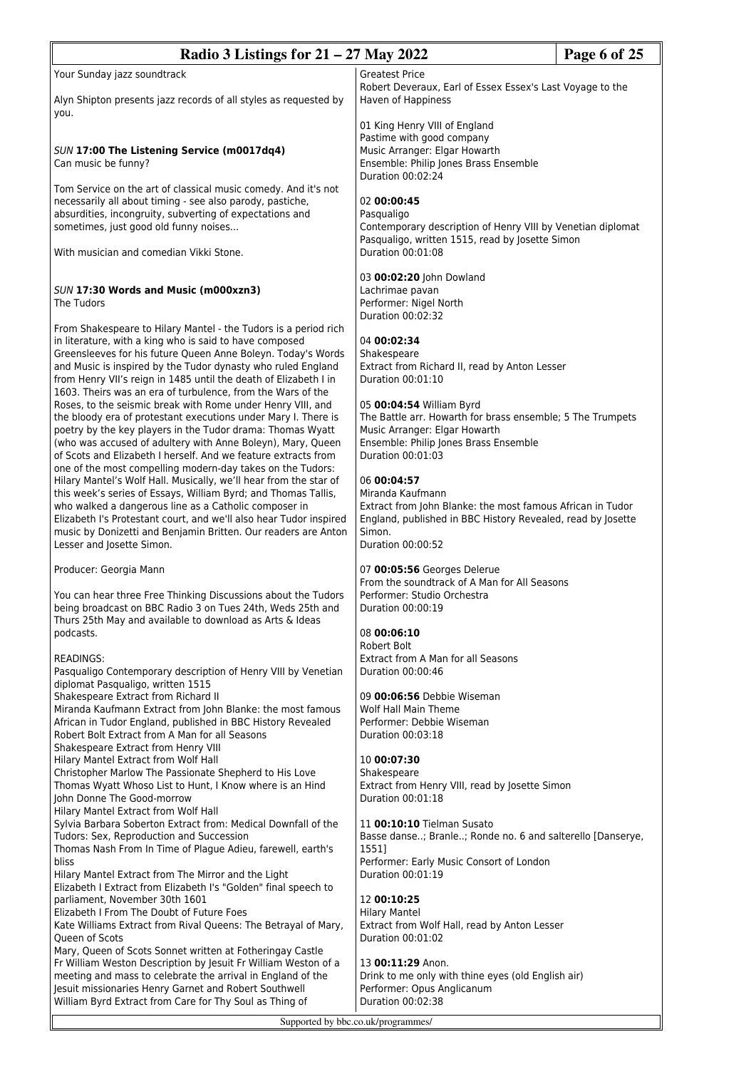| Radio 3 Listings for $21 - 27$ May 2022<br>Page 6 of 25                                                                         |                                                                                          |  |  |
|---------------------------------------------------------------------------------------------------------------------------------|------------------------------------------------------------------------------------------|--|--|
| Your Sunday jazz soundtrack                                                                                                     | <b>Greatest Price</b>                                                                    |  |  |
| Alyn Shipton presents jazz records of all styles as requested by                                                                | Robert Deveraux, Earl of Essex Essex's Last Voyage to the<br>Haven of Happiness          |  |  |
| you.                                                                                                                            |                                                                                          |  |  |
|                                                                                                                                 | 01 King Henry VIII of England<br>Pastime with good company                               |  |  |
| SUN 17:00 The Listening Service (m0017dq4)                                                                                      | Music Arranger: Elgar Howarth                                                            |  |  |
| Can music be funny?                                                                                                             | Ensemble: Philip Jones Brass Ensemble<br>Duration 00:02:24                               |  |  |
| Tom Service on the art of classical music comedy. And it's not                                                                  |                                                                                          |  |  |
| necessarily all about timing - see also parody, pastiche,<br>absurdities, incongruity, subverting of expectations and           | 02 00:00:45<br>Pasqualigo                                                                |  |  |
| sometimes, just good old funny noises                                                                                           | Contemporary description of Henry VIII by Venetian diplomat                              |  |  |
| With musician and comedian Vikki Stone.                                                                                         | Pasqualigo, written 1515, read by Josette Simon<br>Duration 00:01:08                     |  |  |
|                                                                                                                                 |                                                                                          |  |  |
| SUN 17:30 Words and Music (m000xzn3)                                                                                            | 03 00:02:20 John Dowland<br>Lachrimae pavan                                              |  |  |
| The Tudors                                                                                                                      | Performer: Nigel North                                                                   |  |  |
| From Shakespeare to Hilary Mantel - the Tudors is a period rich                                                                 | Duration 00:02:32                                                                        |  |  |
| in literature, with a king who is said to have composed                                                                         | 04 00:02:34                                                                              |  |  |
| Greensleeves for his future Queen Anne Boleyn. Today's Words<br>and Music is inspired by the Tudor dynasty who ruled England    | Shakespeare<br>Extract from Richard II, read by Anton Lesser                             |  |  |
| from Henry VII's reign in 1485 until the death of Elizabeth I in                                                                | Duration 00:01:10                                                                        |  |  |
| 1603. Theirs was an era of turbulence, from the Wars of the<br>Roses, to the seismic break with Rome under Henry VIII, and      | 05 00:04:54 William Byrd                                                                 |  |  |
| the bloody era of protestant executions under Mary I. There is                                                                  | The Battle arr. Howarth for brass ensemble; 5 The Trumpets                               |  |  |
| poetry by the key players in the Tudor drama: Thomas Wyatt<br>(who was accused of adultery with Anne Boleyn), Mary, Queen       | Music Arranger: Elgar Howarth<br>Ensemble: Philip Jones Brass Ensemble                   |  |  |
| of Scots and Elizabeth I herself. And we feature extracts from                                                                  | Duration 00:01:03                                                                        |  |  |
| one of the most compelling modern-day takes on the Tudors:<br>Hilary Mantel's Wolf Hall. Musically, we'll hear from the star of | 06 00:04:57                                                                              |  |  |
| this week's series of Essays, William Byrd; and Thomas Tallis,<br>who walked a dangerous line as a Catholic composer in         | Miranda Kaufmann<br>Extract from John Blanke: the most famous African in Tudor           |  |  |
| Elizabeth I's Protestant court, and we'll also hear Tudor inspired                                                              | England, published in BBC History Revealed, read by Josette                              |  |  |
| music by Donizetti and Benjamin Britten. Our readers are Anton<br>Lesser and Josette Simon.                                     | Simon.<br>Duration 00:00:52                                                              |  |  |
|                                                                                                                                 |                                                                                          |  |  |
| Producer: Georgia Mann                                                                                                          | 07 00:05:56 Georges Delerue<br>From the soundtrack of A Man for All Seasons              |  |  |
| You can hear three Free Thinking Discussions about the Tudors                                                                   | Performer: Studio Orchestra                                                              |  |  |
| being broadcast on BBC Radio 3 on Tues 24th, Weds 25th and<br>Thurs 25th May and available to download as Arts & Ideas          | Duration 00:00:19                                                                        |  |  |
| podcasts.                                                                                                                       | 08 00:06:10                                                                              |  |  |
| READINGS:                                                                                                                       | Robert Bolt<br>Extract from A Man for all Seasons                                        |  |  |
| Pasqualigo Contemporary description of Henry VIII by Venetian                                                                   | Duration 00:00:46                                                                        |  |  |
| diplomat Pasqualigo, written 1515<br>Shakespeare Extract from Richard II                                                        | 09 00:06:56 Debbie Wiseman                                                               |  |  |
| Miranda Kaufmann Extract from John Blanke: the most famous                                                                      | Wolf Hall Main Theme                                                                     |  |  |
| African in Tudor England, published in BBC History Revealed<br>Robert Bolt Extract from A Man for all Seasons                   | Performer: Debbie Wiseman<br>Duration 00:03:18                                           |  |  |
| Shakespeare Extract from Henry VIII                                                                                             | 10 00:07:30                                                                              |  |  |
| Hilary Mantel Extract from Wolf Hall<br>Christopher Marlow The Passionate Shepherd to His Love                                  | Shakespeare                                                                              |  |  |
| Thomas Wyatt Whoso List to Hunt, I Know where is an Hind<br>John Donne The Good-morrow                                          | Extract from Henry VIII, read by Josette Simon<br>Duration 00:01:18                      |  |  |
| Hilary Mantel Extract from Wolf Hall                                                                                            |                                                                                          |  |  |
| Sylvia Barbara Soberton Extract from: Medical Downfall of the<br>Tudors: Sex, Reproduction and Succession                       | 11 00:10:10 Tielman Susato<br>Basse danse; Branle; Ronde no. 6 and salterello [Danserye, |  |  |
| Thomas Nash From In Time of Plague Adieu, farewell, earth's                                                                     | 1551]                                                                                    |  |  |
| bliss<br>Hilary Mantel Extract from The Mirror and the Light                                                                    | Performer: Early Music Consort of London<br>Duration 00:01:19                            |  |  |
| Elizabeth I Extract from Elizabeth I's "Golden" final speech to                                                                 |                                                                                          |  |  |
| parliament, November 30th 1601<br>Elizabeth I From The Doubt of Future Foes                                                     | 12 00:10:25<br><b>Hilary Mantel</b>                                                      |  |  |
| Kate Williams Extract from Rival Queens: The Betrayal of Mary,                                                                  | Extract from Wolf Hall, read by Anton Lesser                                             |  |  |
| Queen of Scots<br>Mary, Queen of Scots Sonnet written at Fotheringay Castle                                                     | Duration 00:01:02                                                                        |  |  |
| Fr William Weston Description by Jesuit Fr William Weston of a                                                                  | 13 00:11:29 Anon.                                                                        |  |  |
| meeting and mass to celebrate the arrival in England of the<br>Jesuit missionaries Henry Garnet and Robert Southwell            | Drink to me only with thine eyes (old English air)<br>Performer: Opus Anglicanum         |  |  |
| William Byrd Extract from Care for Thy Soul as Thing of                                                                         | Duration 00:02:38                                                                        |  |  |
| Supported by bbc.co.uk/programmes/                                                                                              |                                                                                          |  |  |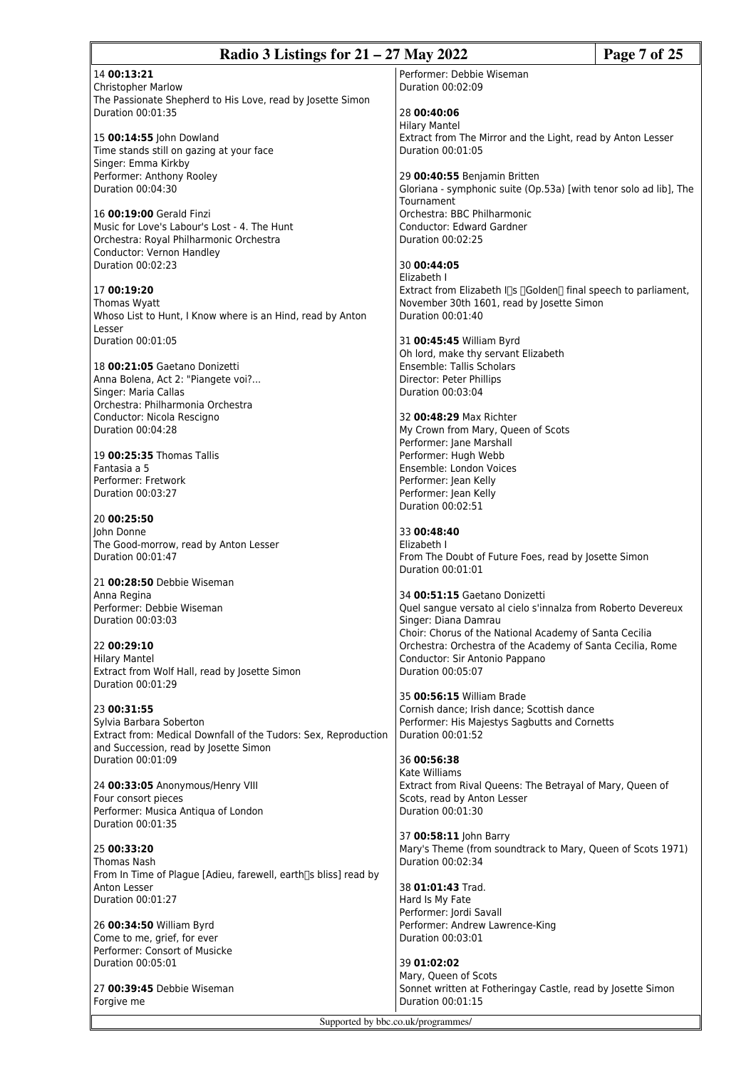| Radio 3 Listings for $21 - 27$ May 2022<br>Page 7 of 25                                    |                                                                                                                      |                                    |  |  |
|--------------------------------------------------------------------------------------------|----------------------------------------------------------------------------------------------------------------------|------------------------------------|--|--|
| 14 00:13:21                                                                                | Performer: Debbie Wiseman                                                                                            |                                    |  |  |
| <b>Christopher Marlow</b>                                                                  | Duration 00:02:09                                                                                                    |                                    |  |  |
| The Passionate Shepherd to His Love, read by Josette Simon                                 |                                                                                                                      |                                    |  |  |
| Duration 00:01:35                                                                          | 28 00:40:06                                                                                                          |                                    |  |  |
| 15 00:14:55 John Dowland                                                                   | <b>Hilary Mantel</b><br>Extract from The Mirror and the Light, read by Anton Lesser                                  |                                    |  |  |
| Time stands still on gazing at your face                                                   | Duration 00:01:05                                                                                                    |                                    |  |  |
| Singer: Emma Kirkby                                                                        |                                                                                                                      |                                    |  |  |
| Performer: Anthony Rooley<br>Duration 00:04:30                                             | 29 00:40:55 Benjamin Britten<br>Gloriana - symphonic suite (Op.53a) [with tenor solo ad lib], The                    |                                    |  |  |
|                                                                                            | Tournament                                                                                                           |                                    |  |  |
| 16 00:19:00 Gerald Finzi                                                                   | Orchestra: BBC Philharmonic                                                                                          |                                    |  |  |
| Music for Love's Labour's Lost - 4. The Hunt                                               | Conductor: Edward Gardner                                                                                            |                                    |  |  |
| Orchestra: Royal Philharmonic Orchestra<br>Conductor: Vernon Handley                       | Duration 00:02:25                                                                                                    |                                    |  |  |
| Duration 00:02:23                                                                          | 30 00:44:05                                                                                                          |                                    |  |  |
|                                                                                            | Elizabeth I                                                                                                          |                                    |  |  |
| 17 00:19:20                                                                                | Extract from Elizabeth I[]s []Golden[] final speech to parliament,                                                   |                                    |  |  |
| Thomas Wyatt<br>Whoso List to Hunt, I Know where is an Hind, read by Anton                 | November 30th 1601, read by Josette Simon<br>Duration 00:01:40                                                       |                                    |  |  |
| Lesser                                                                                     |                                                                                                                      |                                    |  |  |
| Duration 00:01:05                                                                          | 31 00:45:45 William Byrd                                                                                             |                                    |  |  |
| 18 00:21:05 Gaetano Donizetti                                                              | Oh lord, make thy servant Elizabeth<br>Ensemble: Tallis Scholars                                                     |                                    |  |  |
| Anna Bolena, Act 2: "Piangete voi?                                                         | Director: Peter Phillips                                                                                             |                                    |  |  |
| Singer: Maria Callas                                                                       | Duration 00:03:04                                                                                                    |                                    |  |  |
| Orchestra: Philharmonia Orchestra                                                          |                                                                                                                      |                                    |  |  |
| Conductor: Nicola Rescigno<br>Duration 00:04:28                                            | 32 00:48:29 Max Richter<br>My Crown from Mary, Queen of Scots                                                        |                                    |  |  |
|                                                                                            | Performer: Jane Marshall                                                                                             |                                    |  |  |
| 19 00:25:35 Thomas Tallis                                                                  | Performer: Hugh Webb                                                                                                 |                                    |  |  |
| Fantasia a 5<br>Performer: Fretwork                                                        | Ensemble: London Voices                                                                                              |                                    |  |  |
| Duration 00:03:27                                                                          | Performer: Jean Kelly<br>Performer: Jean Kelly                                                                       |                                    |  |  |
|                                                                                            | Duration 00:02:51                                                                                                    |                                    |  |  |
| 20 00:25:50                                                                                |                                                                                                                      |                                    |  |  |
| John Donne<br>The Good-morrow, read by Anton Lesser                                        | 33 00:48:40<br>Elizabeth I                                                                                           |                                    |  |  |
| Duration 00:01:47                                                                          | From The Doubt of Future Foes, read by Josette Simon                                                                 |                                    |  |  |
|                                                                                            | Duration 00:01:01                                                                                                    |                                    |  |  |
| 21 00:28:50 Debbie Wiseman<br>Anna Regina                                                  | 34 00:51:15 Gaetano Donizetti                                                                                        |                                    |  |  |
| Performer: Debbie Wiseman                                                                  | Quel sangue versato al cielo s'innalza from Roberto Devereux                                                         |                                    |  |  |
| Duration 00:03:03                                                                          | Singer: Diana Damrau                                                                                                 |                                    |  |  |
| 22 00:29:10                                                                                | Choir: Chorus of the National Academy of Santa Cecilia<br>Orchestra: Orchestra of the Academy of Santa Cecilia, Rome |                                    |  |  |
| <b>Hilary Mantel</b>                                                                       | Conductor: Sir Antonio Pappano                                                                                       |                                    |  |  |
| Extract from Wolf Hall, read by Josette Simon                                              | Duration 00:05:07                                                                                                    |                                    |  |  |
| Duration 00:01:29                                                                          |                                                                                                                      |                                    |  |  |
| 23 00:31:55                                                                                | 35 00:56:15 William Brade<br>Cornish dance; Irish dance; Scottish dance                                              |                                    |  |  |
| Sylvia Barbara Soberton                                                                    | Performer: His Majestys Sagbutts and Cornetts                                                                        |                                    |  |  |
| Extract from: Medical Downfall of the Tudors: Sex, Reproduction                            | Duration 00:01:52                                                                                                    |                                    |  |  |
| and Succession, read by Josette Simon<br>Duration 00:01:09                                 | 36 00:56:38                                                                                                          |                                    |  |  |
|                                                                                            | Kate Williams                                                                                                        |                                    |  |  |
| 24 00:33:05 Anonymous/Henry VIII                                                           | Extract from Rival Queens: The Betrayal of Mary, Queen of                                                            |                                    |  |  |
| Four consort pieces                                                                        | Scots, read by Anton Lesser                                                                                          |                                    |  |  |
| Performer: Musica Antiqua of London<br>Duration 00:01:35                                   | Duration 00:01:30                                                                                                    |                                    |  |  |
|                                                                                            | 37 00:58:11 John Barry                                                                                               |                                    |  |  |
| 25 00:33:20                                                                                | Mary's Theme (from soundtrack to Mary, Queen of Scots 1971)                                                          |                                    |  |  |
| Thomas Nash<br>From In Time of Plague [Adieu, farewell, earth <sup>[5</sup> bliss] read by | Duration 00:02:34                                                                                                    |                                    |  |  |
| Anton Lesser                                                                               | 38 01:01:43 Trad.                                                                                                    |                                    |  |  |
| Duration 00:01:27                                                                          | Hard Is My Fate                                                                                                      |                                    |  |  |
|                                                                                            | Performer: Jordi Savall                                                                                              |                                    |  |  |
| 26 00:34:50 William Byrd<br>Come to me, grief, for ever                                    | Performer: Andrew Lawrence-King<br>Duration 00:03:01                                                                 |                                    |  |  |
| Performer: Consort of Musicke                                                              |                                                                                                                      |                                    |  |  |
| Duration 00:05:01                                                                          | 39 01:02:02                                                                                                          |                                    |  |  |
|                                                                                            | Mary, Queen of Scots                                                                                                 |                                    |  |  |
| 27 00:39:45 Debbie Wiseman<br>Forgive me                                                   | Sonnet written at Fotheringay Castle, read by Josette Simon<br>Duration 00:01:15                                     |                                    |  |  |
|                                                                                            |                                                                                                                      |                                    |  |  |
|                                                                                            |                                                                                                                      | Supported by bbc.co.uk/programmes/ |  |  |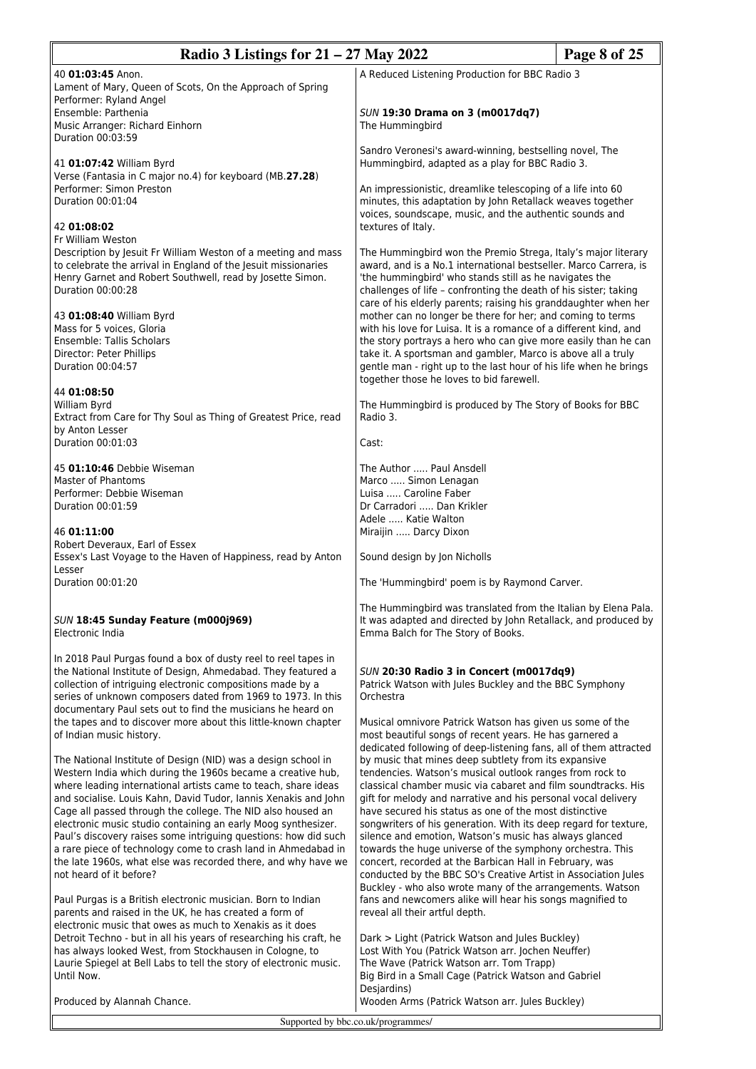| Radio 3 Listings for $21 - 27$ May 2022                                                                                                                                                                                                                                                                                                                                                                                                                                                                                                                                                                                           |                                                                                                                                                                                                                                                                                                                                                                                                                                                                                                                                                                                                                                                                                                   | Page 8 of 25 |
|-----------------------------------------------------------------------------------------------------------------------------------------------------------------------------------------------------------------------------------------------------------------------------------------------------------------------------------------------------------------------------------------------------------------------------------------------------------------------------------------------------------------------------------------------------------------------------------------------------------------------------------|---------------------------------------------------------------------------------------------------------------------------------------------------------------------------------------------------------------------------------------------------------------------------------------------------------------------------------------------------------------------------------------------------------------------------------------------------------------------------------------------------------------------------------------------------------------------------------------------------------------------------------------------------------------------------------------------------|--------------|
| 40 01:03:45 Anon.                                                                                                                                                                                                                                                                                                                                                                                                                                                                                                                                                                                                                 | A Reduced Listening Production for BBC Radio 3                                                                                                                                                                                                                                                                                                                                                                                                                                                                                                                                                                                                                                                    |              |
| Lament of Mary, Queen of Scots, On the Approach of Spring<br>Performer: Ryland Angel<br>Ensemble: Parthenia<br>Music Arranger: Richard Einhorn                                                                                                                                                                                                                                                                                                                                                                                                                                                                                    | SUN 19:30 Drama on 3 (m0017dq7)<br>The Hummingbird                                                                                                                                                                                                                                                                                                                                                                                                                                                                                                                                                                                                                                                |              |
| Duration 00:03:59                                                                                                                                                                                                                                                                                                                                                                                                                                                                                                                                                                                                                 |                                                                                                                                                                                                                                                                                                                                                                                                                                                                                                                                                                                                                                                                                                   |              |
| 41 01:07:42 William Byrd<br>Verse (Fantasia in C major no.4) for keyboard (MB.27.28)<br>Performer: Simon Preston<br>Duration 00:01:04                                                                                                                                                                                                                                                                                                                                                                                                                                                                                             | Sandro Veronesi's award-winning, bestselling novel, The<br>Hummingbird, adapted as a play for BBC Radio 3.<br>An impressionistic, dreamlike telescoping of a life into 60<br>minutes, this adaptation by John Retallack weaves together<br>voices, soundscape, music, and the authentic sounds and                                                                                                                                                                                                                                                                                                                                                                                                |              |
| 42 01:08:02                                                                                                                                                                                                                                                                                                                                                                                                                                                                                                                                                                                                                       | textures of Italy.                                                                                                                                                                                                                                                                                                                                                                                                                                                                                                                                                                                                                                                                                |              |
| Fr William Weston<br>Description by Jesuit Fr William Weston of a meeting and mass<br>to celebrate the arrival in England of the Jesuit missionaries<br>Henry Garnet and Robert Southwell, read by Josette Simon.<br>Duration 00:00:28                                                                                                                                                                                                                                                                                                                                                                                            | The Hummingbird won the Premio Strega, Italy's major literary<br>award, and is a No.1 international bestseller. Marco Carrera, is<br>'the hummingbird' who stands still as he navigates the<br>challenges of life - confronting the death of his sister; taking                                                                                                                                                                                                                                                                                                                                                                                                                                   |              |
| 43 01:08:40 William Byrd<br>Mass for 5 voices. Gloria<br>Ensemble: Tallis Scholars<br>Director: Peter Phillips<br>Duration 00:04:57                                                                                                                                                                                                                                                                                                                                                                                                                                                                                               | care of his elderly parents; raising his granddaughter when her<br>mother can no longer be there for her; and coming to terms<br>with his love for Luisa. It is a romance of a different kind, and<br>the story portrays a hero who can give more easily than he can<br>take it. A sportsman and gambler, Marco is above all a truly<br>gentle man - right up to the last hour of his life when he brings<br>together those he loves to bid farewell.                                                                                                                                                                                                                                             |              |
| 44 01:08:50<br>William Byrd<br>Extract from Care for Thy Soul as Thing of Greatest Price, read<br>by Anton Lesser<br>Duration 00:01:03                                                                                                                                                                                                                                                                                                                                                                                                                                                                                            | The Hummingbird is produced by The Story of Books for BBC<br>Radio 3.<br>Cast:                                                                                                                                                                                                                                                                                                                                                                                                                                                                                                                                                                                                                    |              |
| 45 01:10:46 Debbie Wiseman                                                                                                                                                                                                                                                                                                                                                                                                                                                                                                                                                                                                        | The Author  Paul Ansdell                                                                                                                                                                                                                                                                                                                                                                                                                                                                                                                                                                                                                                                                          |              |
| <b>Master of Phantoms</b><br>Performer: Debbie Wiseman<br>Duration 00:01:59                                                                                                                                                                                                                                                                                                                                                                                                                                                                                                                                                       | Marco  Simon Lenagan<br>Luisa  Caroline Faber<br>Dr Carradori  Dan Krikler<br>Adele  Katie Walton                                                                                                                                                                                                                                                                                                                                                                                                                                                                                                                                                                                                 |              |
| 46 01:11:00<br>Robert Deveraux, Earl of Essex<br>Essex's Last Voyage to the Haven of Happiness, read by Anton                                                                                                                                                                                                                                                                                                                                                                                                                                                                                                                     | Miraijin  Darcy Dixon<br>Sound design by Jon Nicholls                                                                                                                                                                                                                                                                                                                                                                                                                                                                                                                                                                                                                                             |              |
| Lesser<br>Duration 00:01:20                                                                                                                                                                                                                                                                                                                                                                                                                                                                                                                                                                                                       |                                                                                                                                                                                                                                                                                                                                                                                                                                                                                                                                                                                                                                                                                                   |              |
|                                                                                                                                                                                                                                                                                                                                                                                                                                                                                                                                                                                                                                   | The 'Hummingbird' poem is by Raymond Carver.                                                                                                                                                                                                                                                                                                                                                                                                                                                                                                                                                                                                                                                      |              |
| SUN 18:45 Sunday Feature (m000j969)<br>Electronic India                                                                                                                                                                                                                                                                                                                                                                                                                                                                                                                                                                           | The Hummingbird was translated from the Italian by Elena Pala.<br>It was adapted and directed by John Retallack, and produced by<br>Emma Balch for The Story of Books.                                                                                                                                                                                                                                                                                                                                                                                                                                                                                                                            |              |
| In 2018 Paul Purgas found a box of dusty reel to reel tapes in<br>the National Institute of Design, Ahmedabad. They featured a<br>collection of intriguing electronic compositions made by a<br>series of unknown composers dated from 1969 to 1973. In this<br>documentary Paul sets out to find the musicians he heard on                                                                                                                                                                                                                                                                                                       | SUN 20:30 Radio 3 in Concert (m0017dq9)<br>Patrick Watson with Jules Buckley and the BBC Symphony<br>Orchestra                                                                                                                                                                                                                                                                                                                                                                                                                                                                                                                                                                                    |              |
| the tapes and to discover more about this little-known chapter<br>of Indian music history.                                                                                                                                                                                                                                                                                                                                                                                                                                                                                                                                        | Musical omnivore Patrick Watson has given us some of the<br>most beautiful songs of recent years. He has garnered a<br>dedicated following of deep-listening fans, all of them attracted                                                                                                                                                                                                                                                                                                                                                                                                                                                                                                          |              |
| The National Institute of Design (NID) was a design school in<br>Western India which during the 1960s became a creative hub,<br>where leading international artists came to teach, share ideas<br>and socialise. Louis Kahn, David Tudor, Iannis Xenakis and John<br>Cage all passed through the college. The NID also housed an<br>electronic music studio containing an early Moog synthesizer.<br>Paul's discovery raises some intriguing questions: how did such<br>a rare piece of technology come to crash land in Ahmedabad in<br>the late 1960s, what else was recorded there, and why have we<br>not heard of it before? | by music that mines deep subtlety from its expansive<br>tendencies. Watson's musical outlook ranges from rock to<br>classical chamber music via cabaret and film soundtracks. His<br>gift for melody and narrative and his personal vocal delivery<br>have secured his status as one of the most distinctive<br>songwriters of his generation. With its deep regard for texture,<br>silence and emotion, Watson's music has always glanced<br>towards the huge universe of the symphony orchestra. This<br>concert, recorded at the Barbican Hall in February, was<br>conducted by the BBC SO's Creative Artist in Association Jules<br>Buckley - who also wrote many of the arrangements. Watson |              |
| Paul Purgas is a British electronic musician. Born to Indian<br>parents and raised in the UK, he has created a form of<br>electronic music that owes as much to Xenakis as it does<br>Detroit Techno - but in all his years of researching his craft, he                                                                                                                                                                                                                                                                                                                                                                          | fans and newcomers alike will hear his songs magnified to<br>reveal all their artful depth.<br>Dark > Light (Patrick Watson and Jules Buckley)                                                                                                                                                                                                                                                                                                                                                                                                                                                                                                                                                    |              |

Lost With You (Patrick Watson arr. Jochen Neuffer) The Wave (Patrick Watson arr. Tom Trapp) Big Bird in a Small Cage (Patrick Watson and Gabriel Desjardins) Wooden Arms (Patrick Watson arr. Jules Buckley)

Produced by Alannah Chance.

Until Now.

has always looked West, from Stockhausen in Cologne, to Laurie Spiegel at Bell Labs to tell the story of electronic music.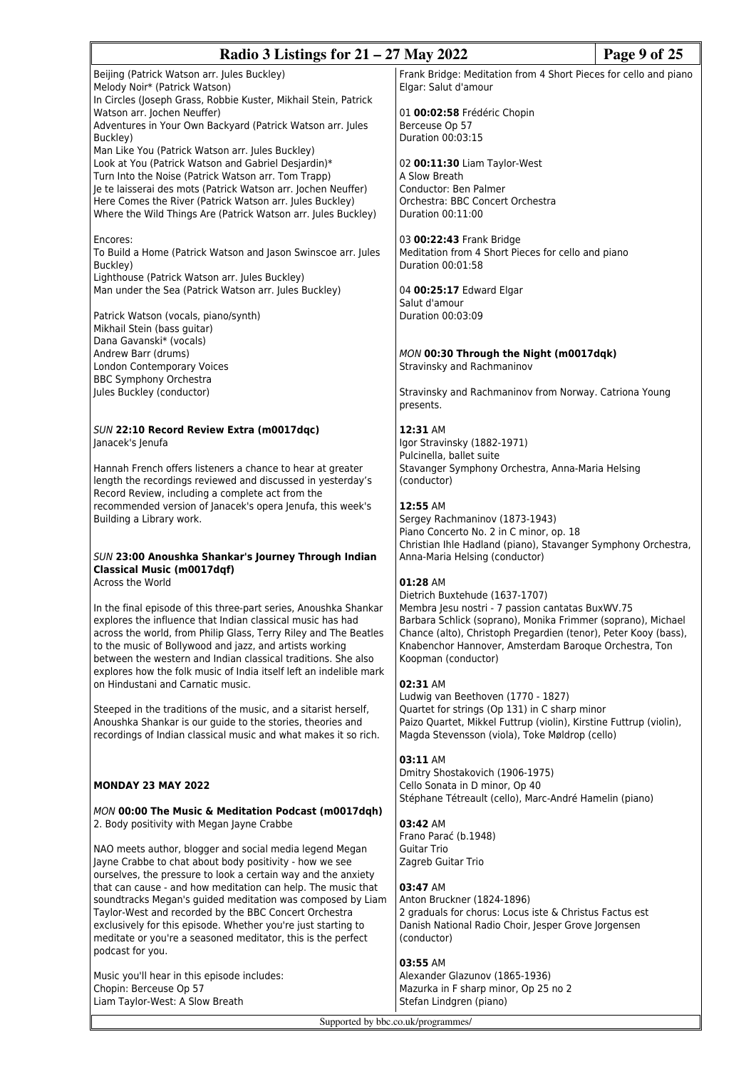| Radio 3 Listings for $21 - 27$ May 2022<br>Page 9 of 25                                                                        |                                                                                                                  |  |  |
|--------------------------------------------------------------------------------------------------------------------------------|------------------------------------------------------------------------------------------------------------------|--|--|
| Beijing (Patrick Watson arr. Jules Buckley)                                                                                    | Frank Bridge: Meditation from 4 Short Pieces for cello and piano                                                 |  |  |
| Melody Noir* (Patrick Watson)                                                                                                  | Elgar: Salut d'amour                                                                                             |  |  |
| In Circles (Joseph Grass, Robbie Kuster, Mikhail Stein, Patrick                                                                |                                                                                                                  |  |  |
| Watson arr. Jochen Neuffer)                                                                                                    | 01 00:02:58 Frédéric Chopin                                                                                      |  |  |
| Adventures in Your Own Backyard (Patrick Watson arr. Jules<br>Buckley)                                                         | Berceuse Op 57<br>Duration 00:03:15                                                                              |  |  |
| Man Like You (Patrick Watson arr. Jules Buckley)                                                                               |                                                                                                                  |  |  |
| Look at You (Patrick Watson and Gabriel Desjardin)*                                                                            | 02 00:11:30 Liam Taylor-West                                                                                     |  |  |
| Turn Into the Noise (Patrick Watson arr. Tom Trapp)                                                                            | A Slow Breath                                                                                                    |  |  |
| Je te laisserai des mots (Patrick Watson arr. Jochen Neuffer)                                                                  | Conductor: Ben Palmer                                                                                            |  |  |
| Here Comes the River (Patrick Watson arr. Jules Buckley)<br>Where the Wild Things Are (Patrick Watson arr. Jules Buckley)      | Orchestra: BBC Concert Orchestra<br>Duration 00:11:00                                                            |  |  |
|                                                                                                                                |                                                                                                                  |  |  |
| Encores:                                                                                                                       | 03 <b>00:22:43</b> Frank Bridge                                                                                  |  |  |
| To Build a Home (Patrick Watson and Jason Swinscoe arr. Jules                                                                  | Meditation from 4 Short Pieces for cello and piano                                                               |  |  |
| Buckley)<br>Lighthouse (Patrick Watson arr. Jules Buckley)                                                                     | Duration 00:01:58                                                                                                |  |  |
| Man under the Sea (Patrick Watson arr. Jules Buckley)                                                                          | 04 00:25:17 Edward Elgar                                                                                         |  |  |
|                                                                                                                                | Salut d'amour                                                                                                    |  |  |
| Patrick Watson (vocals, piano/synth)                                                                                           | Duration 00:03:09                                                                                                |  |  |
| Mikhail Stein (bass guitar)                                                                                                    |                                                                                                                  |  |  |
| Dana Gavanski* (vocals)<br>Andrew Barr (drums)                                                                                 | MON 00:30 Through the Night (m0017dqk)                                                                           |  |  |
| London Contemporary Voices                                                                                                     | Stravinsky and Rachmaninov                                                                                       |  |  |
| <b>BBC Symphony Orchestra</b>                                                                                                  |                                                                                                                  |  |  |
| Jules Buckley (conductor)                                                                                                      | Stravinsky and Rachmaninov from Norway. Catriona Young                                                           |  |  |
|                                                                                                                                | presents.                                                                                                        |  |  |
| SUN 22:10 Record Review Extra (m0017dqc)                                                                                       | 12:31 AM                                                                                                         |  |  |
| Janacek's Jenufa                                                                                                               | Igor Stravinsky (1882-1971)                                                                                      |  |  |
|                                                                                                                                | Pulcinella, ballet suite                                                                                         |  |  |
| Hannah French offers listeners a chance to hear at greater                                                                     | Stavanger Symphony Orchestra, Anna-Maria Helsing                                                                 |  |  |
| length the recordings reviewed and discussed in yesterday's<br>Record Review, including a complete act from the                | (conductor)                                                                                                      |  |  |
| recommended version of Janacek's opera Jenufa, this week's                                                                     | 12:55 AM                                                                                                         |  |  |
| Building a Library work.                                                                                                       | Sergey Rachmaninov (1873-1943)                                                                                   |  |  |
|                                                                                                                                | Piano Concerto No. 2 in C minor, op. 18                                                                          |  |  |
| SUN 23:00 Anoushka Shankar's Journey Through Indian                                                                            | Christian Ihle Hadland (piano), Stavanger Symphony Orchestra,<br>Anna-Maria Helsing (conductor)                  |  |  |
| <b>Classical Music (m0017dqf)</b>                                                                                              |                                                                                                                  |  |  |
| Across the World                                                                                                               | 01:28 AM                                                                                                         |  |  |
|                                                                                                                                | Dietrich Buxtehude (1637-1707)                                                                                   |  |  |
| In the final episode of this three-part series, Anoushka Shankar<br>explores the influence that Indian classical music has had | Membra Jesu nostri - 7 passion cantatas BuxWV.75<br>Barbara Schlick (soprano), Monika Frimmer (soprano), Michael |  |  |
| across the world, from Philip Glass, Terry Riley and The Beatles                                                               | Chance (alto), Christoph Pregardien (tenor), Peter Kooy (bass),                                                  |  |  |
| to the music of Bollywood and jazz, and artists working                                                                        | Knabenchor Hannover, Amsterdam Baroque Orchestra, Ton                                                            |  |  |
| between the western and Indian classical traditions. She also                                                                  | Koopman (conductor)                                                                                              |  |  |
| explores how the folk music of India itself left an indelible mark<br>on Hindustani and Carnatic music.                        | 02:31 AM                                                                                                         |  |  |
|                                                                                                                                | Ludwig van Beethoven (1770 - 1827)                                                                               |  |  |
| Steeped in the traditions of the music, and a sitarist herself,                                                                | Quartet for strings (Op 131) in C sharp minor                                                                    |  |  |
| Anoushka Shankar is our guide to the stories, theories and                                                                     | Paizo Quartet, Mikkel Futtrup (violin), Kirstine Futtrup (violin),                                               |  |  |
| recordings of Indian classical music and what makes it so rich.                                                                | Magda Stevensson (viola), Toke Møldrop (cello)                                                                   |  |  |
|                                                                                                                                | 03:11 AM                                                                                                         |  |  |
|                                                                                                                                | Dmitry Shostakovich (1906-1975)                                                                                  |  |  |
| <b>MONDAY 23 MAY 2022</b>                                                                                                      | Cello Sonata in D minor, Op 40                                                                                   |  |  |
| MON 00:00 The Music & Meditation Podcast (m0017dqh)                                                                            | Stéphane Tétreault (cello), Marc-André Hamelin (piano)                                                           |  |  |
| 2. Body positivity with Megan Jayne Crabbe                                                                                     | 03:42 AM                                                                                                         |  |  |
|                                                                                                                                | Frano Parać (b.1948)                                                                                             |  |  |
| NAO meets author, blogger and social media legend Megan                                                                        | Guitar Trio                                                                                                      |  |  |
| Jayne Crabbe to chat about body positivity - how we see<br>ourselves, the pressure to look a certain way and the anxiety       | Zagreb Guitar Trio                                                                                               |  |  |
| that can cause - and how meditation can help. The music that                                                                   | 03:47 AM                                                                                                         |  |  |
| soundtracks Megan's guided meditation was composed by Liam                                                                     | Anton Bruckner (1824-1896)                                                                                       |  |  |
| Taylor-West and recorded by the BBC Concert Orchestra                                                                          | 2 graduals for chorus: Locus iste & Christus Factus est                                                          |  |  |
| exclusively for this episode. Whether you're just starting to                                                                  | Danish National Radio Choir, Jesper Grove Jorgensen                                                              |  |  |
| meditate or you're a seasoned meditator, this is the perfect<br>podcast for you.                                               | (conductor)                                                                                                      |  |  |
|                                                                                                                                | 03:55 AM                                                                                                         |  |  |
| Music you'll hear in this episode includes:                                                                                    | Alexander Glazunov (1865-1936)                                                                                   |  |  |
| Chopin: Berceuse Op 57                                                                                                         | Mazurka in F sharp minor, Op 25 no 2                                                                             |  |  |
| Liam Taylor-West: A Slow Breath                                                                                                | Stefan Lindgren (piano)                                                                                          |  |  |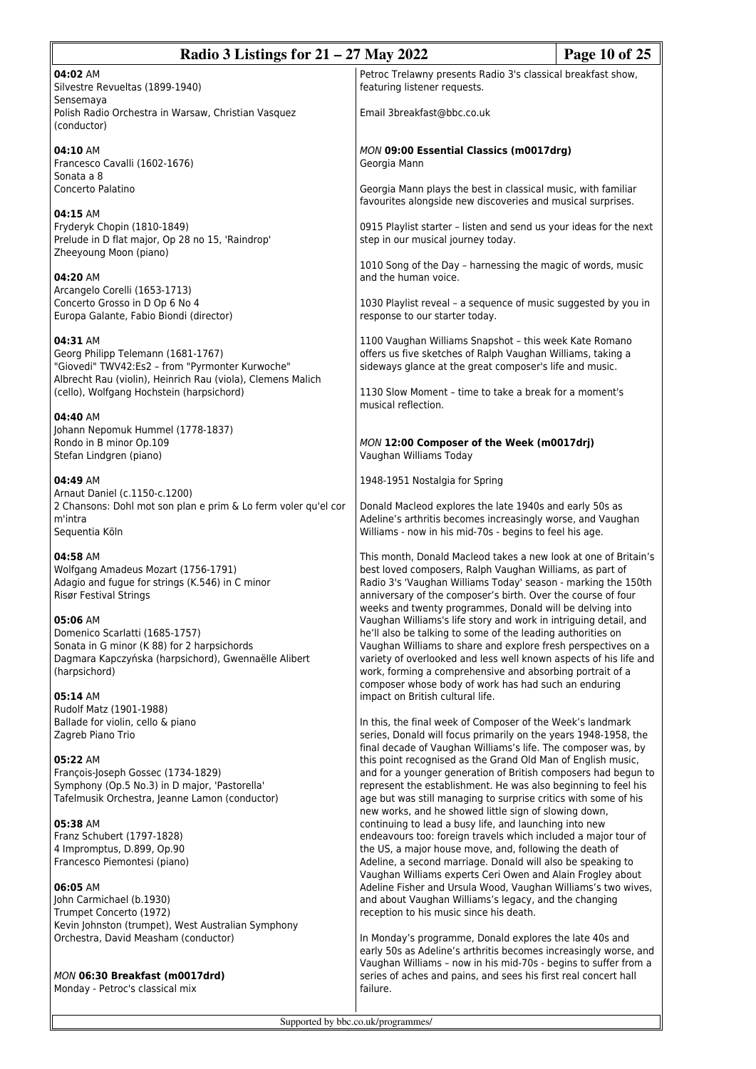| Radio 3 Listings for $21 - 27$ May 2022<br>Page 10 of 25                                                       |                                                                                                                                     |  |
|----------------------------------------------------------------------------------------------------------------|-------------------------------------------------------------------------------------------------------------------------------------|--|
| 04:02 AM                                                                                                       | Petroc Trelawny presents Radio 3's classical breakfast show,                                                                        |  |
| Silvestre Revueltas (1899-1940)<br>Sensemaya                                                                   | featuring listener requests.                                                                                                        |  |
| Polish Radio Orchestra in Warsaw, Christian Vasquez<br>(conductor)                                             | Email 3breakfast@bbc.co.uk                                                                                                          |  |
| 04:10 AM<br>Francesco Cavalli (1602-1676)                                                                      | MON 09:00 Essential Classics (m0017drg)<br>Georgia Mann                                                                             |  |
| Sonata a 8                                                                                                     |                                                                                                                                     |  |
| Concerto Palatino                                                                                              | Georgia Mann plays the best in classical music, with familiar<br>favourites alongside new discoveries and musical surprises.        |  |
| 04:15 AM<br>Fryderyk Chopin (1810-1849)                                                                        |                                                                                                                                     |  |
| Prelude in D flat major, Op 28 no 15, 'Raindrop'<br>Zheeyoung Moon (piano)                                     | 0915 Playlist starter - listen and send us your ideas for the next<br>step in our musical journey today.                            |  |
|                                                                                                                | 1010 Song of the Day - harnessing the magic of words, music                                                                         |  |
| 04:20 AM<br>Arcangelo Corelli (1653-1713)                                                                      | and the human voice.                                                                                                                |  |
| Concerto Grosso in D Op 6 No 4                                                                                 | 1030 Playlist reveal - a sequence of music suggested by you in                                                                      |  |
| Europa Galante, Fabio Biondi (director)                                                                        | response to our starter today.                                                                                                      |  |
| 04:31 AM<br>Georg Philipp Telemann (1681-1767)                                                                 | 1100 Vaughan Williams Snapshot - this week Kate Romano<br>offers us five sketches of Ralph Vaughan Williams, taking a               |  |
| "Giovedi" TWV42:Es2 - from "Pyrmonter Kurwoche"<br>Albrecht Rau (violin), Heinrich Rau (viola), Clemens Malich | sideways glance at the great composer's life and music.                                                                             |  |
| (cello), Wolfgang Hochstein (harpsichord)                                                                      | 1130 Slow Moment - time to take a break for a moment's<br>musical reflection.                                                       |  |
| 04:40 AM<br>Johann Nepomuk Hummel (1778-1837)                                                                  |                                                                                                                                     |  |
| Rondo in B minor Op.109<br>Stefan Lindgren (piano)                                                             | MON 12:00 Composer of the Week (m0017drj)<br>Vaughan Williams Today                                                                 |  |
| 04:49 AM                                                                                                       | 1948-1951 Nostalgia for Spring                                                                                                      |  |
| Arnaut Daniel (c.1150-c.1200)<br>2 Chansons: Dohl mot son plan e prim & Lo ferm voler qu'el cor                | Donald Macleod explores the late 1940s and early 50s as                                                                             |  |
| m'intra<br>Sequentia Köln                                                                                      | Adeline's arthritis becomes increasingly worse, and Vaughan<br>Williams - now in his mid-70s - begins to feel his age.              |  |
| 04:58 AM                                                                                                       | This month, Donald Macleod takes a new look at one of Britain's                                                                     |  |
| Wolfgang Amadeus Mozart (1756-1791)<br>Adagio and fugue for strings (K.546) in C minor                         | best loved composers, Ralph Vaughan Williams, as part of<br>Radio 3's 'Vaughan Williams Today' season - marking the 150th           |  |
| Risør Festival Strings                                                                                         | anniversary of the composer's birth. Over the course of four                                                                        |  |
| 05:06 AM                                                                                                       | weeks and twenty programmes, Donald will be delving into<br>Vaughan Williams's life story and work in intriguing detail, and        |  |
| Domenico Scarlatti (1685-1757)                                                                                 | he'll also be talking to some of the leading authorities on                                                                         |  |
| Sonata in G minor (K 88) for 2 harpsichords                                                                    | Vaughan Williams to share and explore fresh perspectives on a                                                                       |  |
| Dagmara Kapczyńska (harpsichord), Gwennaëlle Alibert<br>(harpsichord)                                          | variety of overlooked and less well known aspects of his life and<br>work, forming a comprehensive and absorbing portrait of a      |  |
|                                                                                                                | composer whose body of work has had such an enduring                                                                                |  |
| 05:14 AM<br>Rudolf Matz (1901-1988)                                                                            | impact on British cultural life.                                                                                                    |  |
| Ballade for violin, cello & piano                                                                              | In this, the final week of Composer of the Week's landmark                                                                          |  |
| Zagreb Piano Trio                                                                                              | series, Donald will focus primarily on the years 1948-1958, the<br>final decade of Vaughan Williams's life. The composer was, by    |  |
| 05:22 AM                                                                                                       | this point recognised as the Grand Old Man of English music,                                                                        |  |
| François-Joseph Gossec (1734-1829)<br>Symphony (Op.5 No.3) in D major, 'Pastorella'                            | and for a younger generation of British composers had begun to<br>represent the establishment. He was also beginning to feel his    |  |
| Tafelmusik Orchestra, Jeanne Lamon (conductor)                                                                 | age but was still managing to surprise critics with some of his                                                                     |  |
| 05:38 AM                                                                                                       | new works, and he showed little sign of slowing down,<br>continuing to lead a busy life, and launching into new                     |  |
| Franz Schubert (1797-1828)                                                                                     | endeavours too: foreign travels which included a major tour of                                                                      |  |
| 4 Impromptus, D.899, Op.90                                                                                     | the US, a major house move, and, following the death of                                                                             |  |
| Francesco Piemontesi (piano)                                                                                   | Adeline, a second marriage. Donald will also be speaking to<br>Vaughan Williams experts Ceri Owen and Alain Frogley about           |  |
| 06:05 AM                                                                                                       | Adeline Fisher and Ursula Wood, Vaughan Williams's two wives,                                                                       |  |
| John Carmichael (b.1930)<br>Trumpet Concerto (1972)                                                            | and about Vaughan Williams's legacy, and the changing<br>reception to his music since his death.                                    |  |
| Kevin Johnston (trumpet), West Australian Symphony                                                             |                                                                                                                                     |  |
| Orchestra, David Measham (conductor)                                                                           | In Monday's programme, Donald explores the late 40s and                                                                             |  |
|                                                                                                                | early 50s as Adeline's arthritis becomes increasingly worse, and<br>Vaughan Williams - now in his mid-70s - begins to suffer from a |  |
| MON 06:30 Breakfast (m0017drd)                                                                                 | series of aches and pains, and sees his first real concert hall                                                                     |  |
| Monday - Petroc's classical mix                                                                                | failure.                                                                                                                            |  |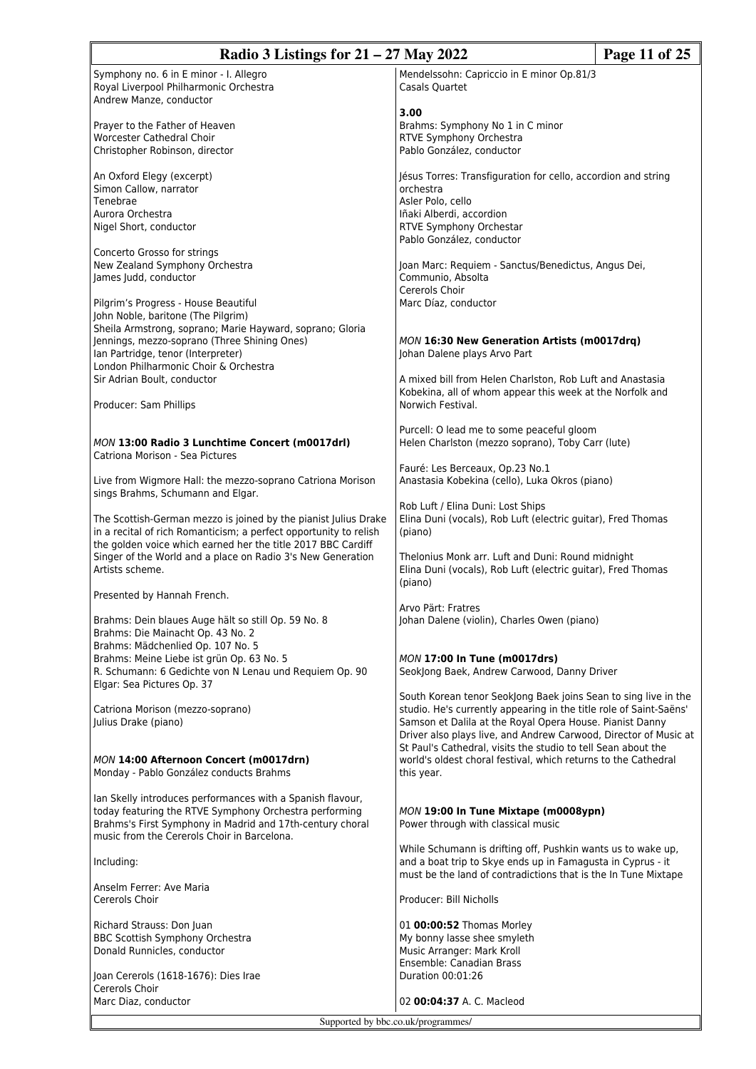| Radio 3 Listings for $21 - 27$ May 2022<br>Page 11 of 25                                                                                                                                                                                                                                              |                                                                                                                                                                                                                                                                                                                                        |  |
|-------------------------------------------------------------------------------------------------------------------------------------------------------------------------------------------------------------------------------------------------------------------------------------------------------|----------------------------------------------------------------------------------------------------------------------------------------------------------------------------------------------------------------------------------------------------------------------------------------------------------------------------------------|--|
| Symphony no. 6 in E minor - I. Allegro<br>Royal Liverpool Philharmonic Orchestra<br>Andrew Manze, conductor                                                                                                                                                                                           | Mendelssohn: Capriccio in E minor Op.81/3<br>Casals Quartet                                                                                                                                                                                                                                                                            |  |
| Prayer to the Father of Heaven<br>Worcester Cathedral Choir<br>Christopher Robinson, director                                                                                                                                                                                                         | 3.00<br>Brahms: Symphony No 1 in C minor<br>RTVE Symphony Orchestra<br>Pablo González, conductor                                                                                                                                                                                                                                       |  |
| An Oxford Elegy (excerpt)<br>Simon Callow, narrator<br>Tenebrae<br>Aurora Orchestra<br>Nigel Short, conductor                                                                                                                                                                                         | Jésus Torres: Transfiguration for cello, accordion and string<br>orchestra<br>Asler Polo, cello<br>Iñaki Alberdi, accordion<br>RTVE Symphony Orchestar                                                                                                                                                                                 |  |
| Concerto Grosso for strings<br>New Zealand Symphony Orchestra<br>James Judd, conductor                                                                                                                                                                                                                | Pablo González, conductor<br>Joan Marc: Requiem - Sanctus/Benedictus, Angus Dei,<br>Communio, Absolta<br>Cererols Choir                                                                                                                                                                                                                |  |
| Pilgrim's Progress - House Beautiful<br>John Noble, baritone (The Pilgrim)<br>Sheila Armstrong, soprano; Marie Hayward, soprano; Gloria<br>Jennings, mezzo-soprano (Three Shining Ones)<br>Ian Partridge, tenor (Interpreter)<br>London Philharmonic Choir & Orchestra<br>Sir Adrian Boult, conductor | Marc Díaz, conductor<br><b>MON 16:30 New Generation Artists (m0017drq)</b><br>Johan Dalene plays Arvo Part<br>A mixed bill from Helen Charlston, Rob Luft and Anastasia<br>Kobekina, all of whom appear this week at the Norfolk and                                                                                                   |  |
| Producer: Sam Phillips<br>MON 13:00 Radio 3 Lunchtime Concert (m0017drl)<br>Catriona Morison - Sea Pictures                                                                                                                                                                                           | Norwich Festival.<br>Purcell: O lead me to some peaceful gloom<br>Helen Charlston (mezzo soprano), Toby Carr (lute)                                                                                                                                                                                                                    |  |
| Live from Wigmore Hall: the mezzo-soprano Catriona Morison<br>sings Brahms, Schumann and Elgar.                                                                                                                                                                                                       | Fauré: Les Berceaux, Op.23 No.1<br>Anastasia Kobekina (cello), Luka Okros (piano)<br>Rob Luft / Elina Duni: Lost Ships                                                                                                                                                                                                                 |  |
| The Scottish-German mezzo is joined by the pianist Julius Drake<br>in a recital of rich Romanticism; a perfect opportunity to relish<br>the golden voice which earned her the title 2017 BBC Cardiff<br>Singer of the World and a place on Radio 3's New Generation                                   | Elina Duni (vocals), Rob Luft (electric guitar), Fred Thomas<br>(piano)<br>Thelonius Monk arr. Luft and Duni: Round midnight                                                                                                                                                                                                           |  |
| Artists scheme.<br>Presented by Hannah French.                                                                                                                                                                                                                                                        | Elina Duni (vocals), Rob Luft (electric guitar), Fred Thomas<br>(piano)                                                                                                                                                                                                                                                                |  |
| Brahms: Dein blaues Auge hält so still Op. 59 No. 8<br>Brahms: Die Mainacht Op. 43 No. 2<br>Brahms: Mädchenlied Op. 107 No. 5                                                                                                                                                                         | Arvo Pärt: Fratres<br>Johan Dalene (violin), Charles Owen (piano)                                                                                                                                                                                                                                                                      |  |
| Brahms: Meine Liebe ist grün Op. 63 No. 5<br>R. Schumann: 6 Gedichte von N Lenau und Requiem Op. 90<br>Elgar: Sea Pictures Op. 37                                                                                                                                                                     | MON 17:00 In Tune (m0017drs)<br>SeokJong Baek, Andrew Carwood, Danny Driver                                                                                                                                                                                                                                                            |  |
| Catriona Morison (mezzo-soprano)<br>Julius Drake (piano)                                                                                                                                                                                                                                              | South Korean tenor SeokJong Baek joins Sean to sing live in the<br>studio. He's currently appearing in the title role of Saint-Saëns'<br>Samson et Dalila at the Royal Opera House. Pianist Danny<br>Driver also plays live, and Andrew Carwood, Director of Music at<br>St Paul's Cathedral, visits the studio to tell Sean about the |  |
| MON 14:00 Afternoon Concert (m0017drn)<br>Monday - Pablo González conducts Brahms                                                                                                                                                                                                                     | world's oldest choral festival, which returns to the Cathedral<br>this year.                                                                                                                                                                                                                                                           |  |
| Ian Skelly introduces performances with a Spanish flavour,<br>today featuring the RTVE Symphony Orchestra performing<br>Brahms's First Symphony in Madrid and 17th-century choral<br>music from the Cererols Choir in Barcelona.                                                                      | MON 19:00 In Tune Mixtape (m0008ypn)<br>Power through with classical music                                                                                                                                                                                                                                                             |  |
| Including:                                                                                                                                                                                                                                                                                            | While Schumann is drifting off, Pushkin wants us to wake up,<br>and a boat trip to Skye ends up in Famagusta in Cyprus - it<br>must be the land of contradictions that is the In Tune Mixtape                                                                                                                                          |  |
| Anselm Ferrer: Ave Maria<br>Cererols Choir                                                                                                                                                                                                                                                            | Producer: Bill Nicholls                                                                                                                                                                                                                                                                                                                |  |
| Richard Strauss: Don Juan<br>BBC Scottish Symphony Orchestra<br>Donald Runnicles, conductor                                                                                                                                                                                                           | 01 00:00:52 Thomas Morley<br>My bonny lasse shee smyleth<br>Music Arranger: Mark Kroll<br>Ensemble: Canadian Brass                                                                                                                                                                                                                     |  |
| Joan Cererols (1618-1676): Dies Irae<br>Cererols Choir<br>Marc Diaz, conductor                                                                                                                                                                                                                        | Duration 00:01:26<br>02 00:04:37 A. C. Macleod                                                                                                                                                                                                                                                                                         |  |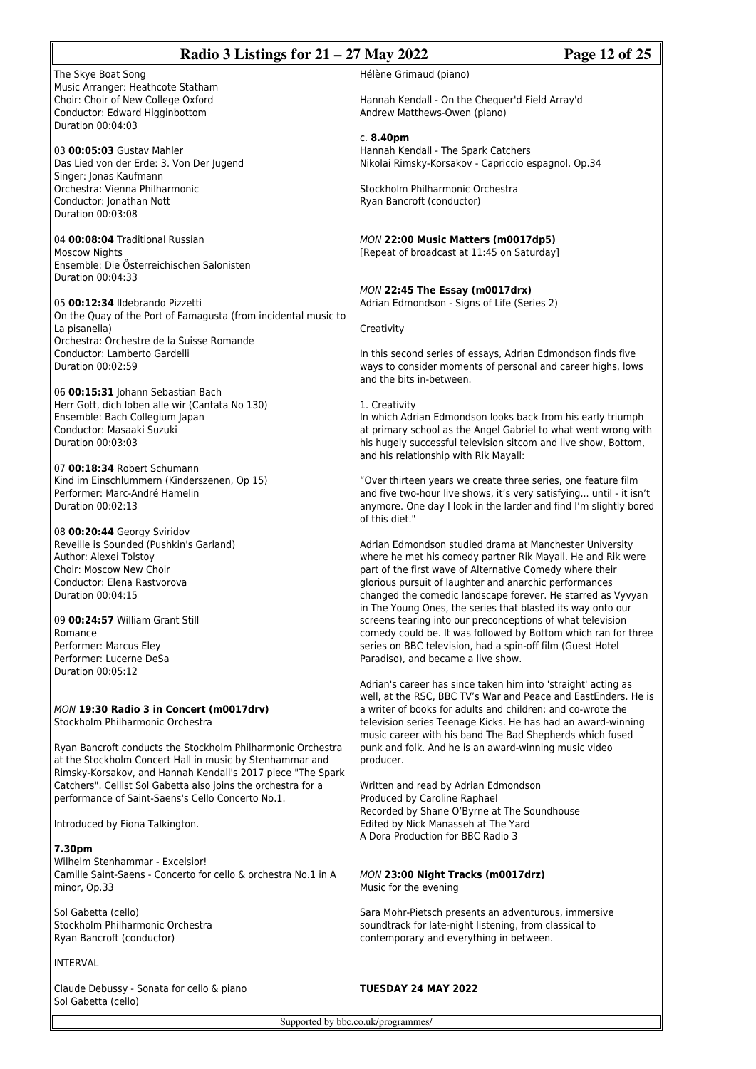| Radio 3 Listings for $21 - 27$ May 2022                                                                                                    |                                                                                                                                                                                                                                                    | Page 12 of 25 |
|--------------------------------------------------------------------------------------------------------------------------------------------|----------------------------------------------------------------------------------------------------------------------------------------------------------------------------------------------------------------------------------------------------|---------------|
| The Skye Boat Song                                                                                                                         | Hélène Grimaud (piano)                                                                                                                                                                                                                             |               |
| Music Arranger: Heathcote Statham<br>Choir: Choir of New College Oxford<br>Conductor: Edward Higginbottom<br>Duration 00:04:03             | Hannah Kendall - On the Chequer'd Field Array'd<br>Andrew Matthews-Owen (piano)                                                                                                                                                                    |               |
| 03 00:05:03 Gustav Mahler<br>Das Lied von der Erde: 3. Von Der Jugend<br>Singer: Jonas Kaufmann                                            | c. 8.40pm<br>Hannah Kendall - The Spark Catchers<br>Nikolai Rimsky-Korsakov - Capriccio espagnol, Op.34                                                                                                                                            |               |
| Orchestra: Vienna Philharmonic<br>Conductor: Jonathan Nott<br>Duration 00:03:08                                                            | Stockholm Philharmonic Orchestra<br>Ryan Bancroft (conductor)                                                                                                                                                                                      |               |
| 04 00:08:04 Traditional Russian<br><b>Moscow Nights</b><br>Ensemble: Die Österreichischen Salonisten<br>Duration 00:04:33                  | MON 22:00 Music Matters (m0017dp5)<br>[Repeat of broadcast at 11:45 on Saturday]                                                                                                                                                                   |               |
| 05 00:12:34 Ildebrando Pizzetti<br>On the Quay of the Port of Famagusta (from incidental music to                                          | MON 22:45 The Essay (m0017drx)<br>Adrian Edmondson - Signs of Life (Series 2)                                                                                                                                                                      |               |
| La pisanella)<br>Orchestra: Orchestre de la Suisse Romande                                                                                 | Creativity                                                                                                                                                                                                                                         |               |
| Conductor: Lamberto Gardelli<br>Duration 00:02:59                                                                                          | In this second series of essays, Adrian Edmondson finds five<br>ways to consider moments of personal and career highs, lows<br>and the bits in-between.                                                                                            |               |
| 06 00:15:31 Johann Sebastian Bach<br>Herr Gott, dich loben alle wir (Cantata No 130)                                                       | 1. Creativity                                                                                                                                                                                                                                      |               |
| Ensemble: Bach Collegium Japan<br>Conductor: Masaaki Suzuki<br>Duration 00:03:03                                                           | In which Adrian Edmondson looks back from his early triumph<br>at primary school as the Angel Gabriel to what went wrong with<br>his hugely successful television sitcom and live show, Bottom,<br>and his relationship with Rik Mayall:           |               |
| 07 00:18:34 Robert Schumann<br>Kind im Einschlummern (Kinderszenen, Op 15)                                                                 |                                                                                                                                                                                                                                                    |               |
| Performer: Marc-André Hamelin<br>Duration 00:02:13                                                                                         | "Over thirteen years we create three series, one feature film<br>and five two-hour live shows, it's very satisfying until - it isn't<br>anymore. One day I look in the larder and find I'm slightly bored<br>of this diet."                        |               |
| 08 00:20:44 Georgy Sviridov<br>Reveille is Sounded (Pushkin's Garland)<br>Author: Alexei Tolstoy<br>Choir: Moscow New Choir                | Adrian Edmondson studied drama at Manchester University<br>where he met his comedy partner Rik Mayall. He and Rik were<br>part of the first wave of Alternative Comedy where their                                                                 |               |
| Conductor: Elena Rastvorova<br>Duration 00:04:15<br>09 00:24:57 William Grant Still                                                        | glorious pursuit of laughter and anarchic performances<br>changed the comedic landscape forever. He starred as Vyvyan<br>in The Young Ones, the series that blasted its way onto our<br>screens tearing into our preconceptions of what television |               |
| Romance<br>Performer: Marcus Eley<br>Performer: Lucerne DeSa<br>Duration 00:05:12                                                          | comedy could be. It was followed by Bottom which ran for three<br>series on BBC television, had a spin-off film (Guest Hotel<br>Paradiso), and became a live show.                                                                                 |               |
|                                                                                                                                            | Adrian's career has since taken him into 'straight' acting as<br>well, at the RSC, BBC TV's War and Peace and EastEnders. He is                                                                                                                    |               |
| MON 19:30 Radio 3 in Concert (m0017drv)<br>Stockholm Philharmonic Orchestra<br>Ryan Bancroft conducts the Stockholm Philharmonic Orchestra | a writer of books for adults and children; and co-wrote the<br>television series Teenage Kicks. He has had an award-winning<br>music career with his band The Bad Shepherds which fused<br>punk and folk. And he is an award-winning music video   |               |
| at the Stockholm Concert Hall in music by Stenhammar and<br>Rimsky-Korsakov, and Hannah Kendall's 2017 piece "The Spark                    | producer.                                                                                                                                                                                                                                          |               |
| Catchers". Cellist Sol Gabetta also joins the orchestra for a<br>performance of Saint-Saens's Cello Concerto No.1.                         | Written and read by Adrian Edmondson<br>Produced by Caroline Raphael<br>Recorded by Shane O'Byrne at The Soundhouse                                                                                                                                |               |
| Introduced by Fiona Talkington.                                                                                                            | Edited by Nick Manasseh at The Yard<br>A Dora Production for BBC Radio 3                                                                                                                                                                           |               |
| 7.30pm<br>Wilhelm Stenhammar - Excelsior!<br>Camille Saint-Saens - Concerto for cello & orchestra No.1 in A<br>minor, Op.33                | MON 23:00 Night Tracks (m0017drz)<br>Music for the evening                                                                                                                                                                                         |               |
| Sol Gabetta (cello)<br>Stockholm Philharmonic Orchestra<br>Ryan Bancroft (conductor)                                                       | Sara Mohr-Pietsch presents an adventurous, immersive<br>soundtrack for late-night listening, from classical to<br>contemporary and everything in between.                                                                                          |               |
| <b>INTERVAL</b>                                                                                                                            |                                                                                                                                                                                                                                                    |               |
| Claude Debussy - Sonata for cello & piano<br>Sol Gabetta (cello)                                                                           | <b>TUESDAY 24 MAY 2022</b>                                                                                                                                                                                                                         |               |
| Supported by bbc.co.uk/programmes/                                                                                                         |                                                                                                                                                                                                                                                    |               |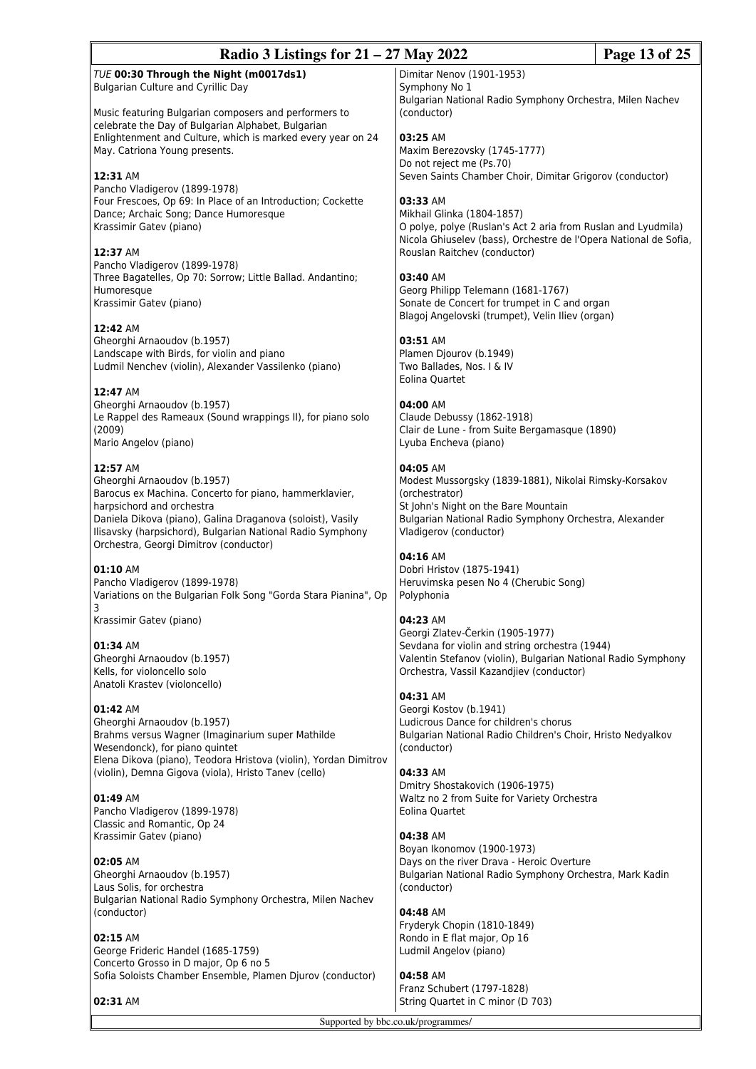| Radio 3 Listings for $21 - 27$ May 2022<br>Page 13 of 25                                                                                                                                                                                                                                             |                                                                                                                                                                                                                  |  |
|------------------------------------------------------------------------------------------------------------------------------------------------------------------------------------------------------------------------------------------------------------------------------------------------------|------------------------------------------------------------------------------------------------------------------------------------------------------------------------------------------------------------------|--|
| TUE 00:30 Through the Night (m0017ds1)<br>Bulgarian Culture and Cyrillic Day                                                                                                                                                                                                                         | Dimitar Nenov (1901-1953)<br>Symphony No 1<br>Bulgarian National Radio Symphony Orchestra, Milen Nachev                                                                                                          |  |
| Music featuring Bulgarian composers and performers to<br>celebrate the Day of Bulgarian Alphabet, Bulgarian<br>Enlightenment and Culture, which is marked every year on 24<br>May. Catriona Young presents.                                                                                          | (conductor)<br>03:25 AM<br>Maxim Berezovsky (1745-1777)                                                                                                                                                          |  |
| 12:31 AM<br>Pancho Vladigerov (1899-1978)<br>Four Frescoes, Op 69: In Place of an Introduction; Cockette<br>Dance; Archaic Song; Dance Humoresque                                                                                                                                                    | Do not reject me (Ps.70)<br>Seven Saints Chamber Choir, Dimitar Grigorov (conductor)<br>03:33 AM<br>Mikhail Glinka (1804-1857)                                                                                   |  |
| Krassimir Gatev (piano)<br>12:37 AM                                                                                                                                                                                                                                                                  | O polye, polye (Ruslan's Act 2 aria from Ruslan and Lyudmila)<br>Nicola Ghiuselev (bass), Orchestre de l'Opera National de Sofia,<br>Rouslan Raitchev (conductor)                                                |  |
| Pancho Vladigerov (1899-1978)<br>Three Bagatelles, Op 70: Sorrow; Little Ballad. Andantino;<br>Humoresque<br>Krassimir Gatev (piano)                                                                                                                                                                 | 03:40 AM<br>Georg Philipp Telemann (1681-1767)<br>Sonate de Concert for trumpet in C and organ<br>Blagoj Angelovski (trumpet), Velin Iliev (organ)                                                               |  |
| 12:42 AM<br>Gheorghi Arnaoudov (b.1957)<br>Landscape with Birds, for violin and piano<br>Ludmil Nenchev (violin), Alexander Vassilenko (piano)                                                                                                                                                       | 03:51 AM<br>Plamen Djourov (b.1949)<br>Two Ballades, Nos. I & IV<br>Eolina Quartet                                                                                                                               |  |
| 12:47 AM<br>Gheorghi Arnaoudov (b.1957)<br>Le Rappel des Rameaux (Sound wrappings II), for piano solo<br>(2009)<br>Mario Angelov (piano)                                                                                                                                                             | 04:00 AM<br>Claude Debussy (1862-1918)<br>Clair de Lune - from Suite Bergamasque (1890)<br>Lyuba Encheva (piano)                                                                                                 |  |
| 12:57 AM<br>Gheorghi Arnaoudov (b.1957)<br>Barocus ex Machina. Concerto for piano, hammerklavier,<br>harpsichord and orchestra<br>Daniela Dikova (piano), Galina Draganova (soloist), Vasily<br>Ilisavsky (harpsichord), Bulgarian National Radio Symphony<br>Orchestra, Georgi Dimitrov (conductor) | 04:05 AM<br>Modest Mussorgsky (1839-1881), Nikolai Rimsky-Korsakov<br>(orchestrator)<br>St John's Night on the Bare Mountain<br>Bulgarian National Radio Symphony Orchestra, Alexander<br>Vladigerov (conductor) |  |
| 01:10 AM<br>Pancho Vladigerov (1899-1978)<br>Variations on the Bulgarian Folk Song "Gorda Stara Pianina", Op<br>3                                                                                                                                                                                    | 04:16 AM<br>Dobri Hristov (1875-1941)<br>Heruvimska pesen No 4 (Cherubic Song)<br>Polyphonia                                                                                                                     |  |
| Krassimir Gatev (piano)<br>01:34 AM<br>Gheorghi Arnaoudov (b.1957)<br>Kells, for violoncello solo                                                                                                                                                                                                    | 04:23 AM<br>Georgi Zlatev-Čerkin (1905-1977)<br>Sevdana for violin and string orchestra (1944)<br>Valentin Stefanov (violin), Bulgarian National Radio Symphony<br>Orchestra, Vassil Kazandjiev (conductor)      |  |
| Anatoli Krastev (violoncello)<br>01:42 AM<br>Gheorghi Arnaoudov (b.1957)<br>Brahms versus Wagner (Imaginarium super Mathilde<br>Wesendonck), for piano quintet<br>Elena Dikova (piano), Teodora Hristova (violin), Yordan Dimitrov<br>(violin), Demna Gigova (viola), Hristo Tanev (cello)           | 04:31 AM<br>Georgi Kostov (b.1941)<br>Ludicrous Dance for children's chorus<br>Bulgarian National Radio Children's Choir, Hristo Nedyalkov<br>(conductor)<br>04:33 AM                                            |  |
| 01:49 AM<br>Pancho Vladigerov (1899-1978)<br>Classic and Romantic, Op 24<br>Krassimir Gatev (piano)                                                                                                                                                                                                  | Dmitry Shostakovich (1906-1975)<br>Waltz no 2 from Suite for Variety Orchestra<br>Eolina Quartet<br>04:38 AM                                                                                                     |  |
| 02:05 AM<br>Gheorghi Arnaoudov (b.1957)<br>Laus Solis, for orchestra<br>Bulgarian National Radio Symphony Orchestra, Milen Nachev<br>(conductor)                                                                                                                                                     | Boyan Ikonomov (1900-1973)<br>Days on the river Drava - Heroic Overture<br>Bulgarian National Radio Symphony Orchestra, Mark Kadin<br>(conductor)<br>04:48 AM                                                    |  |
| 02:15 AM<br>George Frideric Handel (1685-1759)<br>Concerto Grosso in D major, Op 6 no 5<br>Sofia Soloists Chamber Ensemble, Plamen Djurov (conductor)                                                                                                                                                | Fryderyk Chopin (1810-1849)<br>Rondo in E flat major, Op 16<br>Ludmil Angelov (piano)<br>04:58 AM                                                                                                                |  |
| 02:31 AM                                                                                                                                                                                                                                                                                             | Franz Schubert (1797-1828)<br>String Quartet in C minor (D 703)                                                                                                                                                  |  |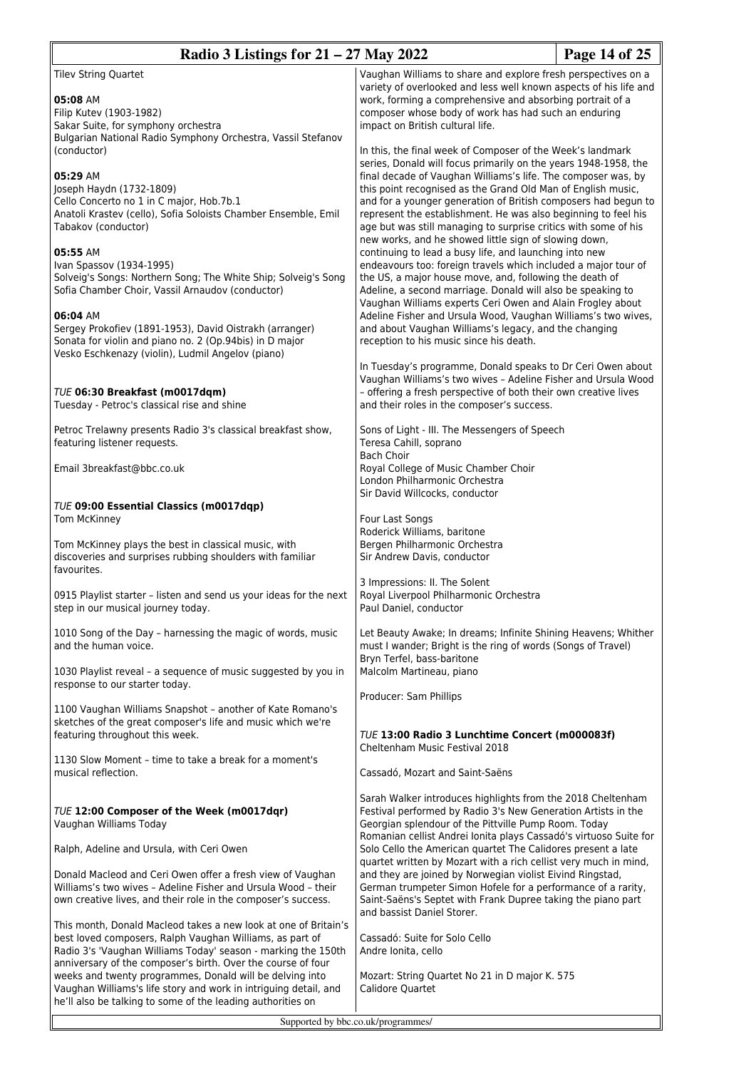| Radio 3 Listings for $21 - 27$ May 2022<br>Page 14 of 25                                                                                                                                                                                                                                                                                                                                                                                                                                                                                                 |                                                                                                                                                                                                                                                                                                                                                                                                                                                                                                                                                                                                                                                                                                                                                                                                                                                                                                                                                                                                                         |  |
|----------------------------------------------------------------------------------------------------------------------------------------------------------------------------------------------------------------------------------------------------------------------------------------------------------------------------------------------------------------------------------------------------------------------------------------------------------------------------------------------------------------------------------------------------------|-------------------------------------------------------------------------------------------------------------------------------------------------------------------------------------------------------------------------------------------------------------------------------------------------------------------------------------------------------------------------------------------------------------------------------------------------------------------------------------------------------------------------------------------------------------------------------------------------------------------------------------------------------------------------------------------------------------------------------------------------------------------------------------------------------------------------------------------------------------------------------------------------------------------------------------------------------------------------------------------------------------------------|--|
| <b>Tilev String Quartet</b><br>05:08 AM<br>Filip Kutev (1903-1982)<br>Sakar Suite, for symphony orchestra                                                                                                                                                                                                                                                                                                                                                                                                                                                | Vaughan Williams to share and explore fresh perspectives on a<br>variety of overlooked and less well known aspects of his life and<br>work, forming a comprehensive and absorbing portrait of a<br>composer whose body of work has had such an enduring<br>impact on British cultural life.                                                                                                                                                                                                                                                                                                                                                                                                                                                                                                                                                                                                                                                                                                                             |  |
| Bulgarian National Radio Symphony Orchestra, Vassil Stefanov<br>(conductor)<br>05:29 AM<br>Joseph Haydn (1732-1809)<br>Cello Concerto no 1 in C major, Hob.7b.1<br>Anatoli Krastev (cello), Sofia Soloists Chamber Ensemble, Emil<br>Tabakov (conductor)<br>05:55 AM<br>Ivan Spassov (1934-1995)<br>Solveig's Songs: Northern Song; The White Ship; Solveig's Song<br>Sofia Chamber Choir, Vassil Arnaudov (conductor)<br>06:04 AM<br>Sergey Prokofiev (1891-1953), David Oistrakh (arranger)<br>Sonata for violin and piano no. 2 (Op.94bis) in D major | In this, the final week of Composer of the Week's landmark<br>series, Donald will focus primarily on the years 1948-1958, the<br>final decade of Vaughan Williams's life. The composer was, by<br>this point recognised as the Grand Old Man of English music,<br>and for a younger generation of British composers had begun to<br>represent the establishment. He was also beginning to feel his<br>age but was still managing to surprise critics with some of his<br>new works, and he showed little sign of slowing down,<br>continuing to lead a busy life, and launching into new<br>endeavours too: foreign travels which included a major tour of<br>the US, a major house move, and, following the death of<br>Adeline, a second marriage. Donald will also be speaking to<br>Vaughan Williams experts Ceri Owen and Alain Frogley about<br>Adeline Fisher and Ursula Wood, Vaughan Williams's two wives,<br>and about Vaughan Williams's legacy, and the changing<br>reception to his music since his death. |  |
| Vesko Eschkenazy (violin), Ludmil Angelov (piano)<br>TUE 06:30 Breakfast (m0017dqm)<br>Tuesday - Petroc's classical rise and shine                                                                                                                                                                                                                                                                                                                                                                                                                       | In Tuesday's programme, Donald speaks to Dr Ceri Owen about<br>Vaughan Williams's two wives - Adeline Fisher and Ursula Wood<br>- offering a fresh perspective of both their own creative lives<br>and their roles in the composer's success.                                                                                                                                                                                                                                                                                                                                                                                                                                                                                                                                                                                                                                                                                                                                                                           |  |
| Petroc Trelawny presents Radio 3's classical breakfast show,<br>featuring listener requests.                                                                                                                                                                                                                                                                                                                                                                                                                                                             | Sons of Light - III. The Messengers of Speech<br>Teresa Cahill, soprano                                                                                                                                                                                                                                                                                                                                                                                                                                                                                                                                                                                                                                                                                                                                                                                                                                                                                                                                                 |  |
| Email 3breakfast@bbc.co.uk                                                                                                                                                                                                                                                                                                                                                                                                                                                                                                                               | <b>Bach Choir</b><br>Royal College of Music Chamber Choir<br>London Philharmonic Orchestra                                                                                                                                                                                                                                                                                                                                                                                                                                                                                                                                                                                                                                                                                                                                                                                                                                                                                                                              |  |
| <b>TUE 09:00 Essential Classics (m0017dqp)</b><br>Tom McKinney<br>Tom McKinney plays the best in classical music, with<br>discoveries and surprises rubbing shoulders with familiar                                                                                                                                                                                                                                                                                                                                                                      | Sir David Willcocks, conductor<br>Four Last Songs<br>Roderick Williams, baritone<br>Bergen Philharmonic Orchestra<br>Sir Andrew Davis, conductor                                                                                                                                                                                                                                                                                                                                                                                                                                                                                                                                                                                                                                                                                                                                                                                                                                                                        |  |
| favourites.<br>0915 Playlist starter - listen and send us your ideas for the next<br>step in our musical journey today.                                                                                                                                                                                                                                                                                                                                                                                                                                  | 3 Impressions: II. The Solent<br>Royal Liverpool Philharmonic Orchestra<br>Paul Daniel, conductor                                                                                                                                                                                                                                                                                                                                                                                                                                                                                                                                                                                                                                                                                                                                                                                                                                                                                                                       |  |
| 1010 Song of the Day - harnessing the magic of words, music<br>and the human voice.                                                                                                                                                                                                                                                                                                                                                                                                                                                                      | Let Beauty Awake; In dreams; Infinite Shining Heavens; Whither<br>must I wander; Bright is the ring of words (Songs of Travel)<br>Bryn Terfel, bass-baritone                                                                                                                                                                                                                                                                                                                                                                                                                                                                                                                                                                                                                                                                                                                                                                                                                                                            |  |
| 1030 Playlist reveal - a sequence of music suggested by you in<br>response to our starter today.                                                                                                                                                                                                                                                                                                                                                                                                                                                         | Malcolm Martineau, piano<br>Producer: Sam Phillips                                                                                                                                                                                                                                                                                                                                                                                                                                                                                                                                                                                                                                                                                                                                                                                                                                                                                                                                                                      |  |
| 1100 Vaughan Williams Snapshot - another of Kate Romano's<br>sketches of the great composer's life and music which we're<br>featuring throughout this week.                                                                                                                                                                                                                                                                                                                                                                                              | TUE 13:00 Radio 3 Lunchtime Concert (m000083f)<br><b>Cheltenham Music Festival 2018</b>                                                                                                                                                                                                                                                                                                                                                                                                                                                                                                                                                                                                                                                                                                                                                                                                                                                                                                                                 |  |
| 1130 Slow Moment - time to take a break for a moment's<br>musical reflection.                                                                                                                                                                                                                                                                                                                                                                                                                                                                            | Cassadó, Mozart and Saint-Saëns                                                                                                                                                                                                                                                                                                                                                                                                                                                                                                                                                                                                                                                                                                                                                                                                                                                                                                                                                                                         |  |
| TUE 12:00 Composer of the Week (m0017dqr)<br>Vaughan Williams Today                                                                                                                                                                                                                                                                                                                                                                                                                                                                                      | Sarah Walker introduces highlights from the 2018 Cheltenham<br>Festival performed by Radio 3's New Generation Artists in the<br>Georgian splendour of the Pittville Pump Room. Today<br>Romanian cellist Andrei Ionita plays Cassadó's virtuoso Suite for                                                                                                                                                                                                                                                                                                                                                                                                                                                                                                                                                                                                                                                                                                                                                               |  |
| Ralph, Adeline and Ursula, with Ceri Owen                                                                                                                                                                                                                                                                                                                                                                                                                                                                                                                | Solo Cello the American quartet The Calidores present a late                                                                                                                                                                                                                                                                                                                                                                                                                                                                                                                                                                                                                                                                                                                                                                                                                                                                                                                                                            |  |
| Donald Macleod and Ceri Owen offer a fresh view of Vaughan<br>Williams's two wives - Adeline Fisher and Ursula Wood - their<br>own creative lives, and their role in the composer's success.                                                                                                                                                                                                                                                                                                                                                             | quartet written by Mozart with a rich cellist very much in mind,<br>and they are joined by Norwegian violist Eivind Ringstad,<br>German trumpeter Simon Hofele for a performance of a rarity,<br>Saint-Saëns's Septet with Frank Dupree taking the piano part<br>and bassist Daniel Storer.                                                                                                                                                                                                                                                                                                                                                                                                                                                                                                                                                                                                                                                                                                                             |  |
| This month, Donald Macleod takes a new look at one of Britain's<br>best loved composers, Ralph Vaughan Williams, as part of<br>Radio 3's 'Vaughan Williams Today' season - marking the 150th<br>anniversary of the composer's birth. Over the course of four<br>weeks and twenty programmes, Donald will be delving into<br>Vaughan Williams's life story and work in intriguing detail, and                                                                                                                                                             | Cassadó: Suite for Solo Cello<br>Andre Ionita, cello<br>Mozart: String Quartet No 21 in D major K. 575<br>Calidore Quartet                                                                                                                                                                                                                                                                                                                                                                                                                                                                                                                                                                                                                                                                                                                                                                                                                                                                                              |  |
| he'll also be talking to some of the leading authorities on<br>Supported by bbc.co.uk/programmes/                                                                                                                                                                                                                                                                                                                                                                                                                                                        |                                                                                                                                                                                                                                                                                                                                                                                                                                                                                                                                                                                                                                                                                                                                                                                                                                                                                                                                                                                                                         |  |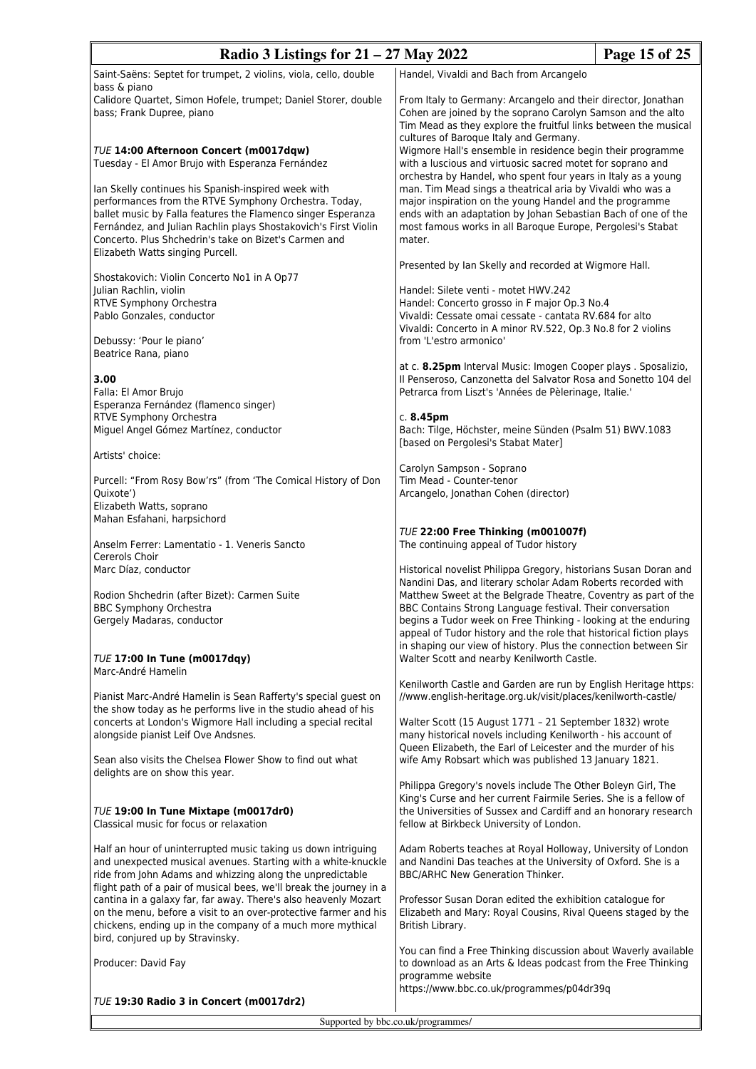| Radio 3 Listings for $21 - 27$ May 2022                                                                                                                                                                                                                                                                                                      |                                                                                                                                                                                                                                                                                                                                                                                                                                                                                                        | Page 15 of 25 |
|----------------------------------------------------------------------------------------------------------------------------------------------------------------------------------------------------------------------------------------------------------------------------------------------------------------------------------------------|--------------------------------------------------------------------------------------------------------------------------------------------------------------------------------------------------------------------------------------------------------------------------------------------------------------------------------------------------------------------------------------------------------------------------------------------------------------------------------------------------------|---------------|
| Saint-Saëns: Septet for trumpet, 2 violins, viola, cello, double                                                                                                                                                                                                                                                                             | Handel, Vivaldi and Bach from Arcangelo                                                                                                                                                                                                                                                                                                                                                                                                                                                                |               |
| bass & piano<br>Calidore Quartet, Simon Hofele, trumpet; Daniel Storer, double<br>bass; Frank Dupree, piano                                                                                                                                                                                                                                  | From Italy to Germany: Arcangelo and their director, Jonathan<br>Cohen are joined by the soprano Carolyn Samson and the alto<br>Tim Mead as they explore the fruitful links between the musical                                                                                                                                                                                                                                                                                                        |               |
| TUE 14:00 Afternoon Concert (m0017dqw)<br>Tuesday - El Amor Brujo with Esperanza Fernández                                                                                                                                                                                                                                                   | cultures of Baroque Italy and Germany.<br>Wigmore Hall's ensemble in residence begin their programme<br>with a luscious and virtuosic sacred motet for soprano and<br>orchestra by Handel, who spent four years in Italy as a young<br>man. Tim Mead sings a theatrical aria by Vivaldi who was a<br>major inspiration on the young Handel and the programme<br>ends with an adaptation by Johan Sebastian Bach of one of the<br>most famous works in all Baroque Europe, Pergolesi's Stabat<br>mater. |               |
| Ian Skelly continues his Spanish-inspired week with<br>performances from the RTVE Symphony Orchestra. Today,<br>ballet music by Falla features the Flamenco singer Esperanza<br>Fernández, and Julian Rachlin plays Shostakovich's First Violin<br>Concerto. Plus Shchedrin's take on Bizet's Carmen and<br>Elizabeth Watts singing Purcell. |                                                                                                                                                                                                                                                                                                                                                                                                                                                                                                        |               |
| Shostakovich: Violin Concerto No1 in A Op77                                                                                                                                                                                                                                                                                                  | Presented by Ian Skelly and recorded at Wigmore Hall.                                                                                                                                                                                                                                                                                                                                                                                                                                                  |               |
| Julian Rachlin, violin<br>RTVE Symphony Orchestra<br>Pablo Gonzales, conductor                                                                                                                                                                                                                                                               | Handel: Silete venti - motet HWV.242<br>Handel: Concerto grosso in F major Op.3 No.4<br>Vivaldi: Cessate omai cessate - cantata RV.684 for alto<br>Vivaldi: Concerto in A minor RV.522, Op.3 No.8 for 2 violins                                                                                                                                                                                                                                                                                        |               |
| Debussy: 'Pour le piano'<br>Beatrice Rana, piano                                                                                                                                                                                                                                                                                             | from 'L'estro armonico'                                                                                                                                                                                                                                                                                                                                                                                                                                                                                |               |
| 3.00<br>Falla: El Amor Brujo<br>Esperanza Fernández (flamenco singer)                                                                                                                                                                                                                                                                        | at c. 8.25pm Interval Music: Imogen Cooper plays . Sposalizio,<br>Il Penseroso, Canzonetta del Salvator Rosa and Sonetto 104 del<br>Petrarca from Liszt's 'Années de Pèlerinage, Italie.'                                                                                                                                                                                                                                                                                                              |               |
| RTVE Symphony Orchestra<br>Miguel Angel Gómez Martínez, conductor                                                                                                                                                                                                                                                                            | c. 8.45pm<br>Bach: Tilge, Höchster, meine Sünden (Psalm 51) BWV.1083<br>[based on Pergolesi's Stabat Mater]                                                                                                                                                                                                                                                                                                                                                                                            |               |
| Artists' choice:                                                                                                                                                                                                                                                                                                                             | Carolyn Sampson - Soprano                                                                                                                                                                                                                                                                                                                                                                                                                                                                              |               |
| Purcell: "From Rosy Bow'rs" (from 'The Comical History of Don<br>Quixote')<br>Elizabeth Watts, soprano<br>Mahan Esfahani, harpsichord                                                                                                                                                                                                        | Tim Mead - Counter-tenor<br>Arcangelo, Jonathan Cohen (director)                                                                                                                                                                                                                                                                                                                                                                                                                                       |               |
| Anselm Ferrer: Lamentatio - 1. Veneris Sancto<br>Cererols Choir                                                                                                                                                                                                                                                                              | TUE 22:00 Free Thinking (m001007f)<br>The continuing appeal of Tudor history                                                                                                                                                                                                                                                                                                                                                                                                                           |               |
| Marc Díaz, conductor<br>Rodion Shchedrin (after Bizet): Carmen Suite<br><b>BBC Symphony Orchestra</b><br>Gergely Madaras, conductor                                                                                                                                                                                                          | Historical novelist Philippa Gregory, historians Susan Doran and<br>Nandini Das, and literary scholar Adam Roberts recorded with<br>Matthew Sweet at the Belgrade Theatre, Coventry as part of the<br>BBC Contains Strong Language festival. Their conversation<br>begins a Tudor week on Free Thinking - looking at the enduring<br>appeal of Tudor history and the role that historical fiction plays<br>in shaping our view of history. Plus the connection between Sir                             |               |
| <b>TUE 17:00 In Tune (m0017dqy)</b><br>Marc-André Hamelin                                                                                                                                                                                                                                                                                    | Walter Scott and nearby Kenilworth Castle.                                                                                                                                                                                                                                                                                                                                                                                                                                                             |               |
| Pianist Marc-André Hamelin is Sean Rafferty's special guest on<br>the show today as he performs live in the studio ahead of his                                                                                                                                                                                                              | Kenilworth Castle and Garden are run by English Heritage https:<br>//www.english-heritage.org.uk/visit/places/kenilworth-castle/                                                                                                                                                                                                                                                                                                                                                                       |               |
| concerts at London's Wigmore Hall including a special recital<br>alongside pianist Leif Ove Andsnes.                                                                                                                                                                                                                                         | Walter Scott (15 August 1771 - 21 September 1832) wrote<br>many historical novels including Kenilworth - his account of<br>Queen Elizabeth, the Earl of Leicester and the murder of his                                                                                                                                                                                                                                                                                                                |               |
| Sean also visits the Chelsea Flower Show to find out what<br>delights are on show this year.                                                                                                                                                                                                                                                 | wife Amy Robsart which was published 13 January 1821.<br>Philippa Gregory's novels include The Other Boleyn Girl, The                                                                                                                                                                                                                                                                                                                                                                                  |               |
| TUE 19:00 In Tune Mixtape (m0017dr0)<br>Classical music for focus or relaxation                                                                                                                                                                                                                                                              | King's Curse and her current Fairmile Series. She is a fellow of<br>the Universities of Sussex and Cardiff and an honorary research<br>fellow at Birkbeck University of London.                                                                                                                                                                                                                                                                                                                        |               |
| Half an hour of uninterrupted music taking us down intriguing<br>and unexpected musical avenues. Starting with a white-knuckle<br>ride from John Adams and whizzing along the unpredictable<br>flight path of a pair of musical bees, we'll break the journey in a                                                                           | Adam Roberts teaches at Royal Holloway, University of London<br>and Nandini Das teaches at the University of Oxford. She is a<br><b>BBC/ARHC New Generation Thinker.</b>                                                                                                                                                                                                                                                                                                                               |               |
| cantina in a galaxy far, far away. There's also heavenly Mozart<br>on the menu, before a visit to an over-protective farmer and his<br>chickens, ending up in the company of a much more mythical<br>bird, conjured up by Stravinsky.                                                                                                        | Professor Susan Doran edited the exhibition catalogue for<br>Elizabeth and Mary: Royal Cousins, Rival Queens staged by the<br>British Library.                                                                                                                                                                                                                                                                                                                                                         |               |
| Producer: David Fay                                                                                                                                                                                                                                                                                                                          | You can find a Free Thinking discussion about Waverly available<br>to download as an Arts & Ideas podcast from the Free Thinking<br>programme website                                                                                                                                                                                                                                                                                                                                                  |               |
| TUE 19:30 Radio 3 in Concert (m0017dr2)                                                                                                                                                                                                                                                                                                      | https://www.bbc.co.uk/programmes/p04dr39q                                                                                                                                                                                                                                                                                                                                                                                                                                                              |               |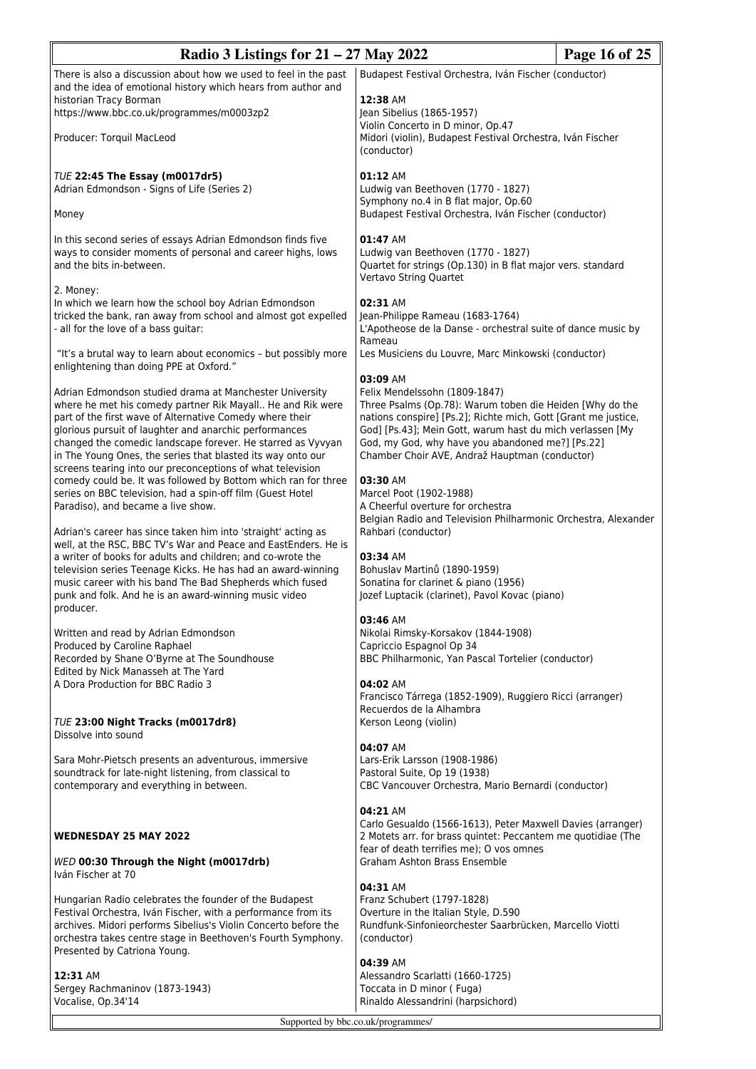|                                                                                                                                                                                                                                                                                                                                                                                                                                         | Page 16 of 25<br>Radio 3 Listings for $21 - 27$ May 2022                                                                                                                                                                                                                                                                                   |  |  |
|-----------------------------------------------------------------------------------------------------------------------------------------------------------------------------------------------------------------------------------------------------------------------------------------------------------------------------------------------------------------------------------------------------------------------------------------|--------------------------------------------------------------------------------------------------------------------------------------------------------------------------------------------------------------------------------------------------------------------------------------------------------------------------------------------|--|--|
| There is also a discussion about how we used to feel in the past                                                                                                                                                                                                                                                                                                                                                                        | Budapest Festival Orchestra, Iván Fischer (conductor)                                                                                                                                                                                                                                                                                      |  |  |
| and the idea of emotional history which hears from author and<br>historian Tracy Borman<br>https://www.bbc.co.uk/programmes/m0003zp2                                                                                                                                                                                                                                                                                                    | 12:38 AM<br>Jean Sibelius (1865-1957)<br>Violin Concerto in D minor, Op.47                                                                                                                                                                                                                                                                 |  |  |
| Producer: Torquil MacLeod                                                                                                                                                                                                                                                                                                                                                                                                               | Midori (violin), Budapest Festival Orchestra, Iván Fischer<br>(conductor)                                                                                                                                                                                                                                                                  |  |  |
| TUE 22:45 The Essay (m0017dr5)<br>Adrian Edmondson - Signs of Life (Series 2)                                                                                                                                                                                                                                                                                                                                                           | 01:12 AM<br>Ludwig van Beethoven (1770 - 1827)<br>Symphony no.4 in B flat major, Op.60                                                                                                                                                                                                                                                     |  |  |
| Money                                                                                                                                                                                                                                                                                                                                                                                                                                   | Budapest Festival Orchestra, Iván Fischer (conductor)                                                                                                                                                                                                                                                                                      |  |  |
| In this second series of essays Adrian Edmondson finds five<br>ways to consider moments of personal and career highs, lows<br>and the bits in-between.                                                                                                                                                                                                                                                                                  | 01:47 AM<br>Ludwig van Beethoven (1770 - 1827)<br>Quartet for strings (Op.130) in B flat major vers. standard<br>Vertavo String Quartet                                                                                                                                                                                                    |  |  |
| 2. Money:<br>In which we learn how the school boy Adrian Edmondson<br>tricked the bank, ran away from school and almost got expelled<br>- all for the love of a bass guitar:                                                                                                                                                                                                                                                            | 02:31 AM<br>Jean-Philippe Rameau (1683-1764)<br>L'Apotheose de la Danse - orchestral suite of dance music by<br>Rameau                                                                                                                                                                                                                     |  |  |
| "It's a brutal way to learn about economics - but possibly more<br>enlightening than doing PPE at Oxford."                                                                                                                                                                                                                                                                                                                              | Les Musiciens du Louvre, Marc Minkowski (conductor)                                                                                                                                                                                                                                                                                        |  |  |
| Adrian Edmondson studied drama at Manchester University<br>where he met his comedy partner Rik Mayall He and Rik were<br>part of the first wave of Alternative Comedy where their<br>glorious pursuit of laughter and anarchic performances<br>changed the comedic landscape forever. He starred as Vyvyan<br>in The Young Ones, the series that blasted its way onto our<br>screens tearing into our preconceptions of what television | 03:09 AM<br>Felix Mendelssohn (1809-1847)<br>Three Psalms (Op.78): Warum toben die Heiden [Why do the<br>nations conspire] [Ps.2]; Richte mich, Gott [Grant me justice,<br>God] [Ps.43]; Mein Gott, warum hast du mich verlassen [My<br>God, my God, why have you abandoned me?] [Ps.22]<br>Chamber Choir AVE, Andraž Hauptman (conductor) |  |  |
| comedy could be. It was followed by Bottom which ran for three<br>series on BBC television, had a spin-off film (Guest Hotel<br>Paradiso), and became a live show.                                                                                                                                                                                                                                                                      | 03:30 AM<br>Marcel Poot (1902-1988)<br>A Cheerful overture for orchestra<br>Belgian Radio and Television Philharmonic Orchestra, Alexander                                                                                                                                                                                                 |  |  |
| Adrian's career has since taken him into 'straight' acting as<br>well, at the RSC, BBC TV's War and Peace and EastEnders. He is<br>a writer of books for adults and children; and co-wrote the<br>television series Teenage Kicks. He has had an award-winning<br>music career with his band The Bad Shepherds which fused<br>punk and folk. And he is an award-winning music video<br>producer.                                        | Rahbari (conductor)<br>03:34 AM<br>Bohuslav Martinů (1890-1959)<br>Sonatina for clarinet & piano (1956)<br>Jozef Luptacik (clarinet), Pavol Kovac (piano)                                                                                                                                                                                  |  |  |
| Written and read by Adrian Edmondson<br>Produced by Caroline Raphael<br>Recorded by Shane O'Byrne at The Soundhouse<br>Edited by Nick Manasseh at The Yard<br>A Dora Production for BBC Radio 3                                                                                                                                                                                                                                         | 03:46 AM<br>Nikolai Rimsky-Korsakov (1844-1908)<br>Capriccio Espagnol Op 34<br>BBC Philharmonic, Yan Pascal Tortelier (conductor)<br>04:02 AM                                                                                                                                                                                              |  |  |
| TUE 23:00 Night Tracks (m0017dr8)                                                                                                                                                                                                                                                                                                                                                                                                       | Francisco Tárrega (1852-1909), Ruggiero Ricci (arranger)<br>Recuerdos de la Alhambra<br>Kerson Leong (violin)                                                                                                                                                                                                                              |  |  |
| Dissolve into sound                                                                                                                                                                                                                                                                                                                                                                                                                     | 04:07 AM                                                                                                                                                                                                                                                                                                                                   |  |  |
| Sara Mohr-Pietsch presents an adventurous, immersive<br>soundtrack for late-night listening, from classical to<br>contemporary and everything in between.                                                                                                                                                                                                                                                                               | Lars-Erik Larsson (1908-1986)<br>Pastoral Suite, Op 19 (1938)<br>CBC Vancouver Orchestra, Mario Bernardi (conductor)                                                                                                                                                                                                                       |  |  |
|                                                                                                                                                                                                                                                                                                                                                                                                                                         | 04:21 AM                                                                                                                                                                                                                                                                                                                                   |  |  |
| <b>WEDNESDAY 25 MAY 2022</b>                                                                                                                                                                                                                                                                                                                                                                                                            | Carlo Gesualdo (1566-1613), Peter Maxwell Davies (arranger)<br>2 Motets arr. for brass quintet: Peccantem me quotidiae (The<br>fear of death terrifies me); O vos omnes                                                                                                                                                                    |  |  |
| WED 00:30 Through the Night (m0017drb)<br>Iván Fischer at 70                                                                                                                                                                                                                                                                                                                                                                            | <b>Graham Ashton Brass Ensemble</b>                                                                                                                                                                                                                                                                                                        |  |  |
| Hungarian Radio celebrates the founder of the Budapest<br>Festival Orchestra, Iván Fischer, with a performance from its<br>archives. Midori performs Sibelius's Violin Concerto before the<br>orchestra takes centre stage in Beethoven's Fourth Symphony.<br>Presented by Catriona Young.                                                                                                                                              | 04:31 AM<br>Franz Schubert (1797-1828)<br>Overture in the Italian Style, D.590<br>Rundfunk-Sinfonieorchester Saarbrücken, Marcello Viotti<br>(conductor)                                                                                                                                                                                   |  |  |
| 12:31 AM<br>Sergey Rachmaninov (1873-1943)                                                                                                                                                                                                                                                                                                                                                                                              | 04:39 AM<br>Alessandro Scarlatti (1660-1725)<br>Toccata in D minor (Fuga)                                                                                                                                                                                                                                                                  |  |  |
| Vocalise, Op.34'14                                                                                                                                                                                                                                                                                                                                                                                                                      | Rinaldo Alessandrini (harpsichord)                                                                                                                                                                                                                                                                                                         |  |  |
| Supported by bbc.co.uk/programmes/                                                                                                                                                                                                                                                                                                                                                                                                      |                                                                                                                                                                                                                                                                                                                                            |  |  |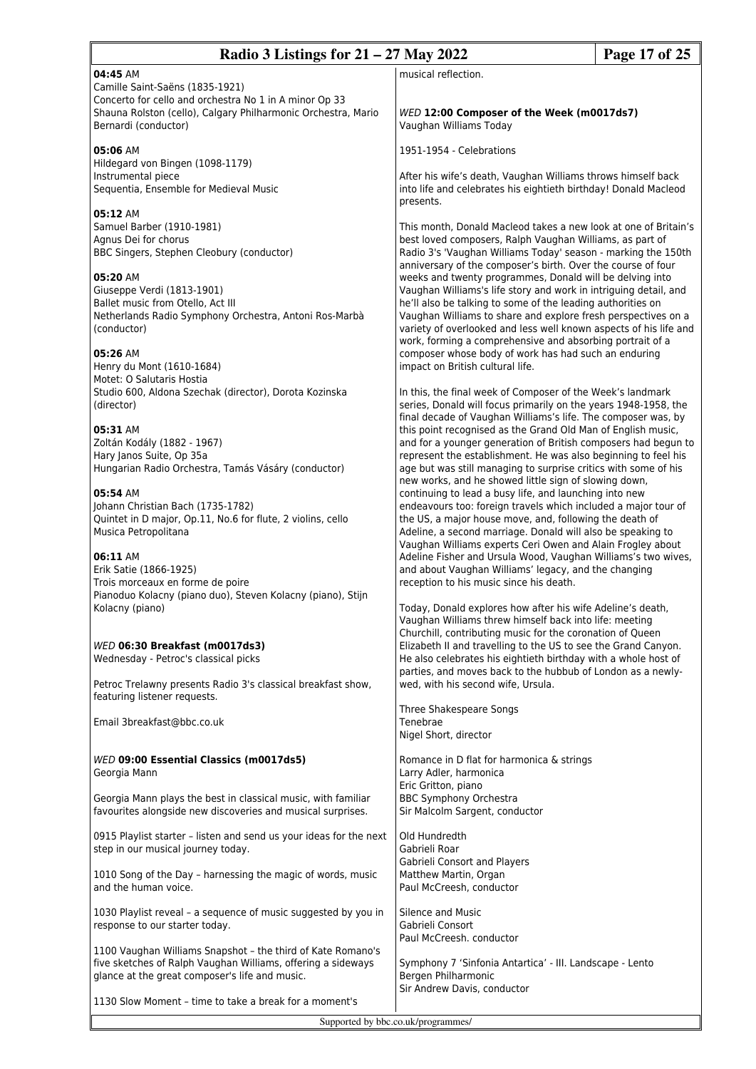| Radio 3 Listings for $21 - 27$ May 2022                                                                                                                                            |                                                                                                                                                                                              | Page 17 of 25 |
|------------------------------------------------------------------------------------------------------------------------------------------------------------------------------------|----------------------------------------------------------------------------------------------------------------------------------------------------------------------------------------------|---------------|
| 04:45 AM                                                                                                                                                                           | musical reflection.                                                                                                                                                                          |               |
| Camille Saint-Saëns (1835-1921)<br>Concerto for cello and orchestra No 1 in A minor Op 33<br>Shauna Rolston (cello), Calgary Philharmonic Orchestra, Mario<br>Bernardi (conductor) | WED 12:00 Composer of the Week (m0017ds7)<br>Vaughan Williams Today                                                                                                                          |               |
| 05:06 AM                                                                                                                                                                           | 1951-1954 - Celebrations                                                                                                                                                                     |               |
| Hildegard von Bingen (1098-1179)                                                                                                                                                   |                                                                                                                                                                                              |               |
| Instrumental piece<br>Sequentia, Ensemble for Medieval Music                                                                                                                       | After his wife's death, Vaughan Williams throws himself back<br>into life and celebrates his eightieth birthday! Donald Macleod<br>presents.                                                 |               |
| 05:12 AM                                                                                                                                                                           |                                                                                                                                                                                              |               |
| Samuel Barber (1910-1981)<br>Agnus Dei for chorus<br>BBC Singers, Stephen Cleobury (conductor)                                                                                     | This month, Donald Macleod takes a new look at one of Britain's<br>best loved composers, Ralph Vaughan Williams, as part of<br>Radio 3's 'Vaughan Williams Today' season - marking the 150th |               |
| 05:20 AM                                                                                                                                                                           | anniversary of the composer's birth. Over the course of four<br>weeks and twenty programmes, Donald will be delving into                                                                     |               |
| Giuseppe Verdi (1813-1901)                                                                                                                                                         | Vaughan Williams's life story and work in intriguing detail, and                                                                                                                             |               |
| Ballet music from Otello, Act III<br>Netherlands Radio Symphony Orchestra, Antoni Ros-Marbà                                                                                        | he'll also be talking to some of the leading authorities on<br>Vaughan Williams to share and explore fresh perspectives on a                                                                 |               |
| (conductor)                                                                                                                                                                        | variety of overlooked and less well known aspects of his life and                                                                                                                            |               |
|                                                                                                                                                                                    | work, forming a comprehensive and absorbing portrait of a                                                                                                                                    |               |
| 05:26 AM<br>Henry du Mont (1610-1684)                                                                                                                                              | composer whose body of work has had such an enduring                                                                                                                                         |               |
| Motet: O Salutaris Hostia                                                                                                                                                          | impact on British cultural life.                                                                                                                                                             |               |
| Studio 600, Aldona Szechak (director), Dorota Kozinska                                                                                                                             | In this, the final week of Composer of the Week's landmark                                                                                                                                   |               |
| (director)                                                                                                                                                                         | series, Donald will focus primarily on the years 1948-1958, the                                                                                                                              |               |
| 05:31 AM                                                                                                                                                                           | final decade of Vaughan Williams's life. The composer was, by<br>this point recognised as the Grand Old Man of English music,                                                                |               |
| Zoltán Kodály (1882 - 1967)                                                                                                                                                        | and for a younger generation of British composers had begun to                                                                                                                               |               |
| Hary Janos Suite, Op 35a                                                                                                                                                           | represent the establishment. He was also beginning to feel his                                                                                                                               |               |
| Hungarian Radio Orchestra, Tamás Vásáry (conductor)                                                                                                                                | age but was still managing to surprise critics with some of his<br>new works, and he showed little sign of slowing down,                                                                     |               |
| 05:54 AM                                                                                                                                                                           | continuing to lead a busy life, and launching into new                                                                                                                                       |               |
| Johann Christian Bach (1735-1782)                                                                                                                                                  | endeavours too: foreign travels which included a major tour of                                                                                                                               |               |
| Quintet in D major, Op.11, No.6 for flute, 2 violins, cello                                                                                                                        | the US, a major house move, and, following the death of                                                                                                                                      |               |
| Musica Petropolitana                                                                                                                                                               | Adeline, a second marriage. Donald will also be speaking to<br>Vaughan Williams experts Ceri Owen and Alain Frogley about                                                                    |               |
| 06:11 AM                                                                                                                                                                           | Adeline Fisher and Ursula Wood, Vaughan Williams's two wives,                                                                                                                                |               |
| Erik Satie (1866-1925)                                                                                                                                                             | and about Vaughan Williams' legacy, and the changing                                                                                                                                         |               |
| Trois morceaux en forme de poire                                                                                                                                                   | reception to his music since his death.                                                                                                                                                      |               |
| Pianoduo Kolacny (piano duo), Steven Kolacny (piano), Stijn<br>Kolacny (piano)                                                                                                     | Today, Donald explores how after his wife Adeline's death,                                                                                                                                   |               |
|                                                                                                                                                                                    | Vaughan Williams threw himself back into life: meeting                                                                                                                                       |               |
|                                                                                                                                                                                    | Churchill, contributing music for the coronation of Queen                                                                                                                                    |               |
| WED 06:30 Breakfast (m0017ds3)                                                                                                                                                     | Elizabeth II and travelling to the US to see the Grand Canyon.                                                                                                                               |               |
| Wednesday - Petroc's classical picks                                                                                                                                               | He also celebrates his eightieth birthday with a whole host of<br>parties, and moves back to the hubbub of London as a newly-                                                                |               |
| Petroc Trelawny presents Radio 3's classical breakfast show,<br>featuring listener requests.                                                                                       | wed, with his second wife, Ursula.                                                                                                                                                           |               |
|                                                                                                                                                                                    | Three Shakespeare Songs                                                                                                                                                                      |               |
| Email 3breakfast@bbc.co.uk                                                                                                                                                         | Tenebrae<br>Nigel Short, director                                                                                                                                                            |               |
| WED 09:00 Essential Classics (m0017ds5)                                                                                                                                            | Romance in D flat for harmonica & strings                                                                                                                                                    |               |
| Georgia Mann                                                                                                                                                                       | Larry Adler, harmonica                                                                                                                                                                       |               |
|                                                                                                                                                                                    | Eric Gritton, piano                                                                                                                                                                          |               |
| Georgia Mann plays the best in classical music, with familiar<br>favourites alongside new discoveries and musical surprises.                                                       | <b>BBC Symphony Orchestra</b><br>Sir Malcolm Sargent, conductor                                                                                                                              |               |
| 0915 Playlist starter - listen and send us your ideas for the next<br>step in our musical journey today.                                                                           | Old Hundredth<br>Gabrieli Roar                                                                                                                                                               |               |
|                                                                                                                                                                                    | Gabrieli Consort and Players                                                                                                                                                                 |               |
| 1010 Song of the Day - harnessing the magic of words, music<br>and the human voice.                                                                                                | Matthew Martin, Organ<br>Paul McCreesh, conductor                                                                                                                                            |               |
| 1030 Playlist reveal - a sequence of music suggested by you in<br>response to our starter today.                                                                                   | Silence and Music<br>Gabrieli Consort                                                                                                                                                        |               |
| 1100 Vaughan Williams Snapshot - the third of Kate Romano's                                                                                                                        | Paul McCreesh. conductor                                                                                                                                                                     |               |
| five sketches of Ralph Vaughan Williams, offering a sideways                                                                                                                       | Symphony 7 'Sinfonia Antartica' - III. Landscape - Lento                                                                                                                                     |               |
| glance at the great composer's life and music.                                                                                                                                     | Bergen Philharmonic<br>Sir Andrew Davis, conductor                                                                                                                                           |               |
| 1130 Slow Moment - time to take a break for a moment's                                                                                                                             |                                                                                                                                                                                              |               |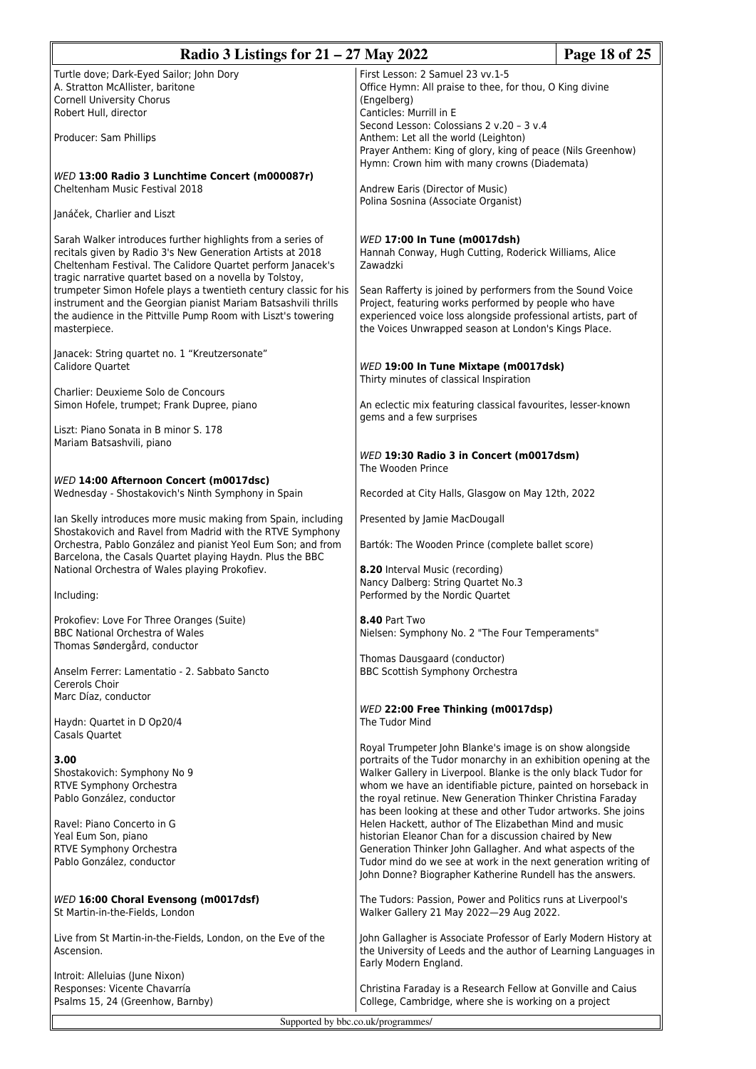| Radio 3 Listings for $21 - 27$ May 2022                                                                                                                                                                                                             |                                                                                                                                                                                                                                                                                                                                                                                                 | Page 18 of 25 |
|-----------------------------------------------------------------------------------------------------------------------------------------------------------------------------------------------------------------------------------------------------|-------------------------------------------------------------------------------------------------------------------------------------------------------------------------------------------------------------------------------------------------------------------------------------------------------------------------------------------------------------------------------------------------|---------------|
| Turtle dove; Dark-Eyed Sailor; John Dory<br>A. Stratton McAllister, baritone<br><b>Cornell University Chorus</b><br>Robert Hull, director<br>Producer: Sam Phillips                                                                                 | First Lesson: 2 Samuel 23 vv.1-5<br>Office Hymn: All praise to thee, for thou, O King divine<br>(Engelberg)<br>Canticles: Murrill in E.<br>Second Lesson: Colossians 2 v.20 - 3 v.4<br>Anthem: Let all the world (Leighton)                                                                                                                                                                     |               |
| WED 13:00 Radio 3 Lunchtime Concert (m000087r)<br>Cheltenham Music Festival 2018                                                                                                                                                                    | Prayer Anthem: King of glory, king of peace (Nils Greenhow)<br>Hymn: Crown him with many crowns (Diademata)<br>Andrew Earis (Director of Music)                                                                                                                                                                                                                                                 |               |
| Janáček, Charlier and Liszt                                                                                                                                                                                                                         | Polina Sosnina (Associate Organist)                                                                                                                                                                                                                                                                                                                                                             |               |
| Sarah Walker introduces further highlights from a series of<br>recitals given by Radio 3's New Generation Artists at 2018<br>Cheltenham Festival. The Calidore Quartet perform Janacek's<br>tragic narrative quartet based on a novella by Tolstoy, | WED 17:00 In Tune (m0017dsh)<br>Hannah Conway, Hugh Cutting, Roderick Williams, Alice<br>Zawadzki                                                                                                                                                                                                                                                                                               |               |
| trumpeter Simon Hofele plays a twentieth century classic for his<br>instrument and the Georgian pianist Mariam Batsashvili thrills<br>the audience in the Pittville Pump Room with Liszt's towering<br>masterpiece.                                 | Sean Rafferty is joined by performers from the Sound Voice<br>Project, featuring works performed by people who have<br>experienced voice loss alongside professional artists, part of<br>the Voices Unwrapped season at London's Kings Place.                                                                                                                                                   |               |
| Janacek: String quartet no. 1 "Kreutzersonate"<br>Calidore Ouartet                                                                                                                                                                                  | WED 19:00 In Tune Mixtape (m0017dsk)<br>Thirty minutes of classical Inspiration                                                                                                                                                                                                                                                                                                                 |               |
| Charlier: Deuxieme Solo de Concours<br>Simon Hofele, trumpet; Frank Dupree, piano                                                                                                                                                                   | An eclectic mix featuring classical favourites, lesser-known<br>gems and a few surprises                                                                                                                                                                                                                                                                                                        |               |
| Liszt: Piano Sonata in B minor S, 178<br>Mariam Batsashvili, piano                                                                                                                                                                                  | WED 19:30 Radio 3 in Concert (m0017dsm)<br>The Wooden Prince                                                                                                                                                                                                                                                                                                                                    |               |
| WED 14:00 Afternoon Concert (m0017dsc)<br>Wednesday - Shostakovich's Ninth Symphony in Spain                                                                                                                                                        | Recorded at City Halls, Glasgow on May 12th, 2022                                                                                                                                                                                                                                                                                                                                               |               |
| Ian Skelly introduces more music making from Spain, including<br>Shostakovich and Ravel from Madrid with the RTVE Symphony<br>Orchestra, Pablo González and pianist Yeol Eum Son; and from                                                          | Presented by Jamie MacDougall<br>Bartók: The Wooden Prince (complete ballet score)                                                                                                                                                                                                                                                                                                              |               |
| Barcelona, the Casals Quartet playing Haydn. Plus the BBC<br>National Orchestra of Wales playing Prokofiev.                                                                                                                                         | 8.20 Interval Music (recording)<br>Nancy Dalberg: String Quartet No.3                                                                                                                                                                                                                                                                                                                           |               |
| Including:                                                                                                                                                                                                                                          | Performed by the Nordic Quartet                                                                                                                                                                                                                                                                                                                                                                 |               |
| Prokofiev: Love For Three Oranges (Suite)<br><b>BBC National Orchestra of Wales</b><br>Thomas Søndergård, conductor                                                                                                                                 | 8.40 Part Two<br>Nielsen: Symphony No. 2 "The Four Temperaments"                                                                                                                                                                                                                                                                                                                                |               |
| Anselm Ferrer: Lamentatio - 2. Sabbato Sancto<br>Cererols Choir<br>Marc Díaz, conductor                                                                                                                                                             | Thomas Dausgaard (conductor)<br>BBC Scottish Symphony Orchestra                                                                                                                                                                                                                                                                                                                                 |               |
| Haydn: Quartet in D Op20/4<br>Casals Quartet                                                                                                                                                                                                        | WED 22:00 Free Thinking (m0017dsp)<br>The Tudor Mind                                                                                                                                                                                                                                                                                                                                            |               |
| 3.00<br>Shostakovich: Symphony No 9<br>RTVE Symphony Orchestra<br>Pablo González, conductor                                                                                                                                                         | Royal Trumpeter John Blanke's image is on show alongside<br>portraits of the Tudor monarchy in an exhibition opening at the<br>Walker Gallery in Liverpool. Blanke is the only black Tudor for<br>whom we have an identifiable picture, painted on horseback in<br>the royal retinue. New Generation Thinker Christina Faraday<br>has been looking at these and other Tudor artworks. She joins |               |
| Ravel: Piano Concerto in G<br>Yeal Eum Son, piano<br>RTVE Symphony Orchestra<br>Pablo González, conductor                                                                                                                                           | Helen Hackett, author of The Elizabethan Mind and music<br>historian Eleanor Chan for a discussion chaired by New<br>Generation Thinker John Gallagher. And what aspects of the<br>Tudor mind do we see at work in the next generation writing of<br>John Donne? Biographer Katherine Rundell has the answers.                                                                                  |               |
| WED 16:00 Choral Evensong (m0017dsf)<br>St Martin-in-the-Fields, London                                                                                                                                                                             | The Tudors: Passion, Power and Politics runs at Liverpool's<br>Walker Gallery 21 May 2022-29 Aug 2022.                                                                                                                                                                                                                                                                                          |               |
| Live from St Martin-in-the-Fields, London, on the Eve of the<br>Ascension.                                                                                                                                                                          | John Gallagher is Associate Professor of Early Modern History at<br>the University of Leeds and the author of Learning Languages in<br>Early Modern England.                                                                                                                                                                                                                                    |               |
| Introit: Alleluias (June Nixon)<br>Responses: Vicente Chavarría<br>Psalms 15, 24 (Greenhow, Barnby)                                                                                                                                                 | Christina Faraday is a Research Fellow at Gonville and Caius<br>College, Cambridge, where she is working on a project                                                                                                                                                                                                                                                                           |               |
| Supported by bbc.co.uk/programmes/                                                                                                                                                                                                                  |                                                                                                                                                                                                                                                                                                                                                                                                 |               |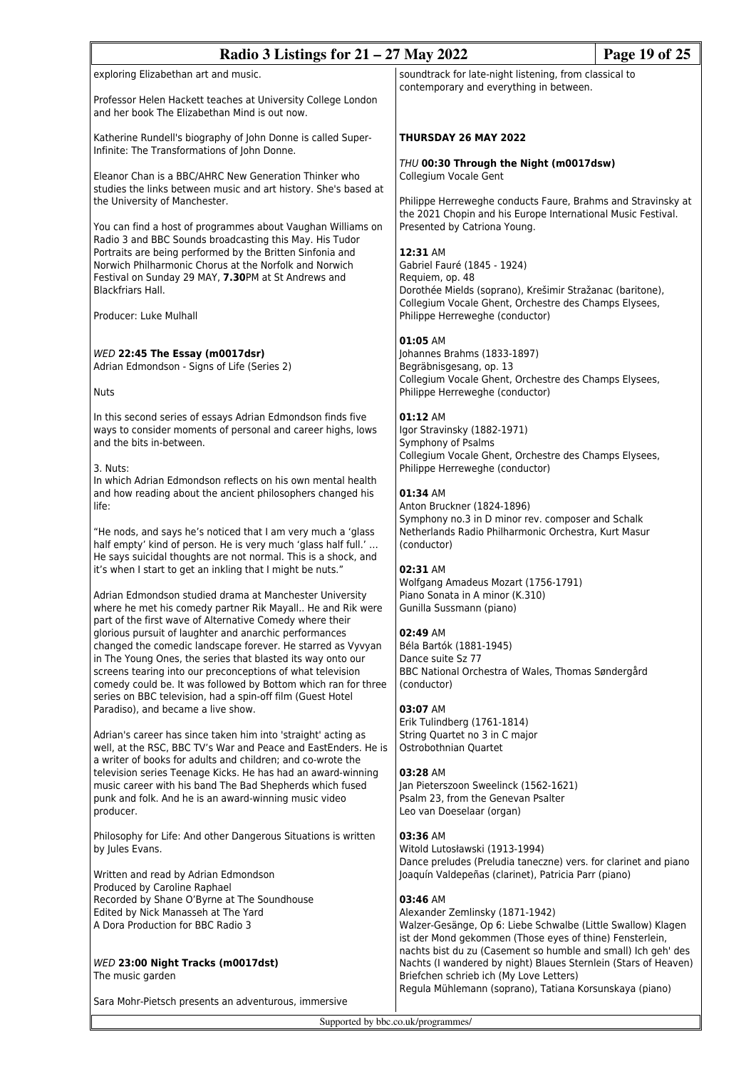| Radio 3 Listings for $21 - 27$ May 2022                                                                                                                                                                                                                                                                                          |                                                                                                                                                                                                                              | Page 19 of 25 |
|----------------------------------------------------------------------------------------------------------------------------------------------------------------------------------------------------------------------------------------------------------------------------------------------------------------------------------|------------------------------------------------------------------------------------------------------------------------------------------------------------------------------------------------------------------------------|---------------|
| exploring Elizabethan art and music.                                                                                                                                                                                                                                                                                             | soundtrack for late-night listening, from classical to                                                                                                                                                                       |               |
| Professor Helen Hackett teaches at University College London<br>and her book The Elizabethan Mind is out now.                                                                                                                                                                                                                    | contemporary and everything in between.                                                                                                                                                                                      |               |
| Katherine Rundell's biography of John Donne is called Super-<br>Infinite: The Transformations of John Donne.                                                                                                                                                                                                                     | <b>THURSDAY 26 MAY 2022</b>                                                                                                                                                                                                  |               |
| Eleanor Chan is a BBC/AHRC New Generation Thinker who<br>studies the links between music and art history. She's based at<br>the University of Manchester.                                                                                                                                                                        | THU 00:30 Through the Night (m0017dsw)<br>Collegium Vocale Gent<br>Philippe Herreweghe conducts Faure, Brahms and Stravinsky at<br>the 2021 Chopin and his Europe International Music Festival.                              |               |
| You can find a host of programmes about Vaughan Williams on<br>Radio 3 and BBC Sounds broadcasting this May. His Tudor<br>Portraits are being performed by the Britten Sinfonia and<br>Norwich Philharmonic Chorus at the Norfolk and Norwich<br>Festival on Sunday 29 MAY, 7.30PM at St Andrews and<br><b>Blackfriars Hall.</b> | Presented by Catriona Young.<br>12:31 AM<br>Gabriel Fauré (1845 - 1924)<br>Requiem, op. 48<br>Dorothée Mields (soprano), Krešimir Stražanac (baritone),<br>Collegium Vocale Ghent, Orchestre des Champs Elysees,             |               |
| Producer: Luke Mulhall                                                                                                                                                                                                                                                                                                           | Philippe Herreweghe (conductor)                                                                                                                                                                                              |               |
| WED 22:45 The Essay (m0017dsr)<br>Adrian Edmondson - Signs of Life (Series 2)<br><b>Nuts</b>                                                                                                                                                                                                                                     | 01:05 AM<br>Johannes Brahms (1833-1897)<br>Begräbnisgesang, op. 13<br>Collegium Vocale Ghent, Orchestre des Champs Elysees,<br>Philippe Herreweghe (conductor)                                                               |               |
| In this second series of essays Adrian Edmondson finds five<br>ways to consider moments of personal and career highs, lows<br>and the bits in-between.                                                                                                                                                                           | 01:12 AM<br>Igor Stravinsky (1882-1971)<br>Symphony of Psalms<br>Collegium Vocale Ghent, Orchestre des Champs Elysees,                                                                                                       |               |
| 3. Nuts:<br>In which Adrian Edmondson reflects on his own mental health<br>and how reading about the ancient philosophers changed his<br>life:                                                                                                                                                                                   | Philippe Herreweghe (conductor)<br>01:34 AM<br>Anton Bruckner (1824-1896)                                                                                                                                                    |               |
| "He nods, and says he's noticed that I am very much a 'glass<br>half empty' kind of person. He is very much 'glass half full.'<br>He says suicidal thoughts are not normal. This is a shock, and<br>it's when I start to get an inkling that I might be nuts."                                                                   | Symphony no.3 in D minor rev. composer and Schalk<br>Netherlands Radio Philharmonic Orchestra, Kurt Masur<br>(conductor)<br>02:31 AM                                                                                         |               |
| Adrian Edmondson studied drama at Manchester University<br>where he met his comedy partner Rik Mayall He and Rik were<br>part of the first wave of Alternative Comedy where their<br>glorious pursuit of laughter and anarchic performances                                                                                      | Wolfgang Amadeus Mozart (1756-1791)<br>Piano Sonata in A minor (K.310)<br>Gunilla Sussmann (piano)<br>02:49 AM                                                                                                               |               |
| changed the comedic landscape forever. He starred as Vyvyan<br>in The Young Ones, the series that blasted its way onto our<br>screens tearing into our preconceptions of what television<br>comedy could be. It was followed by Bottom which ran for three                                                                       | Béla Bartók (1881-1945)<br>Dance suite Sz 77<br>BBC National Orchestra of Wales, Thomas Søndergård<br>(conductor)                                                                                                            |               |
| series on BBC television, had a spin-off film (Guest Hotel<br>Paradiso), and became a live show.                                                                                                                                                                                                                                 | 03:07 AM<br>Erik Tulindberg (1761-1814)                                                                                                                                                                                      |               |
| Adrian's career has since taken him into 'straight' acting as<br>well, at the RSC, BBC TV's War and Peace and EastEnders. He is<br>a writer of books for adults and children; and co-wrote the                                                                                                                                   | String Quartet no 3 in C major<br>Ostrobothnian Quartet<br>03:28 AM                                                                                                                                                          |               |
| television series Teenage Kicks. He has had an award-winning<br>music career with his band The Bad Shepherds which fused<br>punk and folk. And he is an award-winning music video<br>producer.                                                                                                                                   | Jan Pieterszoon Sweelinck (1562-1621)<br>Psalm 23, from the Genevan Psalter<br>Leo van Doeselaar (organ)                                                                                                                     |               |
| Philosophy for Life: And other Dangerous Situations is written<br>by Jules Evans.                                                                                                                                                                                                                                                | 03:36 AM<br>Witold Lutosławski (1913-1994)<br>Dance preludes (Preludia taneczne) vers. for clarinet and piano                                                                                                                |               |
| Written and read by Adrian Edmondson<br>Produced by Caroline Raphael<br>Recorded by Shane O'Byrne at The Soundhouse                                                                                                                                                                                                              | Joaquín Valdepeñas (clarinet), Patricia Parr (piano)<br>03:46 AM                                                                                                                                                             |               |
| Edited by Nick Manasseh at The Yard<br>A Dora Production for BBC Radio 3                                                                                                                                                                                                                                                         | Alexander Zemlinsky (1871-1942)<br>Walzer-Gesänge, Op 6: Liebe Schwalbe (Little Swallow) Klagen<br>ist der Mond gekommen (Those eyes of thine) Fensterlein,<br>nachts bist du zu (Casement so humble and small) Ich geh' des |               |
| WED 23:00 Night Tracks (m0017dst)<br>The music garden                                                                                                                                                                                                                                                                            | Nachts (I wandered by night) Blaues Sternlein (Stars of Heaven)<br>Briefchen schrieb ich (My Love Letters)<br>Regula Mühlemann (soprano), Tatiana Korsunskaya (piano)                                                        |               |
| Sara Mohr-Pietsch presents an adventurous, immersive                                                                                                                                                                                                                                                                             |                                                                                                                                                                                                                              |               |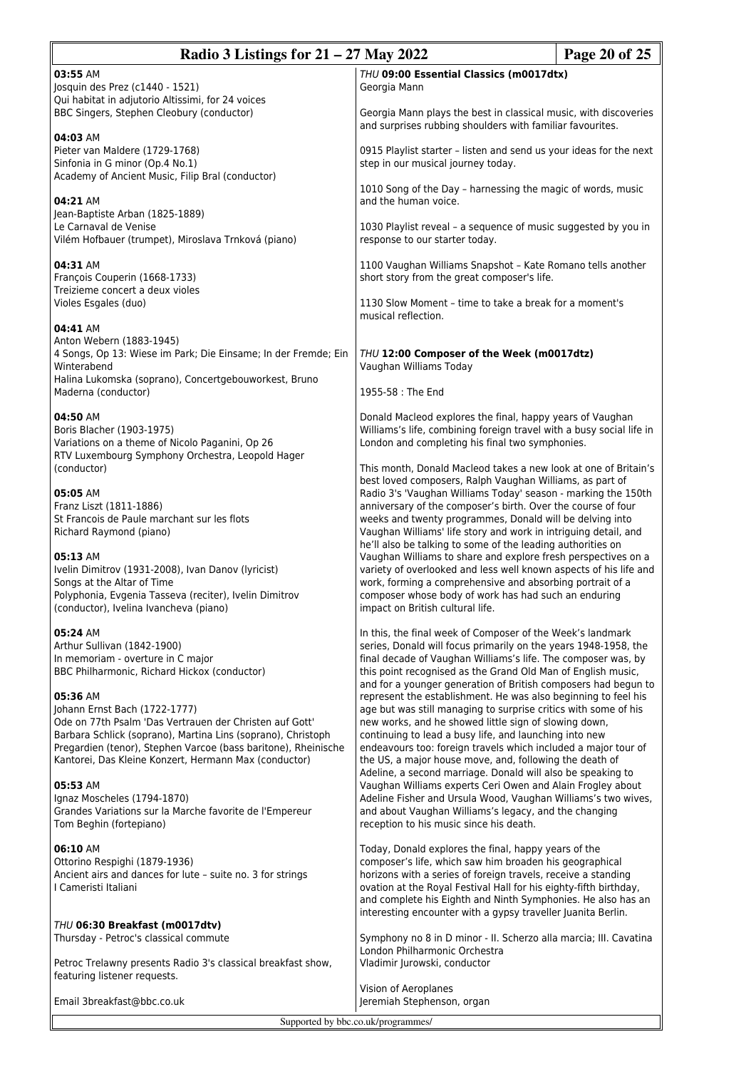| Radio 3 Listings for $21 - 27$ May 2022                                                                                                                                                                                                                                                                                                                                                                                                                                                                                                                          |                                                                                                                                                                                                                                                                                                                                                                                                                                                                                                                                                                                                                                                                                                                                                                                                                                                                                                                                                                                                                         | Page 20 of 25 |
|------------------------------------------------------------------------------------------------------------------------------------------------------------------------------------------------------------------------------------------------------------------------------------------------------------------------------------------------------------------------------------------------------------------------------------------------------------------------------------------------------------------------------------------------------------------|-------------------------------------------------------------------------------------------------------------------------------------------------------------------------------------------------------------------------------------------------------------------------------------------------------------------------------------------------------------------------------------------------------------------------------------------------------------------------------------------------------------------------------------------------------------------------------------------------------------------------------------------------------------------------------------------------------------------------------------------------------------------------------------------------------------------------------------------------------------------------------------------------------------------------------------------------------------------------------------------------------------------------|---------------|
| 03:55 AM<br>Josquin des Prez (c1440 - 1521)                                                                                                                                                                                                                                                                                                                                                                                                                                                                                                                      | THU 09:00 Essential Classics (m0017dtx)<br>Georgia Mann                                                                                                                                                                                                                                                                                                                                                                                                                                                                                                                                                                                                                                                                                                                                                                                                                                                                                                                                                                 |               |
| Qui habitat in adjutorio Altissimi, for 24 voices<br>BBC Singers, Stephen Cleobury (conductor)                                                                                                                                                                                                                                                                                                                                                                                                                                                                   | Georgia Mann plays the best in classical music, with discoveries<br>and surprises rubbing shoulders with familiar favourites.                                                                                                                                                                                                                                                                                                                                                                                                                                                                                                                                                                                                                                                                                                                                                                                                                                                                                           |               |
| 04:03 AM<br>Pieter van Maldere (1729-1768)<br>Sinfonia in G minor (Op.4 No.1)                                                                                                                                                                                                                                                                                                                                                                                                                                                                                    | 0915 Playlist starter - listen and send us your ideas for the next<br>step in our musical journey today.                                                                                                                                                                                                                                                                                                                                                                                                                                                                                                                                                                                                                                                                                                                                                                                                                                                                                                                |               |
| Academy of Ancient Music, Filip Bral (conductor)<br>04:21 AM                                                                                                                                                                                                                                                                                                                                                                                                                                                                                                     | 1010 Song of the Day - harnessing the magic of words, music<br>and the human voice.                                                                                                                                                                                                                                                                                                                                                                                                                                                                                                                                                                                                                                                                                                                                                                                                                                                                                                                                     |               |
| Jean-Baptiste Arban (1825-1889)<br>Le Carnaval de Venise<br>Vilém Hofbauer (trumpet), Miroslava Trnková (piano)                                                                                                                                                                                                                                                                                                                                                                                                                                                  | 1030 Playlist reveal - a sequence of music suggested by you in<br>response to our starter today.                                                                                                                                                                                                                                                                                                                                                                                                                                                                                                                                                                                                                                                                                                                                                                                                                                                                                                                        |               |
| 04:31 AM<br>François Couperin (1668-1733)                                                                                                                                                                                                                                                                                                                                                                                                                                                                                                                        | 1100 Vaughan Williams Snapshot - Kate Romano tells another<br>short story from the great composer's life.                                                                                                                                                                                                                                                                                                                                                                                                                                                                                                                                                                                                                                                                                                                                                                                                                                                                                                               |               |
| Treizieme concert a deux violes<br>Violes Esgales (duo)                                                                                                                                                                                                                                                                                                                                                                                                                                                                                                          | 1130 Slow Moment - time to take a break for a moment's<br>musical reflection.                                                                                                                                                                                                                                                                                                                                                                                                                                                                                                                                                                                                                                                                                                                                                                                                                                                                                                                                           |               |
| 04:41 AM<br>Anton Webern (1883-1945)<br>4 Songs, Op 13: Wiese im Park; Die Einsame; In der Fremde; Ein<br>Winterabend<br>Halina Lukomska (soprano), Concertgebouworkest, Bruno<br>Maderna (conductor)                                                                                                                                                                                                                                                                                                                                                            | THU 12:00 Composer of the Week (m0017dtz)<br>Vaughan Williams Today<br>1955-58 : The End                                                                                                                                                                                                                                                                                                                                                                                                                                                                                                                                                                                                                                                                                                                                                                                                                                                                                                                                |               |
| 04:50 AM<br>Boris Blacher (1903-1975)<br>Variations on a theme of Nicolo Paganini, Op 26<br>RTV Luxembourg Symphony Orchestra, Leopold Hager                                                                                                                                                                                                                                                                                                                                                                                                                     | Donald Macleod explores the final, happy years of Vaughan<br>Williams's life, combining foreign travel with a busy social life in<br>London and completing his final two symphonies.                                                                                                                                                                                                                                                                                                                                                                                                                                                                                                                                                                                                                                                                                                                                                                                                                                    |               |
| (conductor)<br>05:05 AM<br>Franz Liszt (1811-1886)<br>St Francois de Paule marchant sur les flots<br>Richard Raymond (piano)<br>05:13 AM<br>Ivelin Dimitrov (1931-2008), Ivan Danov (lyricist)<br>Songs at the Altar of Time<br>Polyphonia, Evgenia Tasseva (reciter), Ivelin Dimitrov<br>(conductor), Ivelina Ivancheva (piano)                                                                                                                                                                                                                                 | This month, Donald Macleod takes a new look at one of Britain's<br>best loved composers, Ralph Vaughan Williams, as part of<br>Radio 3's 'Vaughan Williams Today' season - marking the 150th<br>anniversary of the composer's birth. Over the course of four<br>weeks and twenty programmes, Donald will be delving into<br>Vaughan Williams' life story and work in intriguing detail, and<br>he'll also be talking to some of the leading authorities on<br>Vaughan Williams to share and explore fresh perspectives on a<br>variety of overlooked and less well known aspects of his life and<br>work, forming a comprehensive and absorbing portrait of a<br>composer whose body of work has had such an enduring<br>impact on British cultural life.                                                                                                                                                                                                                                                               |               |
| 05:24 AM<br>Arthur Sullivan (1842-1900)<br>In memoriam - overture in C major<br>BBC Philharmonic, Richard Hickox (conductor)<br>05:36 AM<br>Johann Ernst Bach (1722-1777)<br>Ode on 77th Psalm 'Das Vertrauen der Christen auf Gott'<br>Barbara Schlick (soprano), Martina Lins (soprano), Christoph<br>Pregardien (tenor), Stephen Varcoe (bass baritone), Rheinische<br>Kantorei, Das Kleine Konzert, Hermann Max (conductor)<br>05:53 AM<br>Ignaz Moscheles (1794-1870)<br>Grandes Variations sur la Marche favorite de l'Empereur<br>Tom Beghin (fortepiano) | In this, the final week of Composer of the Week's landmark<br>series, Donald will focus primarily on the years 1948-1958, the<br>final decade of Vaughan Williams's life. The composer was, by<br>this point recognised as the Grand Old Man of English music,<br>and for a younger generation of British composers had begun to<br>represent the establishment. He was also beginning to feel his<br>age but was still managing to surprise critics with some of his<br>new works, and he showed little sign of slowing down,<br>continuing to lead a busy life, and launching into new<br>endeavours too: foreign travels which included a major tour of<br>the US, a major house move, and, following the death of<br>Adeline, a second marriage. Donald will also be speaking to<br>Vaughan Williams experts Ceri Owen and Alain Frogley about<br>Adeline Fisher and Ursula Wood, Vaughan Williams's two wives,<br>and about Vaughan Williams's legacy, and the changing<br>reception to his music since his death. |               |
| 06:10 AM<br>Ottorino Respighi (1879-1936)<br>Ancient airs and dances for lute - suite no. 3 for strings<br>I Cameristi Italiani                                                                                                                                                                                                                                                                                                                                                                                                                                  | Today, Donald explores the final, happy years of the<br>composer's life, which saw him broaden his geographical<br>horizons with a series of foreign travels, receive a standing<br>ovation at the Royal Festival Hall for his eighty-fifth birthday,<br>and complete his Eighth and Ninth Symphonies. He also has an<br>interesting encounter with a gypsy traveller Juanita Berlin.                                                                                                                                                                                                                                                                                                                                                                                                                                                                                                                                                                                                                                   |               |
| THU 06:30 Breakfast (m0017dtv)<br>Thursday - Petroc's classical commute                                                                                                                                                                                                                                                                                                                                                                                                                                                                                          | Symphony no 8 in D minor - II. Scherzo alla marcia; III. Cavatina<br>London Philharmonic Orchestra                                                                                                                                                                                                                                                                                                                                                                                                                                                                                                                                                                                                                                                                                                                                                                                                                                                                                                                      |               |
| Petroc Trelawny presents Radio 3's classical breakfast show,<br>featuring listener requests.                                                                                                                                                                                                                                                                                                                                                                                                                                                                     | Vladimir Jurowski, conductor<br>Vision of Aeroplanes                                                                                                                                                                                                                                                                                                                                                                                                                                                                                                                                                                                                                                                                                                                                                                                                                                                                                                                                                                    |               |

Email 3breakfast@bbc.co.uk

Supported by bbc.co.uk/programmes/

Jeremiah Stephenson, organ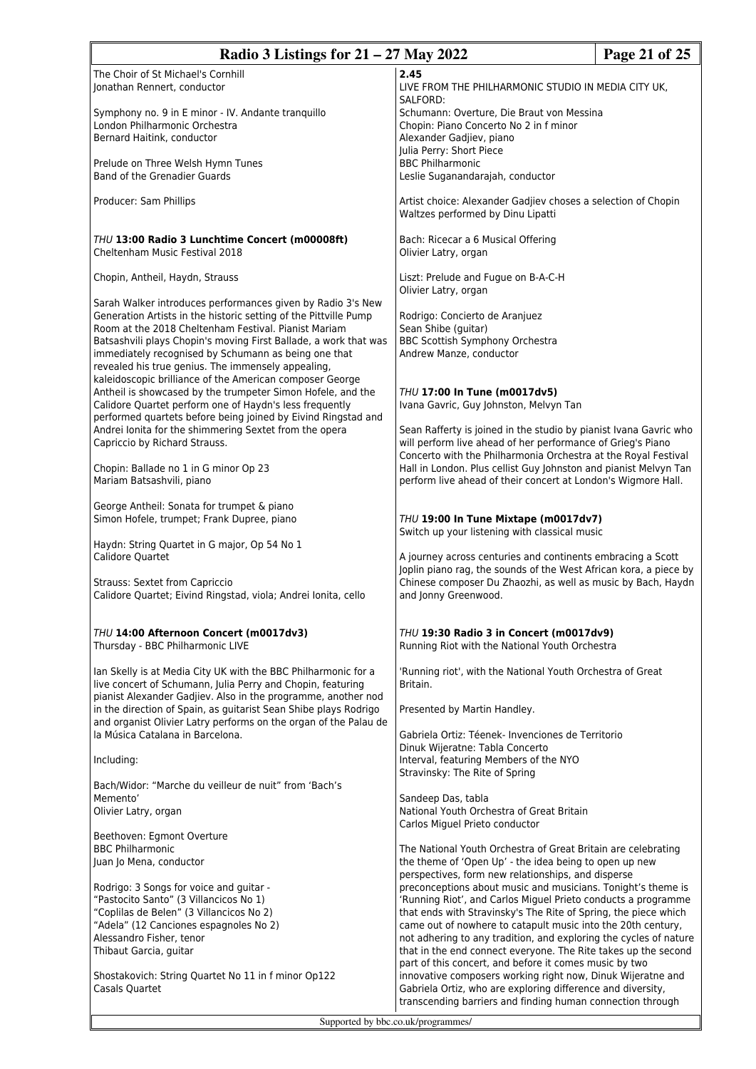| Radio 3 Listings for $21 - 27$ May 2022                                                                                       |                                                                                                                                     | Page 21 of 25 |
|-------------------------------------------------------------------------------------------------------------------------------|-------------------------------------------------------------------------------------------------------------------------------------|---------------|
| The Choir of St Michael's Cornhill<br>Jonathan Rennert, conductor                                                             | 2.45<br>LIVE FROM THE PHILHARMONIC STUDIO IN MEDIA CITY UK,                                                                         |               |
| Symphony no. 9 in E minor - IV. Andante tranquillo                                                                            | SALFORD:<br>Schumann: Overture, Die Braut von Messina                                                                               |               |
| London Philharmonic Orchestra                                                                                                 | Chopin: Piano Concerto No 2 in f minor                                                                                              |               |
| Bernard Haitink, conductor                                                                                                    | Alexander Gadjiev, piano                                                                                                            |               |
|                                                                                                                               | Julia Perry: Short Piece                                                                                                            |               |
| Prelude on Three Welsh Hymn Tunes<br><b>Band of the Grenadier Guards</b>                                                      | <b>BBC Philharmonic</b><br>Leslie Suganandarajah, conductor                                                                         |               |
|                                                                                                                               |                                                                                                                                     |               |
| Producer: Sam Phillips                                                                                                        | Artist choice: Alexander Gadjiev choses a selection of Chopin<br>Waltzes performed by Dinu Lipatti                                  |               |
| THU 13:00 Radio 3 Lunchtime Concert (m00008ft)<br><b>Cheltenham Music Festival 2018</b>                                       | Bach: Ricecar a 6 Musical Offering<br>Olivier Latry, organ                                                                          |               |
| Chopin, Antheil, Haydn, Strauss                                                                                               | Liszt: Prelude and Fugue on B-A-C-H<br>Olivier Latry, organ                                                                         |               |
| Sarah Walker introduces performances given by Radio 3's New                                                                   |                                                                                                                                     |               |
| Generation Artists in the historic setting of the Pittville Pump<br>Room at the 2018 Cheltenham Festival. Pianist Mariam      | Rodrigo: Concierto de Aranjuez<br>Sean Shibe (quitar)                                                                               |               |
| Batsashvili plays Chopin's moving First Ballade, a work that was                                                              | <b>BBC Scottish Symphony Orchestra</b>                                                                                              |               |
| immediately recognised by Schumann as being one that                                                                          | Andrew Manze, conductor                                                                                                             |               |
| revealed his true genius. The immensely appealing,                                                                            |                                                                                                                                     |               |
| kaleidoscopic brilliance of the American composer George<br>Antheil is showcased by the trumpeter Simon Hofele, and the       | THU 17:00 In Tune (m0017dv5)                                                                                                        |               |
| Calidore Quartet perform one of Haydn's less frequently                                                                       | Ivana Gavric, Guy Johnston, Melvyn Tan                                                                                              |               |
| performed quartets before being joined by Eivind Ringstad and                                                                 |                                                                                                                                     |               |
| Andrei Ionita for the shimmering Sextet from the opera<br>Capriccio by Richard Strauss.                                       | Sean Rafferty is joined in the studio by pianist Ivana Gavric who<br>will perform live ahead of her performance of Grieg's Piano    |               |
|                                                                                                                               | Concerto with the Philharmonia Orchestra at the Royal Festival                                                                      |               |
| Chopin: Ballade no 1 in G minor Op 23                                                                                         | Hall in London. Plus cellist Guy Johnston and pianist Melvyn Tan                                                                    |               |
| Mariam Batsashvili, piano                                                                                                     | perform live ahead of their concert at London's Wigmore Hall.                                                                       |               |
| George Antheil: Sonata for trumpet & piano                                                                                    |                                                                                                                                     |               |
| Simon Hofele, trumpet; Frank Dupree, piano                                                                                    | THU 19:00 In Tune Mixtape (m0017dv7)                                                                                                |               |
| Haydn: String Quartet in G major, Op 54 No 1                                                                                  | Switch up your listening with classical music                                                                                       |               |
| Calidore Quartet                                                                                                              | A journey across centuries and continents embracing a Scott                                                                         |               |
|                                                                                                                               | Joplin piano rag, the sounds of the West African kora, a piece by                                                                   |               |
| <b>Strauss: Sextet from Capriccio</b><br>Calidore Quartet; Eivind Ringstad, viola; Andrei Ionita, cello                       | Chinese composer Du Zhaozhi, as well as music by Bach, Haydn<br>and Jonny Greenwood.                                                |               |
|                                                                                                                               |                                                                                                                                     |               |
| THU 14:00 Afternoon Concert (m0017dv3)                                                                                        | THU 19:30 Radio 3 in Concert (m0017dv9)                                                                                             |               |
| Thursday - BBC Philharmonic LIVE                                                                                              | Running Riot with the National Youth Orchestra                                                                                      |               |
|                                                                                                                               |                                                                                                                                     |               |
| Ian Skelly is at Media City UK with the BBC Philharmonic for a<br>live concert of Schumann, Julia Perry and Chopin, featuring | 'Running riot', with the National Youth Orchestra of Great<br>Britain.                                                              |               |
| pianist Alexander Gadjiev. Also in the programme, another nod                                                                 |                                                                                                                                     |               |
| in the direction of Spain, as guitarist Sean Shibe plays Rodrigo                                                              | Presented by Martin Handley.                                                                                                        |               |
| and organist Olivier Latry performs on the organ of the Palau de<br>la Música Catalana in Barcelona.                          | Gabriela Ortiz: Téenek- Invenciones de Territorio                                                                                   |               |
|                                                                                                                               | Dinuk Wijeratne: Tabla Concerto                                                                                                     |               |
| Including:                                                                                                                    | Interval, featuring Members of the NYO                                                                                              |               |
| Bach/Widor: "Marche du veilleur de nuit" from 'Bach's                                                                         | Stravinsky: The Rite of Spring                                                                                                      |               |
| Memento'                                                                                                                      | Sandeep Das, tabla                                                                                                                  |               |
| Olivier Latry, organ                                                                                                          | National Youth Orchestra of Great Britain                                                                                           |               |
| Beethoven: Egmont Overture                                                                                                    | Carlos Miguel Prieto conductor                                                                                                      |               |
| <b>BBC Philharmonic</b>                                                                                                       | The National Youth Orchestra of Great Britain are celebrating                                                                       |               |
| Juan Jo Mena, conductor                                                                                                       | the theme of 'Open Up' - the idea being to open up new                                                                              |               |
| Rodrigo: 3 Songs for voice and guitar -                                                                                       | perspectives, form new relationships, and disperse<br>preconceptions about music and musicians. Tonight's theme is                  |               |
| "Pastocito Santo" (3 Villancicos No 1)                                                                                        | 'Running Riot', and Carlos Miguel Prieto conducts a programme                                                                       |               |
| "Coplilas de Belen" (3 Villancicos No 2)                                                                                      | that ends with Stravinsky's The Rite of Spring, the piece which                                                                     |               |
| "Adela" (12 Canciones espagnoles No 2)                                                                                        | came out of nowhere to catapult music into the 20th century,                                                                        |               |
| Alessandro Fisher, tenor<br>Thibaut Garcia, guitar                                                                            | not adhering to any tradition, and exploring the cycles of nature<br>that in the end connect everyone. The Rite takes up the second |               |
|                                                                                                                               | part of this concert, and before it comes music by two                                                                              |               |
| Shostakovich: String Quartet No 11 in f minor Op122<br>Casals Quartet                                                         | innovative composers working right now, Dinuk Wijeratne and<br>Gabriela Ortiz, who are exploring difference and diversity,          |               |
|                                                                                                                               | transcending barriers and finding human connection through                                                                          |               |
|                                                                                                                               |                                                                                                                                     |               |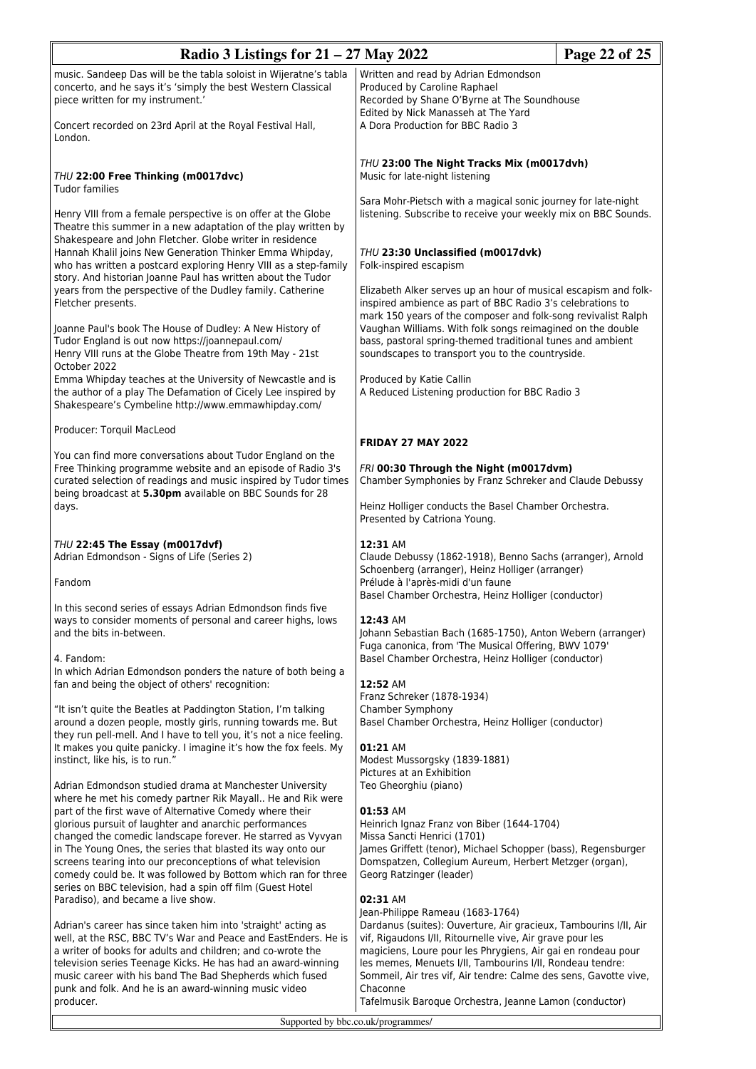| Radio 3 Listings for $21 - 27$ May 2022                                                                                                                                                                                                                                                                                                                                                                                                |                                                                                                                                                                                                                                                                                                                                                                                                                                                      | Page 22 of 25 |
|----------------------------------------------------------------------------------------------------------------------------------------------------------------------------------------------------------------------------------------------------------------------------------------------------------------------------------------------------------------------------------------------------------------------------------------|------------------------------------------------------------------------------------------------------------------------------------------------------------------------------------------------------------------------------------------------------------------------------------------------------------------------------------------------------------------------------------------------------------------------------------------------------|---------------|
| music. Sandeep Das will be the tabla soloist in Wijeratne's tabla<br>concerto, and he says it's 'simply the best Western Classical<br>piece written for my instrument.'<br>Concert recorded on 23rd April at the Royal Festival Hall,<br>London.                                                                                                                                                                                       | Written and read by Adrian Edmondson<br>Produced by Caroline Raphael<br>Recorded by Shane O'Byrne at The Soundhouse<br>Edited by Nick Manasseh at The Yard<br>A Dora Production for BBC Radio 3                                                                                                                                                                                                                                                      |               |
| THU 22:00 Free Thinking (m0017dvc)<br><b>Tudor families</b>                                                                                                                                                                                                                                                                                                                                                                            | THU 23:00 The Night Tracks Mix (m0017dvh)<br>Music for late-night listening<br>Sara Mohr-Pietsch with a magical sonic journey for late-night                                                                                                                                                                                                                                                                                                         |               |
| Henry VIII from a female perspective is on offer at the Globe<br>Theatre this summer in a new adaptation of the play written by<br>Shakespeare and John Fletcher. Globe writer in residence<br>Hannah Khalil joins New Generation Thinker Emma Whipday,                                                                                                                                                                                | listening. Subscribe to receive your weekly mix on BBC Sounds.<br>THU 23:30 Unclassified (m0017dvk)                                                                                                                                                                                                                                                                                                                                                  |               |
| who has written a postcard exploring Henry VIII as a step-family<br>story. And historian Joanne Paul has written about the Tudor<br>years from the perspective of the Dudley family. Catherine                                                                                                                                                                                                                                         | Folk-inspired escapism<br>Elizabeth Alker serves up an hour of musical escapism and folk-                                                                                                                                                                                                                                                                                                                                                            |               |
| Fletcher presents.<br>Joanne Paul's book The House of Dudley: A New History of<br>Tudor England is out now https://joannepaul.com/<br>Henry VIII runs at the Globe Theatre from 19th May - 21st                                                                                                                                                                                                                                        | inspired ambience as part of BBC Radio 3's celebrations to<br>mark 150 years of the composer and folk-song revivalist Ralph<br>Vaughan Williams. With folk songs reimagined on the double<br>bass, pastoral spring-themed traditional tunes and ambient                                                                                                                                                                                              |               |
| October 2022<br>Emma Whipday teaches at the University of Newcastle and is<br>the author of a play The Defamation of Cicely Lee inspired by<br>Shakespeare's Cymbeline http://www.emmawhipday.com/                                                                                                                                                                                                                                     | soundscapes to transport you to the countryside.<br>Produced by Katie Callin<br>A Reduced Listening production for BBC Radio 3                                                                                                                                                                                                                                                                                                                       |               |
| Producer: Torquil MacLeod                                                                                                                                                                                                                                                                                                                                                                                                              | <b>FRIDAY 27 MAY 2022</b>                                                                                                                                                                                                                                                                                                                                                                                                                            |               |
| You can find more conversations about Tudor England on the<br>Free Thinking programme website and an episode of Radio 3's<br>curated selection of readings and music inspired by Tudor times<br>being broadcast at 5.30pm available on BBC Sounds for 28                                                                                                                                                                               | FRI 00:30 Through the Night (m0017dvm)<br>Chamber Symphonies by Franz Schreker and Claude Debussy                                                                                                                                                                                                                                                                                                                                                    |               |
| days.                                                                                                                                                                                                                                                                                                                                                                                                                                  | Heinz Holliger conducts the Basel Chamber Orchestra.<br>Presented by Catriona Young.                                                                                                                                                                                                                                                                                                                                                                 |               |
| THU 22:45 The Essay (m0017dvf)<br>Adrian Edmondson - Signs of Life (Series 2)                                                                                                                                                                                                                                                                                                                                                          | 12:31 AM<br>Claude Debussy (1862-1918), Benno Sachs (arranger), Arnold<br>Schoenberg (arranger), Heinz Holliger (arranger)                                                                                                                                                                                                                                                                                                                           |               |
| Fandom                                                                                                                                                                                                                                                                                                                                                                                                                                 | Prélude à l'après-midi d'un faune<br>Basel Chamber Orchestra, Heinz Holliger (conductor)                                                                                                                                                                                                                                                                                                                                                             |               |
| In this second series of essays Adrian Edmondson finds five<br>ways to consider moments of personal and career highs, lows<br>and the bits in-between.                                                                                                                                                                                                                                                                                 | 12:43 AM<br>Johann Sebastian Bach (1685-1750), Anton Webern (arranger)<br>Fuga canonica, from 'The Musical Offering, BWV 1079'                                                                                                                                                                                                                                                                                                                       |               |
| 4. Fandom:<br>In which Adrian Edmondson ponders the nature of both being a<br>fan and being the object of others' recognition:                                                                                                                                                                                                                                                                                                         | Basel Chamber Orchestra, Heinz Holliger (conductor)<br>12:52 AM                                                                                                                                                                                                                                                                                                                                                                                      |               |
| "It isn't quite the Beatles at Paddington Station, I'm talking<br>around a dozen people, mostly girls, running towards me. But<br>they run pell-mell. And I have to tell you, it's not a nice feeling.                                                                                                                                                                                                                                 | Franz Schreker (1878-1934)<br>Chamber Symphony<br>Basel Chamber Orchestra, Heinz Holliger (conductor)                                                                                                                                                                                                                                                                                                                                                |               |
| It makes you quite panicky. I imagine it's how the fox feels. My<br>instinct, like his, is to run."                                                                                                                                                                                                                                                                                                                                    | 01:21 AM<br>Modest Mussorgsky (1839-1881)<br>Pictures at an Exhibition                                                                                                                                                                                                                                                                                                                                                                               |               |
| Adrian Edmondson studied drama at Manchester University<br>where he met his comedy partner Rik Mayall He and Rik were<br>part of the first wave of Alternative Comedy where their                                                                                                                                                                                                                                                      | Teo Gheorghiu (piano)<br>01:53 AM                                                                                                                                                                                                                                                                                                                                                                                                                    |               |
| glorious pursuit of laughter and anarchic performances<br>changed the comedic landscape forever. He starred as Vyvyan<br>in The Young Ones, the series that blasted its way onto our<br>screens tearing into our preconceptions of what television<br>comedy could be. It was followed by Bottom which ran for three<br>series on BBC television, had a spin off film (Guest Hotel                                                     | Heinrich Ignaz Franz von Biber (1644-1704)<br>Missa Sancti Henrici (1701)<br>James Griffett (tenor), Michael Schopper (bass), Regensburger<br>Domspatzen, Collegium Aureum, Herbert Metzger (organ),<br>Georg Ratzinger (leader)                                                                                                                                                                                                                     |               |
| Paradiso), and became a live show.<br>Adrian's career has since taken him into 'straight' acting as<br>well, at the RSC, BBC TV's War and Peace and EastEnders. He is<br>a writer of books for adults and children; and co-wrote the<br>television series Teenage Kicks. He has had an award-winning<br>music career with his band The Bad Shepherds which fused<br>punk and folk. And he is an award-winning music video<br>producer. | 02:31 AM<br>Jean-Philippe Rameau (1683-1764)<br>Dardanus (suites): Ouverture, Air gracieux, Tambourins I/II, Air<br>vif, Rigaudons I/II, Ritournelle vive, Air grave pour les<br>magiciens, Loure pour les Phrygiens, Air gai en rondeau pour<br>les memes, Menuets I/II, Tambourins I/II, Rondeau tendre:<br>Sommeil, Air tres vif, Air tendre: Calme des sens, Gavotte vive,<br>Chaconne<br>Tafelmusik Baroque Orchestra, Jeanne Lamon (conductor) |               |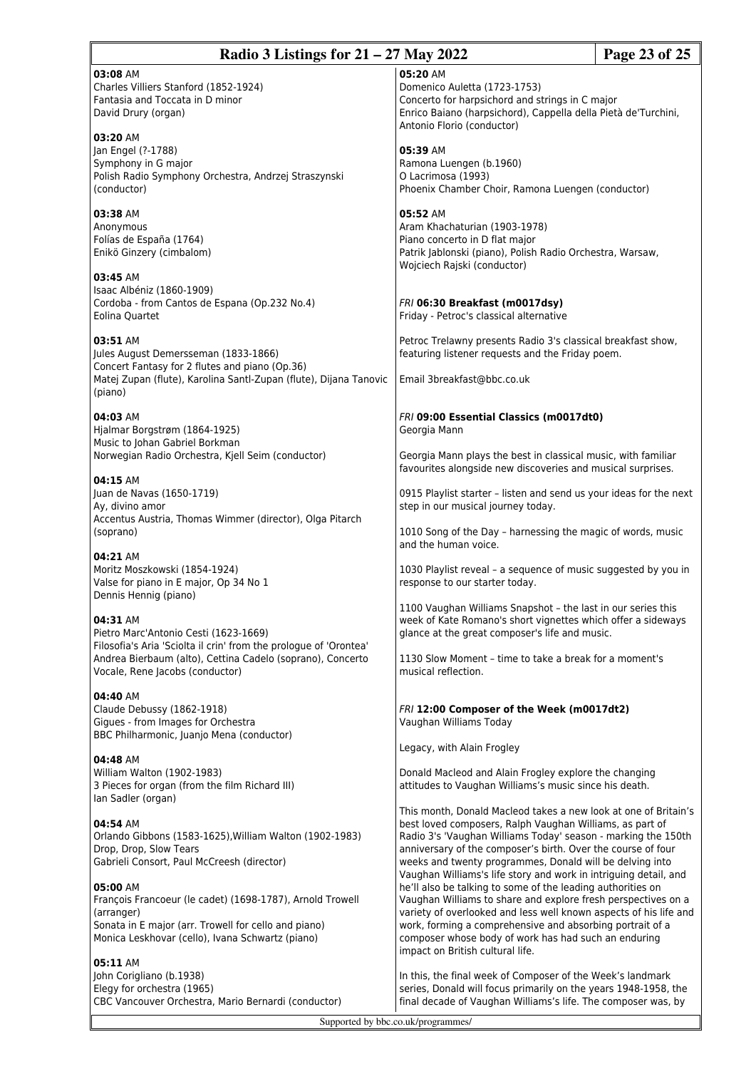| Radio 3 Listings for $21 - 27$ May 2022                                                                                                                                                                                                          |                                                                                                                                                                                                                                                                                                                                                                                                                                | Page 23 of 25 |
|--------------------------------------------------------------------------------------------------------------------------------------------------------------------------------------------------------------------------------------------------|--------------------------------------------------------------------------------------------------------------------------------------------------------------------------------------------------------------------------------------------------------------------------------------------------------------------------------------------------------------------------------------------------------------------------------|---------------|
| 03:08 AM<br>Charles Villiers Stanford (1852-1924)<br>Fantasia and Toccata in D minor<br>David Drury (organ)                                                                                                                                      | 05:20 AM<br>Domenico Auletta (1723-1753)<br>Concerto for harpsichord and strings in C major<br>Enrico Baiano (harpsichord), Cappella della Pietà de'Turchini,<br>Antonio Florio (conductor)                                                                                                                                                                                                                                    |               |
| 03:20 AM<br>Jan Engel (?-1788)<br>Symphony in G major<br>Polish Radio Symphony Orchestra, Andrzej Straszynski<br>(conductor)                                                                                                                     | 05:39 AM<br>Ramona Luengen (b.1960)<br>O Lacrimosa (1993)<br>Phoenix Chamber Choir, Ramona Luengen (conductor)                                                                                                                                                                                                                                                                                                                 |               |
| 03:38 AM<br>Anonymous<br>Folías de España (1764)<br>Enikö Ginzery (cimbalom)                                                                                                                                                                     | 05:52 AM<br>Aram Khachaturian (1903-1978)<br>Piano concerto in D flat major<br>Patrik Jablonski (piano), Polish Radio Orchestra, Warsaw,<br>Wojciech Rajski (conductor)                                                                                                                                                                                                                                                        |               |
| 03:45 AM<br>Isaac Albéniz (1860-1909)<br>Cordoba - from Cantos de Espana (Op.232 No.4)<br>Eolina Quartet                                                                                                                                         | FRI 06:30 Breakfast (m0017dsy)<br>Friday - Petroc's classical alternative                                                                                                                                                                                                                                                                                                                                                      |               |
| 03:51 AM<br>Jules August Demersseman (1833-1866)<br>Concert Fantasy for 2 flutes and piano (Op.36)<br>Matej Zupan (flute), Karolina Santl-Zupan (flute), Dijana Tanovic<br>(piano)                                                               | Petroc Trelawny presents Radio 3's classical breakfast show,<br>featuring listener requests and the Friday poem.<br>Email 3breakfast@bbc.co.uk                                                                                                                                                                                                                                                                                 |               |
| 04:03 AM<br>Hjalmar Borgstrøm (1864-1925)<br>Music to Johan Gabriel Borkman<br>Norwegian Radio Orchestra, Kjell Seim (conductor)                                                                                                                 | FRI 09:00 Essential Classics (m0017dt0)<br>Georgia Mann<br>Georgia Mann plays the best in classical music, with familiar                                                                                                                                                                                                                                                                                                       |               |
| 04:15 AM<br>Juan de Navas (1650-1719)<br>Ay, divino amor<br>Accentus Austria, Thomas Wimmer (director), Olga Pitarch<br>(soprano)                                                                                                                | favourites alongside new discoveries and musical surprises.<br>0915 Playlist starter - listen and send us your ideas for the next<br>step in our musical journey today.<br>1010 Song of the Day - harnessing the magic of words, music                                                                                                                                                                                         |               |
| 04:21 AM<br>Moritz Moszkowski (1854-1924)<br>Valse for piano in E major, Op 34 No 1                                                                                                                                                              | and the human voice.<br>1030 Playlist reveal - a sequence of music suggested by you in<br>response to our starter today.                                                                                                                                                                                                                                                                                                       |               |
| Dennis Hennig (piano)<br>04:31 AM<br>Pietro Marc'Antonio Cesti (1623-1669)<br>Filosofia's Aria 'Sciolta il crin' from the prologue of 'Orontea'<br>Andrea Bierbaum (alto), Cettina Cadelo (soprano), Concerto<br>Vocale, Rene Jacobs (conductor) | 1100 Vaughan Williams Snapshot - the last in our series this<br>week of Kate Romano's short vignettes which offer a sideways<br>glance at the great composer's life and music.<br>1130 Slow Moment - time to take a break for a moment's<br>musical reflection.                                                                                                                                                                |               |
| 04:40 AM<br>Claude Debussy (1862-1918)<br>Gigues - from Images for Orchestra<br>BBC Philharmonic, Juanjo Mena (conductor)                                                                                                                        | FRI 12:00 Composer of the Week (m0017dt2)<br>Vaughan Williams Today                                                                                                                                                                                                                                                                                                                                                            |               |
| 04:48 AM<br>William Walton (1902-1983)<br>3 Pieces for organ (from the film Richard III)                                                                                                                                                         | Legacy, with Alain Frogley<br>Donald Macleod and Alain Frogley explore the changing<br>attitudes to Vaughan Williams's music since his death.                                                                                                                                                                                                                                                                                  |               |
| lan Sadler (organ)<br>04:54 AM<br>Orlando Gibbons (1583-1625), William Walton (1902-1983)<br>Drop, Drop, Slow Tears<br>Gabrieli Consort, Paul McCreesh (director)                                                                                | This month, Donald Macleod takes a new look at one of Britain's<br>best loved composers, Ralph Vaughan Williams, as part of<br>Radio 3's 'Vaughan Williams Today' season - marking the 150th<br>anniversary of the composer's birth. Over the course of four<br>weeks and twenty programmes, Donald will be delving into                                                                                                       |               |
| 05:00 AM<br>François Francoeur (le cadet) (1698-1787), Arnold Trowell<br>(arranger)<br>Sonata in E major (arr. Trowell for cello and piano)<br>Monica Leskhovar (cello), Ivana Schwartz (piano)                                                  | Vaughan Williams's life story and work in intriguing detail, and<br>he'll also be talking to some of the leading authorities on<br>Vaughan Williams to share and explore fresh perspectives on a<br>variety of overlooked and less well known aspects of his life and<br>work, forming a comprehensive and absorbing portrait of a<br>composer whose body of work has had such an enduring<br>impact on British cultural life. |               |
| 05:11 AM<br>John Corigliano (b.1938)<br>Elegy for orchestra (1965)<br>CBC Vancouver Orchestra, Mario Bernardi (conductor)                                                                                                                        | In this, the final week of Composer of the Week's landmark<br>series, Donald will focus primarily on the years 1948-1958, the<br>final decade of Vaughan Williams's life. The composer was, by                                                                                                                                                                                                                                 |               |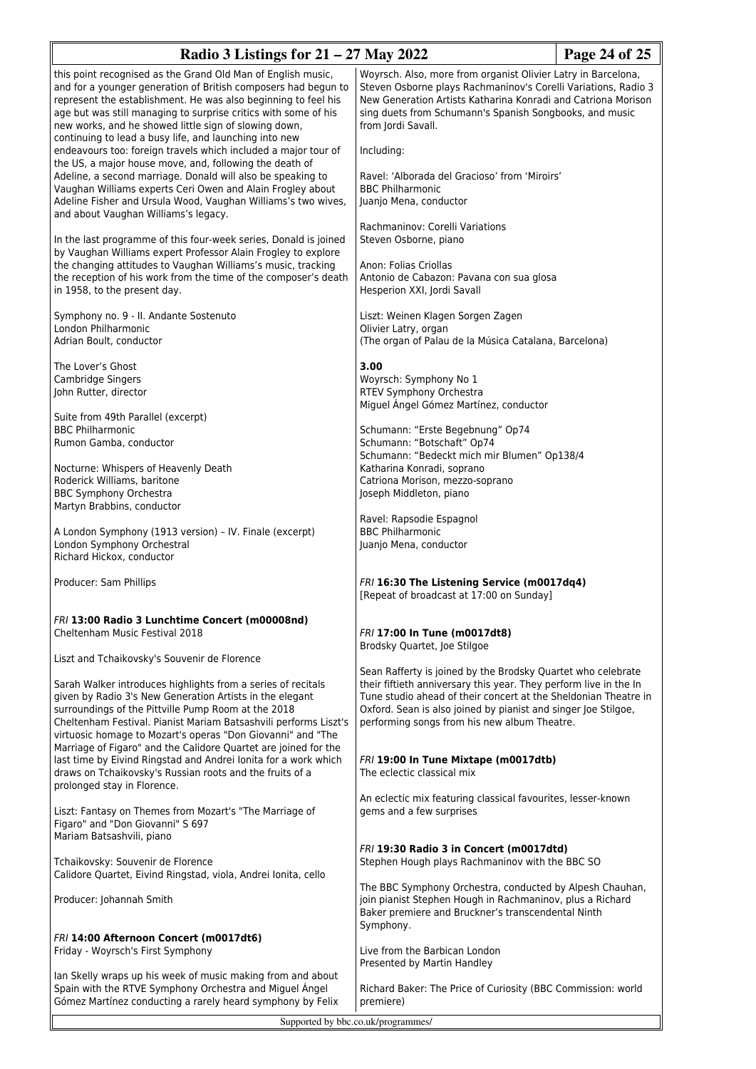| Radio 3 Listings for $21 - 27$ May 2022                                                                                                                                                                                                                                                                                                                                                                                                                  |                                                                                                                                                                                                                                                                                                                        | Page 24 of 25 |
|----------------------------------------------------------------------------------------------------------------------------------------------------------------------------------------------------------------------------------------------------------------------------------------------------------------------------------------------------------------------------------------------------------------------------------------------------------|------------------------------------------------------------------------------------------------------------------------------------------------------------------------------------------------------------------------------------------------------------------------------------------------------------------------|---------------|
| this point recognised as the Grand Old Man of English music,<br>and for a younger generation of British composers had begun to<br>represent the establishment. He was also beginning to feel his<br>age but was still managing to surprise critics with some of his<br>new works, and he showed little sign of slowing down,<br>continuing to lead a busy life, and launching into new<br>endeavours too: foreign travels which included a major tour of | Woyrsch. Also, more from organist Olivier Latry in Barcelona,<br>Steven Osborne plays Rachmaninov's Corelli Variations, Radio 3<br>New Generation Artists Katharina Konradi and Catriona Morison<br>sing duets from Schumann's Spanish Songbooks, and music<br>from Jordi Savall.<br>Including:                        |               |
| the US, a major house move, and, following the death of<br>Adeline, a second marriage. Donald will also be speaking to<br>Vaughan Williams experts Ceri Owen and Alain Frogley about<br>Adeline Fisher and Ursula Wood, Vaughan Williams's two wives,<br>and about Vaughan Williams's legacy.                                                                                                                                                            | Ravel: 'Alborada del Gracioso' from 'Miroirs'<br><b>BBC Philharmonic</b><br>Juanjo Mena, conductor                                                                                                                                                                                                                     |               |
| In the last programme of this four-week series, Donald is joined<br>by Vaughan Williams expert Professor Alain Frogley to explore<br>the changing attitudes to Vaughan Williams's music, tracking<br>the reception of his work from the time of the composer's death<br>in 1958, to the present day.                                                                                                                                                     | Rachmaninov: Corelli Variations<br>Steven Osborne, piano<br>Anon: Folias Criollas<br>Antonio de Cabazon: Pavana con sua glosa<br>Hesperion XXI, Jordi Savall                                                                                                                                                           |               |
| Symphony no. 9 - II. Andante Sostenuto<br>London Philharmonic<br>Adrian Boult, conductor                                                                                                                                                                                                                                                                                                                                                                 | Liszt: Weinen Klagen Sorgen Zagen<br>Olivier Latry, organ<br>(The organ of Palau de la Música Catalana, Barcelona)                                                                                                                                                                                                     |               |
| The Lover's Ghost<br>Cambridge Singers<br>John Rutter, director                                                                                                                                                                                                                                                                                                                                                                                          | 3.00<br>Woyrsch: Symphony No 1<br>RTEV Symphony Orchestra<br>Miguel Ángel Gómez Martínez, conductor                                                                                                                                                                                                                    |               |
| Suite from 49th Parallel (excerpt)<br><b>BBC Philharmonic</b><br>Rumon Gamba, conductor                                                                                                                                                                                                                                                                                                                                                                  | Schumann: "Erste Begebnung" Op74<br>Schumann: "Botschaft" Op74<br>Schumann: "Bedeckt mich mir Blumen" Op138/4                                                                                                                                                                                                          |               |
| Nocturne: Whispers of Heavenly Death<br>Roderick Williams, baritone<br><b>BBC Symphony Orchestra</b><br>Martyn Brabbins, conductor                                                                                                                                                                                                                                                                                                                       | Katharina Konradi, soprano<br>Catriona Morison, mezzo-soprano<br>Joseph Middleton, piano                                                                                                                                                                                                                               |               |
| A London Symphony (1913 version) - IV. Finale (excerpt)<br>London Symphony Orchestral<br>Richard Hickox, conductor                                                                                                                                                                                                                                                                                                                                       | Ravel: Rapsodie Espagnol<br><b>BBC Philharmonic</b><br>Juanjo Mena, conductor                                                                                                                                                                                                                                          |               |
| Producer: Sam Phillips                                                                                                                                                                                                                                                                                                                                                                                                                                   | FRI 16:30 The Listening Service (m0017dq4)<br>[Repeat of broadcast at 17:00 on Sunday]                                                                                                                                                                                                                                 |               |
| FRI 13:00 Radio 3 Lunchtime Concert (m00008nd)<br><b>Cheltenham Music Festival 2018</b>                                                                                                                                                                                                                                                                                                                                                                  | FRI 17:00 In Tune (m0017dt8)<br>Brodsky Quartet, Joe Stilgoe                                                                                                                                                                                                                                                           |               |
| Liszt and Tchaikovsky's Souvenir de Florence<br>Sarah Walker introduces highlights from a series of recitals<br>given by Radio 3's New Generation Artists in the elegant<br>surroundings of the Pittville Pump Room at the 2018<br>Cheltenham Festival. Pianist Mariam Batsashvili performs Liszt's<br>virtuosic homage to Mozart's operas "Don Giovanni" and "The                                                                                       | Sean Rafferty is joined by the Brodsky Quartet who celebrate<br>their fiftieth anniversary this year. They perform live in the In<br>Tune studio ahead of their concert at the Sheldonian Theatre in<br>Oxford. Sean is also joined by pianist and singer Joe Stilgoe,<br>performing songs from his new album Theatre. |               |
| Marriage of Figaro" and the Calidore Quartet are joined for the<br>last time by Eivind Ringstad and Andrei Ionita for a work which<br>draws on Tchaikovsky's Russian roots and the fruits of a<br>prolonged stay in Florence.                                                                                                                                                                                                                            | FRI 19:00 In Tune Mixtape (m0017dtb)<br>The eclectic classical mix                                                                                                                                                                                                                                                     |               |
| Liszt: Fantasy on Themes from Mozart's "The Marriage of<br>Figaro" and "Don Giovanni" S 697<br>Mariam Batsashvili, piano                                                                                                                                                                                                                                                                                                                                 | An eclectic mix featuring classical favourites, lesser-known<br>gems and a few surprises                                                                                                                                                                                                                               |               |
| Tchaikovsky: Souvenir de Florence<br>Calidore Quartet, Eivind Ringstad, viola, Andrei Ionita, cello                                                                                                                                                                                                                                                                                                                                                      | FRI 19:30 Radio 3 in Concert (m0017dtd)<br>Stephen Hough plays Rachmaninov with the BBC SO                                                                                                                                                                                                                             |               |
| Producer: Johannah Smith                                                                                                                                                                                                                                                                                                                                                                                                                                 | The BBC Symphony Orchestra, conducted by Alpesh Chauhan,<br>join pianist Stephen Hough in Rachmaninov, plus a Richard<br>Baker premiere and Bruckner's transcendental Ninth<br>Symphony.                                                                                                                               |               |
| FRI 14:00 Afternoon Concert (m0017dt6)<br>Friday - Woyrsch's First Symphony                                                                                                                                                                                                                                                                                                                                                                              | Live from the Barbican London<br>Presented by Martin Handley                                                                                                                                                                                                                                                           |               |
| Ian Skelly wraps up his week of music making from and about<br>Spain with the RTVE Symphony Orchestra and Miguel Ángel<br>Gómez Martínez conducting a rarely heard symphony by Felix                                                                                                                                                                                                                                                                     | Richard Baker: The Price of Curiosity (BBC Commission: world<br>premiere)                                                                                                                                                                                                                                              |               |